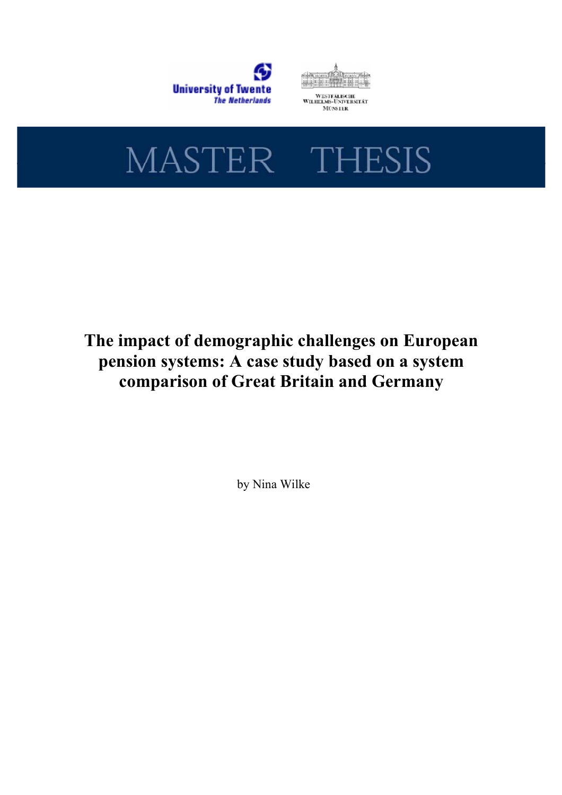





# The impact of demographic challenges on European pension systems: A case study based on a system comparison of Great Britain and Germany

by Nina Wilke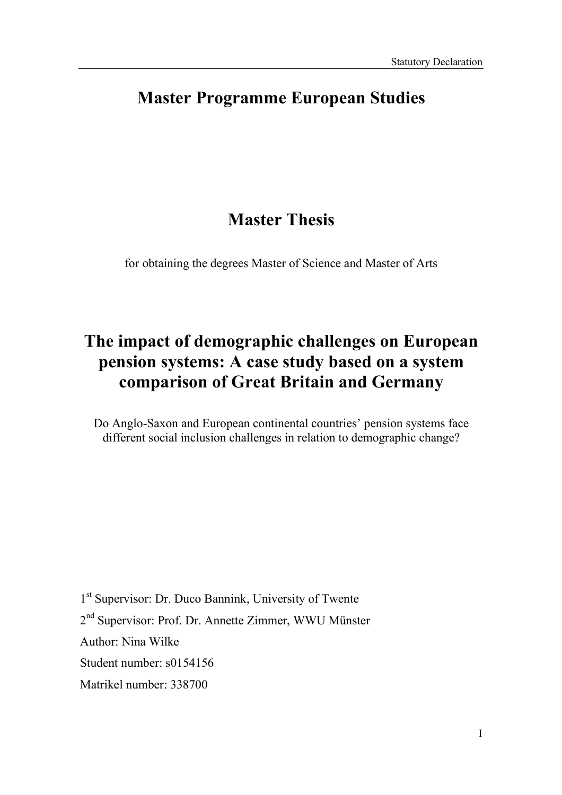## Master Programme European Studies

## Master Thesis

for obtaining the degrees Master of Science and Master of Arts

## The impact of demographic challenges on European pension systems: A case study based on a system comparison of Great Britain and Germany

Do Anglo-Saxon and European continental countries' pension systems face different social inclusion challenges in relation to demographic change?

1 st Supervisor: Dr. Duco Bannink, University of Twente 2<sup>nd</sup> Supervisor: Prof. Dr. Annette Zimmer, WWU Münster Author: Nina Wilke Student number: s0154156 Matrikel number: 338700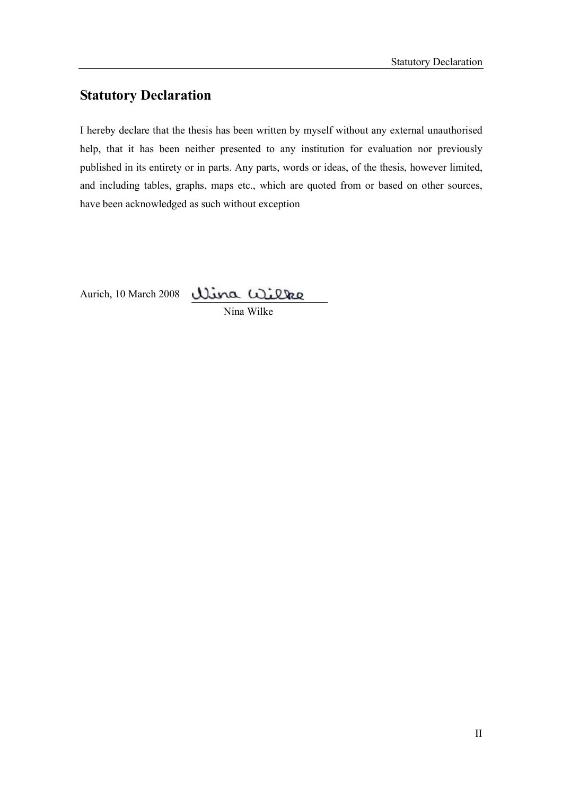## Statutory Declaration

I hereby declare that the thesis has been written by myself without any external unauthorised help, that it has been neither presented to any institution for evaluation nor previously published in its entirety or in parts. Any parts, words or ideas, of the thesis, however limited, and including tables, graphs, maps etc., which are quoted from or based on other sources, have been acknowledged as such without exception

Aurich, 10 March 2008

Nina Wilke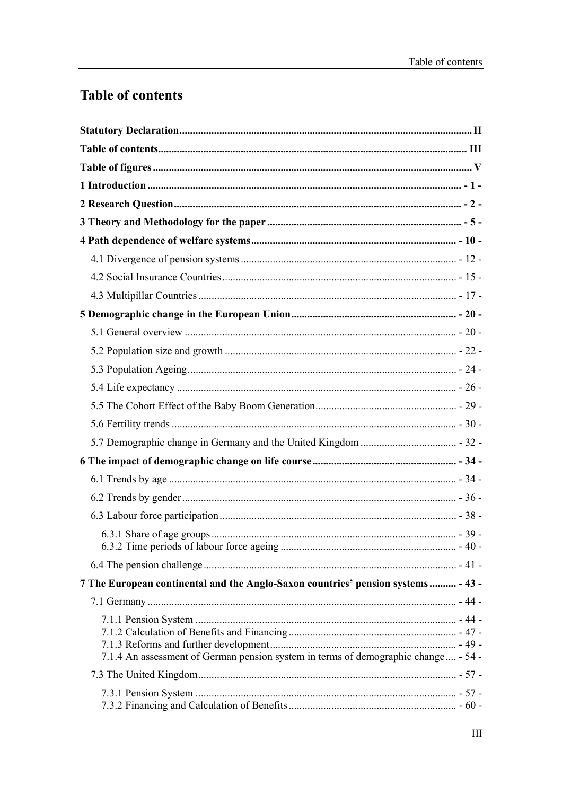## **Table of contents**

| 7 The European continental and the Anglo-Saxon countries' pension systems - 43 -   |  |
|------------------------------------------------------------------------------------|--|
|                                                                                    |  |
| 7.1.4 An assessment of German pension system in terms of demographic change - 54 - |  |
|                                                                                    |  |
|                                                                                    |  |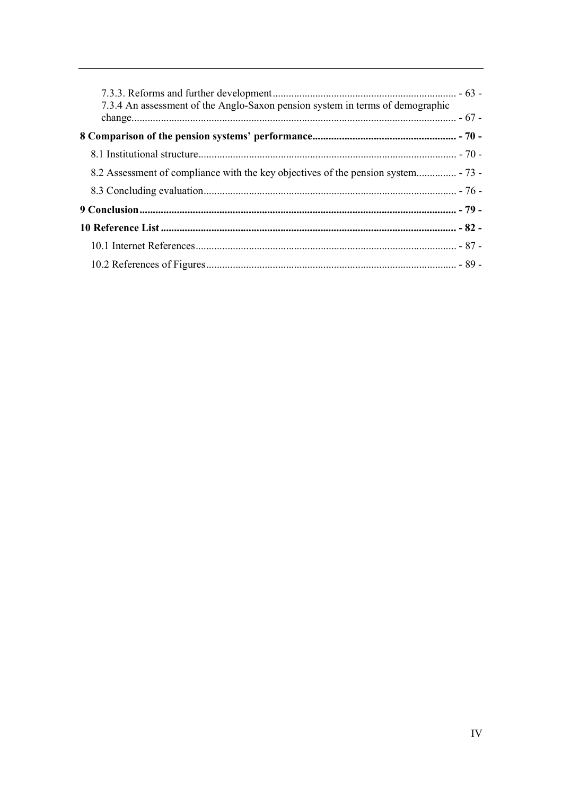| 7.3.4 An assessment of the Anglo-Saxon pension system in terms of demographic |  |
|-------------------------------------------------------------------------------|--|
|                                                                               |  |
|                                                                               |  |
|                                                                               |  |
|                                                                               |  |
|                                                                               |  |
|                                                                               |  |
|                                                                               |  |
|                                                                               |  |
|                                                                               |  |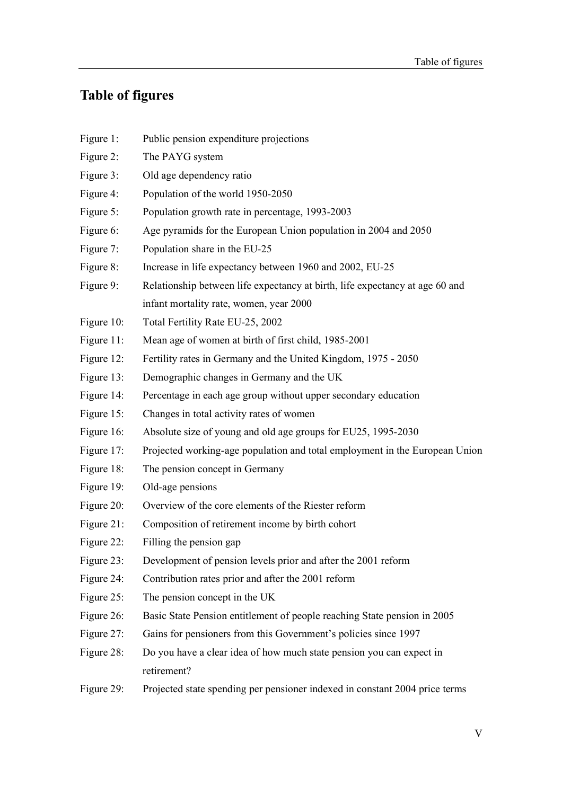## Table of figures

Figure 1: Public pension expenditure projections Figure 2: The PAYG system Figure 3: Old age dependency ratio Figure 4: Population of the world 1950-2050 Figure 5: Population growth rate in percentage, 1993-2003 Figure 6: Age pyramids for the European Union population in 2004 and 2050 Figure 7: Population share in the EU-25 Figure 8: Increase in life expectancy between 1960 and 2002, EU-25 Figure 9: Relationship between life expectancy at birth, life expectancy at age 60 and infant mortality rate, women, year 2000 Figure 10: Total Fertility Rate EU-25, 2002 Figure 11: Mean age of women at birth of first child, 1985-2001 Figure 12: Fertility rates in Germany and the United Kingdom, 1975 - 2050 Figure 13: Demographic changes in Germany and the UK Figure 14: Percentage in each age group without upper secondary education Figure 15: Changes in total activity rates of women Figure 16: Absolute size of young and old age groups for EU25, 1995-2030 Figure 17: Projected working-age population and total employment in the European Union Figure 18: The pension concept in Germany Figure 19: Old-age pensions Figure 20: Overview of the core elements of the Riester reform Figure 21: Composition of retirement income by birth cohort Figure 22: Filling the pension gap Figure 23: Development of pension levels prior and after the 2001 reform Figure 24: Contribution rates prior and after the 2001 reform Figure 25: The pension concept in the UK Figure 26: Basic State Pension entitlement of people reaching State pension in 2005 Figure 27: Gains for pensioners from this Government's policies since 1997 Figure 28: Do you have a clear idea of how much state pension you can expect in retirement? Figure 29: Projected state spending per pensioner indexed in constant 2004 price terms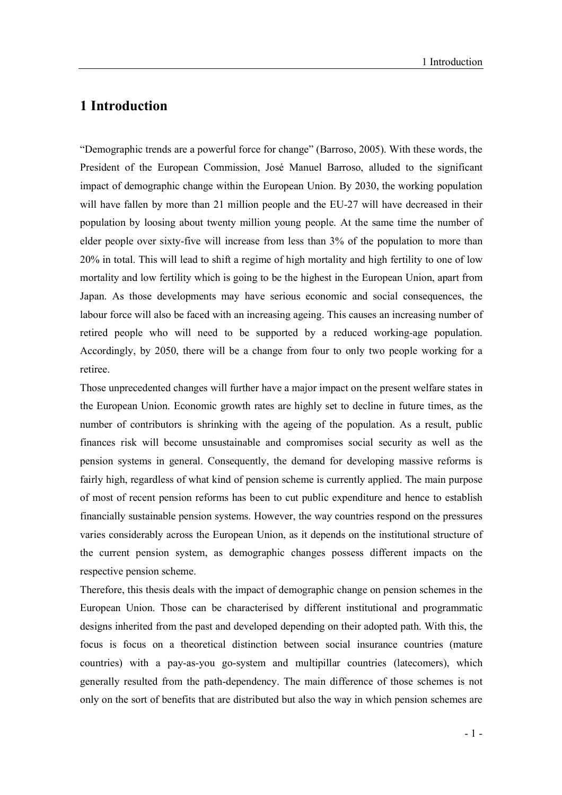### 1 Introduction

"Demographic trends are a powerful force for change" (Barroso, 2005). With these words, the President of the European Commission, José Manuel Barroso, alluded to the significant impact of demographic change within the European Union. By 2030, the working population will have fallen by more than 21 million people and the EU-27 will have decreased in their population by loosing about twenty million young people. At the same time the number of elder people over sixty-five will increase from less than 3% of the population to more than 20% in total. This will lead to shift a regime of high mortality and high fertility to one of low mortality and low fertility which is going to be the highest in the European Union, apart from Japan. As those developments may have serious economic and social consequences, the labour force will also be faced with an increasing ageing. This causes an increasing number of retired people who will need to be supported by a reduced working-age population. Accordingly, by 2050, there will be a change from four to only two people working for a retiree.

Those unprecedented changes will further have a major impact on the present welfare states in the European Union. Economic growth rates are highly set to decline in future times, as the number of contributors is shrinking with the ageing of the population. As a result, public finances risk will become unsustainable and compromises social security as well as the pension systems in general. Consequently, the demand for developing massive reforms is fairly high, regardless of what kind of pension scheme is currently applied. The main purpose of most of recent pension reforms has been to cut public expenditure and hence to establish financially sustainable pension systems. However, the way countries respond on the pressures varies considerably across the European Union, as it depends on the institutional structure of the current pension system, as demographic changes possess different impacts on the respective pension scheme.

Therefore, this thesis deals with the impact of demographic change on pension schemes in the European Union. Those can be characterised by different institutional and programmatic designs inherited from the past and developed depending on their adopted path. With this, the focus is focus on a theoretical distinction between social insurance countries (mature countries) with a pay-as-you go-system and multipillar countries (latecomers), which generally resulted from the path-dependency. The main difference of those schemes is not only on the sort of benefits that are distributed but also the way in which pension schemes are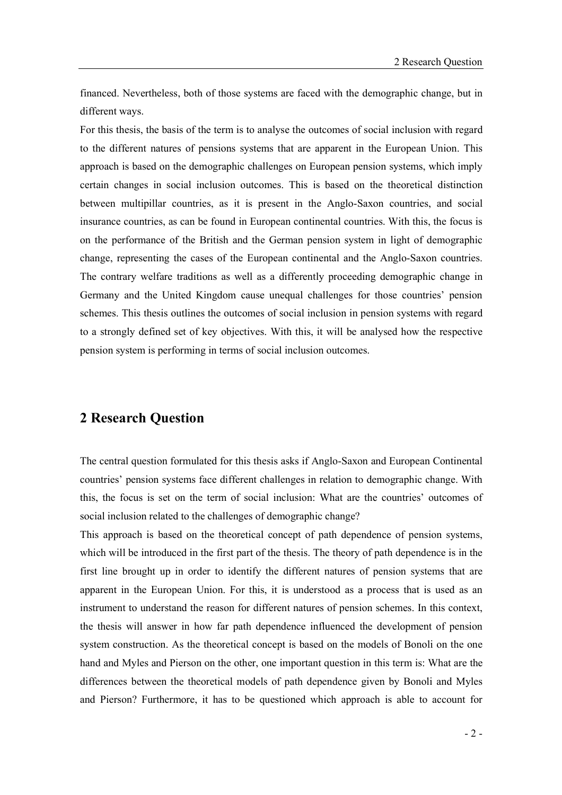financed. Nevertheless, both of those systems are faced with the demographic change, but in different ways.

For this thesis, the basis of the term is to analyse the outcomes of social inclusion with regard to the different natures of pensions systems that are apparent in the European Union. This approach is based on the demographic challenges on European pension systems, which imply certain changes in social inclusion outcomes. This is based on the theoretical distinction between multipillar countries, as it is present in the Anglo-Saxon countries, and social insurance countries, as can be found in European continental countries. With this, the focus is on the performance of the British and the German pension system in light of demographic change, representing the cases of the European continental and the Anglo-Saxon countries. The contrary welfare traditions as well as a differently proceeding demographic change in Germany and the United Kingdom cause unequal challenges for those countries' pension schemes. This thesis outlines the outcomes of social inclusion in pension systems with regard to a strongly defined set of key objectives. With this, it will be analysed how the respective pension system is performing in terms of social inclusion outcomes.

#### 2 Research Question

The central question formulated for this thesis asks if Anglo-Saxon and European Continental countries' pension systems face different challenges in relation to demographic change. With this, the focus is set on the term of social inclusion: What are the countries' outcomes of social inclusion related to the challenges of demographic change?

This approach is based on the theoretical concept of path dependence of pension systems, which will be introduced in the first part of the thesis. The theory of path dependence is in the first line brought up in order to identify the different natures of pension systems that are apparent in the European Union. For this, it is understood as a process that is used as an instrument to understand the reason for different natures of pension schemes. In this context, the thesis will answer in how far path dependence influenced the development of pension system construction. As the theoretical concept is based on the models of Bonoli on the one hand and Myles and Pierson on the other, one important question in this term is: What are the differences between the theoretical models of path dependence given by Bonoli and Myles and Pierson? Furthermore, it has to be questioned which approach is able to account for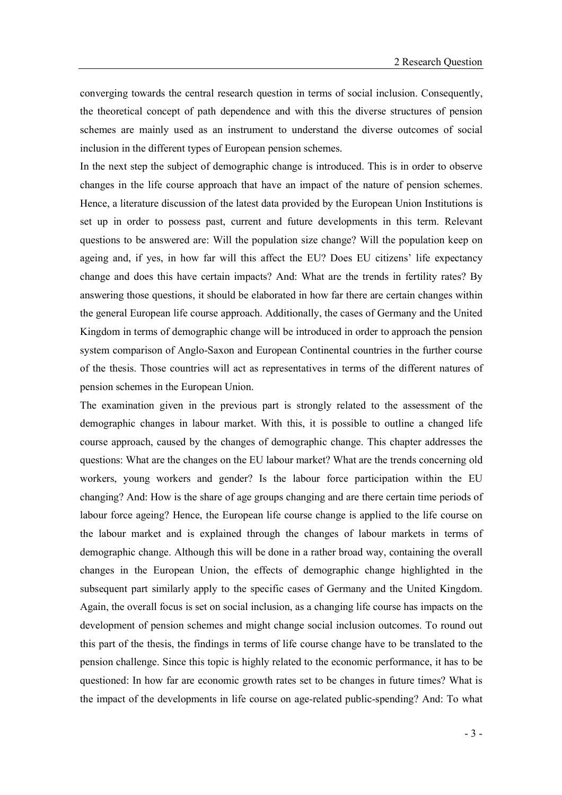converging towards the central research question in terms of social inclusion. Consequently, the theoretical concept of path dependence and with this the diverse structures of pension schemes are mainly used as an instrument to understand the diverse outcomes of social inclusion in the different types of European pension schemes.

In the next step the subject of demographic change is introduced. This is in order to observe changes in the life course approach that have an impact of the nature of pension schemes. Hence, a literature discussion of the latest data provided by the European Union Institutions is set up in order to possess past, current and future developments in this term. Relevant questions to be answered are: Will the population size change? Will the population keep on ageing and, if yes, in how far will this affect the EU? Does EU citizens' life expectancy change and does this have certain impacts? And: What are the trends in fertility rates? By answering those questions, it should be elaborated in how far there are certain changes within the general European life course approach. Additionally, the cases of Germany and the United Kingdom in terms of demographic change will be introduced in order to approach the pension system comparison of Anglo-Saxon and European Continental countries in the further course of the thesis. Those countries will act as representatives in terms of the different natures of pension schemes in the European Union.

The examination given in the previous part is strongly related to the assessment of the demographic changes in labour market. With this, it is possible to outline a changed life course approach, caused by the changes of demographic change. This chapter addresses the questions: What are the changes on the EU labour market? What are the trends concerning old workers, young workers and gender? Is the labour force participation within the EU changing? And: How is the share of age groups changing and are there certain time periods of labour force ageing? Hence, the European life course change is applied to the life course on the labour market and is explained through the changes of labour markets in terms of demographic change. Although this will be done in a rather broad way, containing the overall changes in the European Union, the effects of demographic change highlighted in the subsequent part similarly apply to the specific cases of Germany and the United Kingdom. Again, the overall focus is set on social inclusion, as a changing life course has impacts on the development of pension schemes and might change social inclusion outcomes. To round out this part of the thesis, the findings in terms of life course change have to be translated to the pension challenge. Since this topic is highly related to the economic performance, it has to be questioned: In how far are economic growth rates set to be changes in future times? What is the impact of the developments in life course on age-related public-spending? And: To what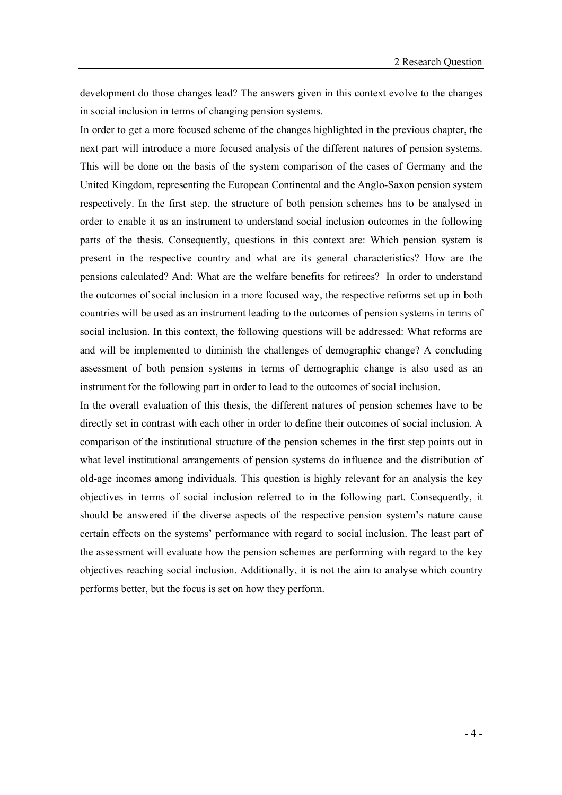development do those changes lead? The answers given in this context evolve to the changes in social inclusion in terms of changing pension systems.

In order to get a more focused scheme of the changes highlighted in the previous chapter, the next part will introduce a more focused analysis of the different natures of pension systems. This will be done on the basis of the system comparison of the cases of Germany and the United Kingdom, representing the European Continental and the Anglo-Saxon pension system respectively. In the first step, the structure of both pension schemes has to be analysed in order to enable it as an instrument to understand social inclusion outcomes in the following parts of the thesis. Consequently, questions in this context are: Which pension system is present in the respective country and what are its general characteristics? How are the pensions calculated? And: What are the welfare benefits for retirees? In order to understand the outcomes of social inclusion in a more focused way, the respective reforms set up in both countries will be used as an instrument leading to the outcomes of pension systems in terms of social inclusion. In this context, the following questions will be addressed: What reforms are and will be implemented to diminish the challenges of demographic change? A concluding assessment of both pension systems in terms of demographic change is also used as an instrument for the following part in order to lead to the outcomes of social inclusion.

In the overall evaluation of this thesis, the different natures of pension schemes have to be directly set in contrast with each other in order to define their outcomes of social inclusion. A comparison of the institutional structure of the pension schemes in the first step points out in what level institutional arrangements of pension systems do influence and the distribution of old-age incomes among individuals. This question is highly relevant for an analysis the key objectives in terms of social inclusion referred to in the following part. Consequently, it should be answered if the diverse aspects of the respective pension system's nature cause certain effects on the systems' performance with regard to social inclusion. The least part of the assessment will evaluate how the pension schemes are performing with regard to the key objectives reaching social inclusion. Additionally, it is not the aim to analyse which country performs better, but the focus is set on how they perform.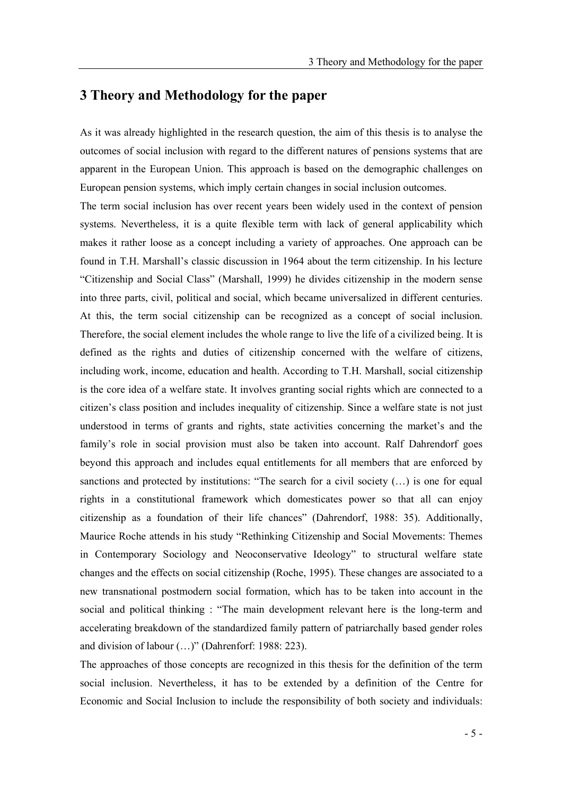#### 3 Theory and Methodology for the paper

As it was already highlighted in the research question, the aim of this thesis is to analyse the outcomes of social inclusion with regard to the different natures of pensions systems that are apparent in the European Union. This approach is based on the demographic challenges on European pension systems, which imply certain changes in social inclusion outcomes.

The term social inclusion has over recent years been widely used in the context of pension systems. Nevertheless, it is a quite flexible term with lack of general applicability which makes it rather loose as a concept including a variety of approaches. One approach can be found in T.H. Marshall's classic discussion in 1964 about the term citizenship. In his lecture "Citizenship and Social Class" (Marshall, 1999) he divides citizenship in the modern sense into three parts, civil, political and social, which became universalized in different centuries. At this, the term social citizenship can be recognized as a concept of social inclusion. Therefore, the social element includes the whole range to live the life of a civilized being. It is defined as the rights and duties of citizenship concerned with the welfare of citizens, including work, income, education and health. According to T.H. Marshall, social citizenship is the core idea of a welfare state. It involves granting social rights which are connected to a citizen's class position and includes inequality of citizenship. Since a welfare state is not just understood in terms of grants and rights, state activities concerning the market's and the family's role in social provision must also be taken into account. Ralf Dahrendorf goes beyond this approach and includes equal entitlements for all members that are enforced by sanctions and protected by institutions: "The search for a civil society  $(...)$  is one for equal rights in a constitutional framework which domesticates power so that all can enjoy citizenship as a foundation of their life chances" (Dahrendorf, 1988: 35). Additionally, Maurice Roche attends in his study "Rethinking Citizenship and Social Movements: Themes in Contemporary Sociology and Neoconservative Ideology" to structural welfare state changes and the effects on social citizenship (Roche, 1995). These changes are associated to a new transnational postmodern social formation, which has to be taken into account in the social and political thinking : "The main development relevant here is the long-term and accelerating breakdown of the standardized family pattern of patriarchally based gender roles and division of labour  $(...)$ " (Dahrenforf: 1988: 223).

The approaches of those concepts are recognized in this thesis for the definition of the term social inclusion. Nevertheless, it has to be extended by a definition of the Centre for Economic and Social Inclusion to include the responsibility of both society and individuals: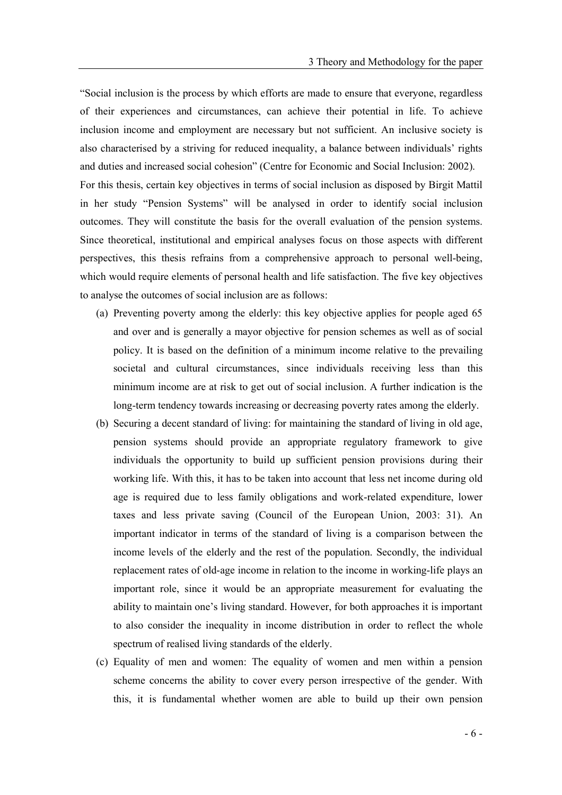Social inclusion is the process by which efforts are made to ensure that everyone, regardless of their experiences and circumstances, can achieve their potential in life. To achieve inclusion income and employment are necessary but not sufficient. An inclusive society is also characterised by a striving for reduced inequality, a balance between individuals' rights and duties and increased social cohesion" (Centre for Economic and Social Inclusion: 2002). For this thesis, certain key objectives in terms of social inclusion as disposed by Birgit Mattil in her study "Pension Systems" will be analysed in order to identify social inclusion outcomes. They will constitute the basis for the overall evaluation of the pension systems. Since theoretical, institutional and empirical analyses focus on those aspects with different perspectives, this thesis refrains from a comprehensive approach to personal well-being, which would require elements of personal health and life satisfaction. The five key objectives to analyse the outcomes of social inclusion are as follows:

- (a) Preventing poverty among the elderly: this key objective applies for people aged 65 and over and is generally a mayor objective for pension schemes as well as of social policy. It is based on the definition of a minimum income relative to the prevailing societal and cultural circumstances, since individuals receiving less than this minimum income are at risk to get out of social inclusion. A further indication is the long-term tendency towards increasing or decreasing poverty rates among the elderly.
- (b) Securing a decent standard of living: for maintaining the standard of living in old age, pension systems should provide an appropriate regulatory framework to give individuals the opportunity to build up sufficient pension provisions during their working life. With this, it has to be taken into account that less net income during old age is required due to less family obligations and work-related expenditure, lower taxes and less private saving (Council of the European Union, 2003: 31). An important indicator in terms of the standard of living is a comparison between the income levels of the elderly and the rest of the population. Secondly, the individual replacement rates of old-age income in relation to the income in working-life plays an important role, since it would be an appropriate measurement for evaluating the ability to maintain one's living standard. However, for both approaches it is important to also consider the inequality in income distribution in order to reflect the whole spectrum of realised living standards of the elderly.
- (c) Equality of men and women: The equality of women and men within a pension scheme concerns the ability to cover every person irrespective of the gender. With this, it is fundamental whether women are able to build up their own pension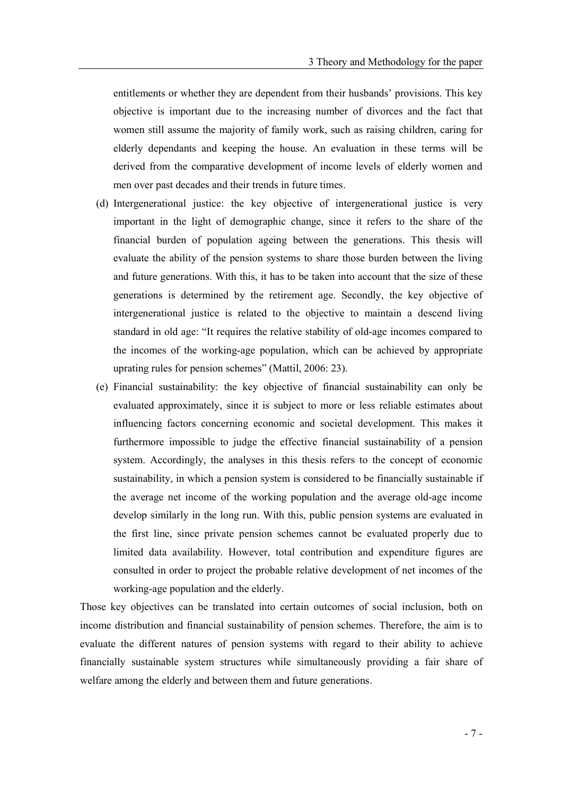entitlements or whether they are dependent from their husbands' provisions. This key objective is important due to the increasing number of divorces and the fact that women still assume the majority of family work, such as raising children, caring for elderly dependants and keeping the house. An evaluation in these terms will be derived from the comparative development of income levels of elderly women and men over past decades and their trends in future times.

- (d) Intergenerational justice: the key objective of intergenerational justice is very important in the light of demographic change, since it refers to the share of the financial burden of population ageing between the generations. This thesis will evaluate the ability of the pension systems to share those burden between the living and future generations. With this, it has to be taken into account that the size of these generations is determined by the retirement age. Secondly, the key objective of intergenerational justice is related to the objective to maintain a descend living standard in old age: "It requires the relative stability of old-age incomes compared to the incomes of the working-age population, which can be achieved by appropriate uprating rules for pension schemes" (Mattil,  $2006: 23$ ).
- (e) Financial sustainability: the key objective of financial sustainability can only be evaluated approximately, since it is subject to more or less reliable estimates about influencing factors concerning economic and societal development. This makes it furthermore impossible to judge the effective financial sustainability of a pension system. Accordingly, the analyses in this thesis refers to the concept of economic sustainability, in which a pension system is considered to be financially sustainable if the average net income of the working population and the average old-age income develop similarly in the long run. With this, public pension systems are evaluated in the first line, since private pension schemes cannot be evaluated properly due to limited data availability. However, total contribution and expenditure figures are consulted in order to project the probable relative development of net incomes of the working-age population and the elderly.

Those key objectives can be translated into certain outcomes of social inclusion, both on income distribution and financial sustainability of pension schemes. Therefore, the aim is to evaluate the different natures of pension systems with regard to their ability to achieve financially sustainable system structures while simultaneously providing a fair share of welfare among the elderly and between them and future generations.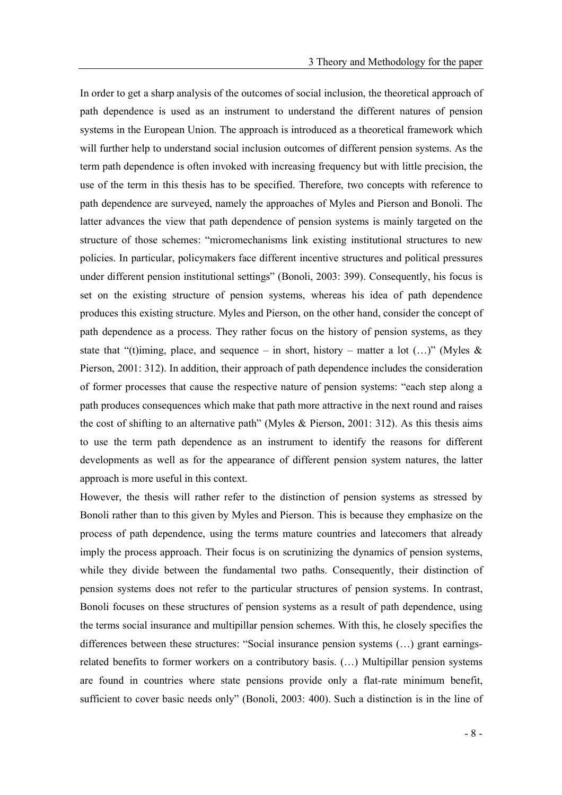In order to get a sharp analysis of the outcomes of social inclusion, the theoretical approach of path dependence is used as an instrument to understand the different natures of pension systems in the European Union. The approach is introduced as a theoretical framework which will further help to understand social inclusion outcomes of different pension systems. As the term path dependence is often invoked with increasing frequency but with little precision, the use of the term in this thesis has to be specified. Therefore, two concepts with reference to path dependence are surveyed, namely the approaches of Myles and Pierson and Bonoli. The latter advances the view that path dependence of pension systems is mainly targeted on the structure of those schemes: "micromechanisms link existing institutional structures to new policies. In particular, policymakers face different incentive structures and political pressures under different pension institutional settings" (Bonoli, 2003: 399). Consequently, his focus is set on the existing structure of pension systems, whereas his idea of path dependence produces this existing structure. Myles and Pierson, on the other hand, consider the concept of path dependence as a process. They rather focus on the history of pension systems, as they state that "(t)iming, place, and sequence – in short, history – matter a lot  $(...)$ " (Myles & Pierson, 2001: 312). In addition, their approach of path dependence includes the consideration of former processes that cause the respective nature of pension systems: "each step along a path produces consequences which make that path more attractive in the next round and raises the cost of shifting to an alternative path" (Myles & Pierson, 2001: 312). As this thesis aims to use the term path dependence as an instrument to identify the reasons for different developments as well as for the appearance of different pension system natures, the latter approach is more useful in this context.

However, the thesis will rather refer to the distinction of pension systems as stressed by Bonoli rather than to this given by Myles and Pierson. This is because they emphasize on the process of path dependence, using the terms mature countries and latecomers that already imply the process approach. Their focus is on scrutinizing the dynamics of pension systems, while they divide between the fundamental two paths. Consequently, their distinction of pension systems does not refer to the particular structures of pension systems. In contrast, Bonoli focuses on these structures of pension systems as a result of path dependence, using the terms social insurance and multipillar pension schemes. With this, he closely specifies the differences between these structures: "Social insurance pension systems  $(...)$  grant earningsrelated benefits to former workers on a contributory basis.  $(\ldots)$  Multipillar pension systems are found in countries where state pensions provide only a flat-rate minimum benefit, sufficient to cover basic needs only" (Bonoli, 2003: 400). Such a distinction is in the line of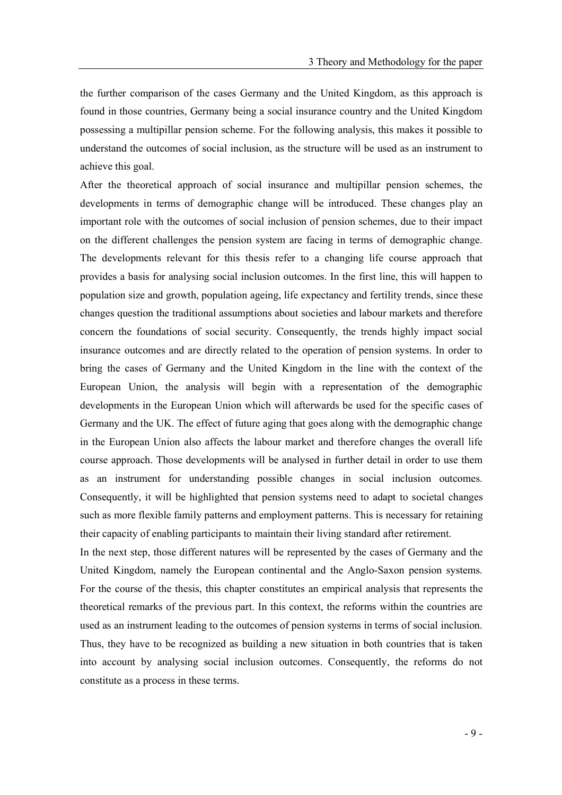the further comparison of the cases Germany and the United Kingdom, as this approach is found in those countries, Germany being a social insurance country and the United Kingdom possessing a multipillar pension scheme. For the following analysis, this makes it possible to understand the outcomes of social inclusion, as the structure will be used as an instrument to achieve this goal.

After the theoretical approach of social insurance and multipillar pension schemes, the developments in terms of demographic change will be introduced. These changes play an important role with the outcomes of social inclusion of pension schemes, due to their impact on the different challenges the pension system are facing in terms of demographic change. The developments relevant for this thesis refer to a changing life course approach that provides a basis for analysing social inclusion outcomes. In the first line, this will happen to population size and growth, population ageing, life expectancy and fertility trends, since these changes question the traditional assumptions about societies and labour markets and therefore concern the foundations of social security. Consequently, the trends highly impact social insurance outcomes and are directly related to the operation of pension systems. In order to bring the cases of Germany and the United Kingdom in the line with the context of the European Union, the analysis will begin with a representation of the demographic developments in the European Union which will afterwards be used for the specific cases of Germany and the UK. The effect of future aging that goes along with the demographic change in the European Union also affects the labour market and therefore changes the overall life course approach. Those developments will be analysed in further detail in order to use them as an instrument for understanding possible changes in social inclusion outcomes. Consequently, it will be highlighted that pension systems need to adapt to societal changes such as more flexible family patterns and employment patterns. This is necessary for retaining their capacity of enabling participants to maintain their living standard after retirement.

In the next step, those different natures will be represented by the cases of Germany and the United Kingdom, namely the European continental and the Anglo-Saxon pension systems. For the course of the thesis, this chapter constitutes an empirical analysis that represents the theoretical remarks of the previous part. In this context, the reforms within the countries are used as an instrument leading to the outcomes of pension systems in terms of social inclusion. Thus, they have to be recognized as building a new situation in both countries that is taken into account by analysing social inclusion outcomes. Consequently, the reforms do not constitute as a process in these terms.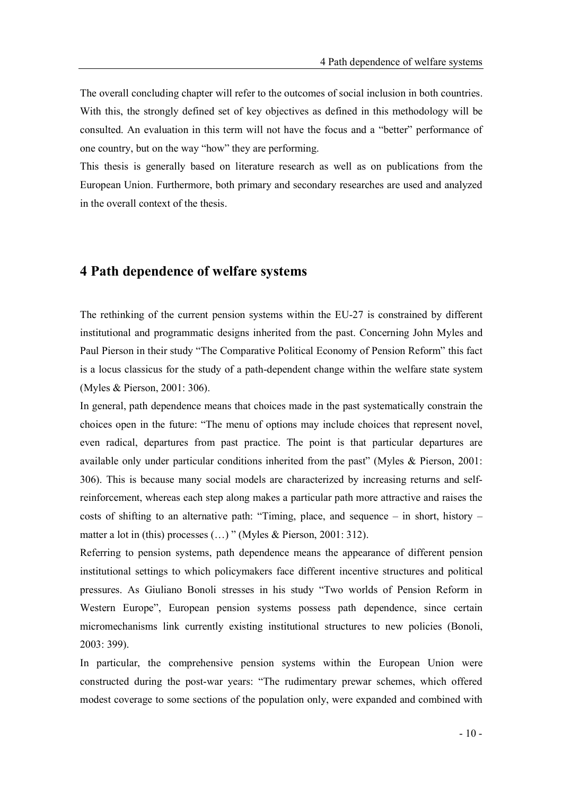The overall concluding chapter will refer to the outcomes of social inclusion in both countries. With this, the strongly defined set of key objectives as defined in this methodology will be consulted. An evaluation in this term will not have the focus and a "better" performance of one country, but on the way "how" they are performing.

This thesis is generally based on literature research as well as on publications from the European Union. Furthermore, both primary and secondary researches are used and analyzed in the overall context of the thesis.

#### 4 Path dependence of welfare systems

The rethinking of the current pension systems within the EU-27 is constrained by different institutional and programmatic designs inherited from the past. Concerning John Myles and Paul Pierson in their study "The Comparative Political Economy of Pension Reform" this fact is a locus classicus for the study of a path-dependent change within the welfare state system (Myles & Pierson, 2001: 306).

In general, path dependence means that choices made in the past systematically constrain the choices open in the future: The menu of options may include choices that represent novel, even radical, departures from past practice. The point is that particular departures are available only under particular conditions inherited from the past" (Myles  $&$  Pierson, 2001: 306). This is because many social models are characterized by increasing returns and selfreinforcement, whereas each step along makes a particular path more attractive and raises the costs of shifting to an alternative path: "Timing, place, and sequence  $-$  in short, history  $$ matter a lot in (this) processes  $(...)$  " (Myles & Pierson, 2001: 312).

Referring to pension systems, path dependence means the appearance of different pension institutional settings to which policymakers face different incentive structures and political pressures. As Giuliano Bonoli stresses in his study Two worlds of Pension Reform in Western Europe", European pension systems possess path dependence, since certain micromechanisms link currently existing institutional structures to new policies (Bonoli, 2003: 399).

In particular, the comprehensive pension systems within the European Union were constructed during the post-war years: The rudimentary prewar schemes, which offered modest coverage to some sections of the population only, were expanded and combined with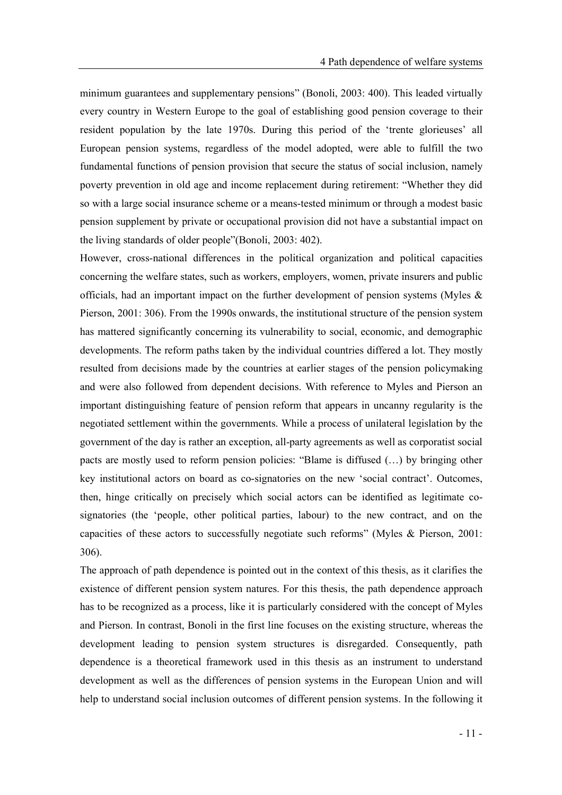minimum guarantees and supplementary pensions" (Bonoli,  $2003$ : 400). This leaded virtually every country in Western Europe to the goal of establishing good pension coverage to their resident population by the late 1970s. During this period of the trente glorieuses' all European pension systems, regardless of the model adopted, were able to fulfill the two fundamental functions of pension provision that secure the status of social inclusion, namely poverty prevention in old age and income replacement during retirement: Whether they did so with a large social insurance scheme or a means-tested minimum or through a modest basic pension supplement by private or occupational provision did not have a substantial impact on the living standards of older people"(Bonoli, 2003: 402).

However, cross-national differences in the political organization and political capacities concerning the welfare states, such as workers, employers, women, private insurers and public officials, had an important impact on the further development of pension systems (Myles & Pierson, 2001: 306). From the 1990s onwards, the institutional structure of the pension system has mattered significantly concerning its vulnerability to social, economic, and demographic developments. The reform paths taken by the individual countries differed a lot. They mostly resulted from decisions made by the countries at earlier stages of the pension policymaking and were also followed from dependent decisions. With reference to Myles and Pierson an important distinguishing feature of pension reform that appears in uncanny regularity is the negotiated settlement within the governments. While a process of unilateral legislation by the government of the day is rather an exception, all-party agreements as well as corporatist social pacts are mostly used to reform pension policies: "Blame is diffused  $(\ldots)$  by bringing other key institutional actors on board as co-signatories on the new 'social contract'. Outcomes, then, hinge critically on precisely which social actors can be identified as legitimate cosignatories (the 'people, other political parties, labour) to the new contract, and on the capacities of these actors to successfully negotiate such reforms" (Myles  $\&$  Pierson, 2001: 306).

The approach of path dependence is pointed out in the context of this thesis, as it clarifies the existence of different pension system natures. For this thesis, the path dependence approach has to be recognized as a process, like it is particularly considered with the concept of Myles and Pierson. In contrast, Bonoli in the first line focuses on the existing structure, whereas the development leading to pension system structures is disregarded. Consequently, path dependence is a theoretical framework used in this thesis as an instrument to understand development as well as the differences of pension systems in the European Union and will help to understand social inclusion outcomes of different pension systems. In the following it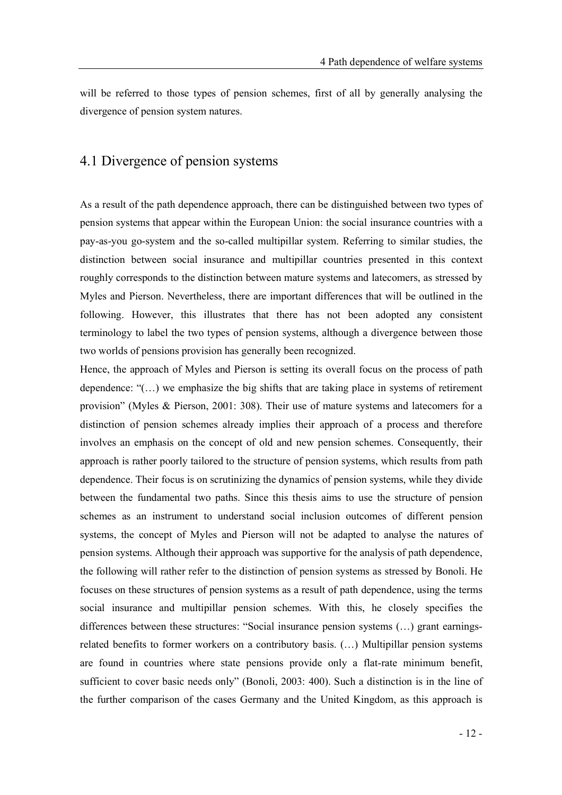will be referred to those types of pension schemes, first of all by generally analysing the divergence of pension system natures.

### 4.1 Divergence of pension systems

As a result of the path dependence approach, there can be distinguished between two types of pension systems that appear within the European Union: the social insurance countries with a pay-as-you go-system and the so-called multipillar system. Referring to similar studies, the distinction between social insurance and multipillar countries presented in this context roughly corresponds to the distinction between mature systems and latecomers, as stressed by Myles and Pierson. Nevertheless, there are important differences that will be outlined in the following. However, this illustrates that there has not been adopted any consistent terminology to label the two types of pension systems, although a divergence between those two worlds of pensions provision has generally been recognized.

Hence, the approach of Myles and Pierson is setting its overall focus on the process of path dependence:  $((\dots))$  we emphasize the big shifts that are taking place in systems of retirement provision" (Myles & Pierson, 2001: 308). Their use of mature systems and latecomers for a distinction of pension schemes already implies their approach of a process and therefore involves an emphasis on the concept of old and new pension schemes. Consequently, their approach is rather poorly tailored to the structure of pension systems, which results from path dependence. Their focus is on scrutinizing the dynamics of pension systems, while they divide between the fundamental two paths. Since this thesis aims to use the structure of pension schemes as an instrument to understand social inclusion outcomes of different pension systems, the concept of Myles and Pierson will not be adapted to analyse the natures of pension systems. Although their approach was supportive for the analysis of path dependence, the following will rather refer to the distinction of pension systems as stressed by Bonoli. He focuses on these structures of pension systems as a result of path dependence, using the terms social insurance and multipillar pension schemes. With this, he closely specifies the differences between these structures: "Social insurance pension systems  $(...)$  grant earningsrelated benefits to former workers on a contributory basis. (...) Multipillar pension systems are found in countries where state pensions provide only a flat-rate minimum benefit, sufficient to cover basic needs only" (Bonoli, 2003: 400). Such a distinction is in the line of the further comparison of the cases Germany and the United Kingdom, as this approach is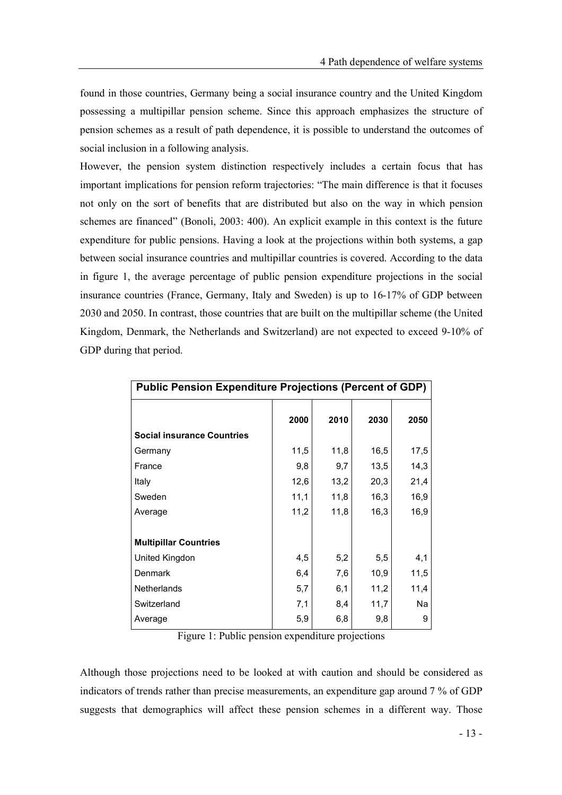found in those countries, Germany being a social insurance country and the United Kingdom possessing a multipillar pension scheme. Since this approach emphasizes the structure of pension schemes as a result of path dependence, it is possible to understand the outcomes of social inclusion in a following analysis.

However, the pension system distinction respectively includes a certain focus that has important implications for pension reform trajectories: "The main difference is that it focuses not only on the sort of benefits that are distributed but also on the way in which pension schemes are financed" (Bonoli, 2003: 400). An explicit example in this context is the future expenditure for public pensions. Having a look at the projections within both systems, a gap between social insurance countries and multipillar countries is covered. According to the data in figure 1, the average percentage of public pension expenditure projections in the social insurance countries (France, Germany, Italy and Sweden) is up to 16-17% of GDP between 2030 and 2050. In contrast, those countries that are built on the multipillar scheme (the United Kingdom, Denmark, the Netherlands and Switzerland) are not expected to exceed 9-10% of GDP during that period.

| <b>Public Pension Expenditure Projections (Percent of GDP)</b> |      |      |      |      |  |
|----------------------------------------------------------------|------|------|------|------|--|
|                                                                | 2000 | 2010 | 2030 | 2050 |  |
| <b>Social insurance Countries</b>                              |      |      |      |      |  |
| Germany                                                        | 11,5 | 11,8 | 16,5 | 17,5 |  |
| France                                                         | 9,8  | 9,7  | 13,5 | 14,3 |  |
| Italy                                                          | 12,6 | 13,2 | 20,3 | 21,4 |  |
| Sweden                                                         | 11,1 | 11,8 | 16,3 | 16,9 |  |
| Average                                                        | 11,2 | 11,8 | 16,3 | 16,9 |  |
|                                                                |      |      |      |      |  |
| <b>Multipillar Countries</b>                                   |      |      |      |      |  |
| United Kingdon                                                 | 4,5  | 5,2  | 5,5  | 4,1  |  |
| Denmark                                                        | 6,4  | 7,6  | 10,9 | 11,5 |  |
| Netherlands                                                    | 5,7  | 6,1  | 11,2 | 11,4 |  |
| Switzerland                                                    | 7,1  | 8,4  | 11,7 | Na   |  |
| Average                                                        | 5,9  | 6,8  | 9,8  | 9    |  |

Figure 1: Public pension expenditure projections

Although those projections need to be looked at with caution and should be considered as indicators of trends rather than precise measurements, an expenditure gap around 7 % of GDP suggests that demographics will affect these pension schemes in a different way. Those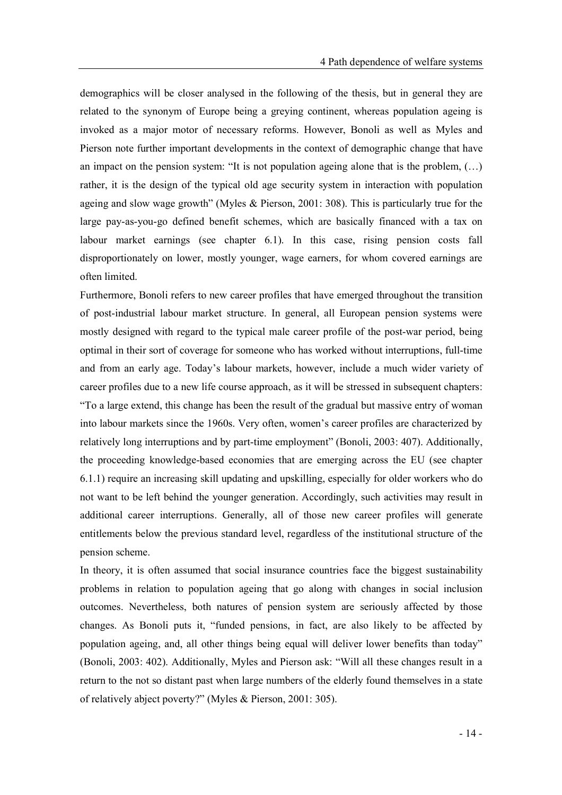demographics will be closer analysed in the following of the thesis, but in general they are related to the synonym of Europe being a greying continent, whereas population ageing is invoked as a major motor of necessary reforms. However, Bonoli as well as Myles and Pierson note further important developments in the context of demographic change that have an impact on the pension system: "It is not population ageing alone that is the problem,  $(...)$ rather, it is the design of the typical old age security system in interaction with population ageing and slow wage growth" (Myles  $\&$  Pierson, 2001: 308). This is particularly true for the large pay-as-you-go defined benefit schemes, which are basically financed with a tax on labour market earnings (see chapter 6.1). In this case, rising pension costs fall disproportionately on lower, mostly younger, wage earners, for whom covered earnings are often limited.

Furthermore, Bonoli refers to new career profiles that have emerged throughout the transition of post-industrial labour market structure. In general, all European pension systems were mostly designed with regard to the typical male career profile of the post-war period, being optimal in their sort of coverage for someone who has worked without interruptions, full-time and from an early age. Today's labour markets, however, include a much wider variety of career profiles due to a new life course approach, as it will be stressed in subsequent chapters: To a large extend, this change has been the result of the gradual but massive entry of woman into labour markets since the 1960s. Very often, women's career profiles are characterized by relatively long interruptions and by part-time employment" (Bonoli, 2003: 407). Additionally, the proceeding knowledge-based economies that are emerging across the EU (see chapter 6.1.1) require an increasing skill updating and upskilling, especially for older workers who do not want to be left behind the younger generation. Accordingly, such activities may result in additional career interruptions. Generally, all of those new career profiles will generate entitlements below the previous standard level, regardless of the institutional structure of the pension scheme.

In theory, it is often assumed that social insurance countries face the biggest sustainability problems in relation to population ageing that go along with changes in social inclusion outcomes. Nevertheless, both natures of pension system are seriously affected by those changes. As Bonoli puts it, funded pensions, in fact, are also likely to be affected by population ageing, and, all other things being equal will deliver lower benefits than today (Bonoli, 2003: 402). Additionally, Myles and Pierson ask: "Will all these changes result in a return to the not so distant past when large numbers of the elderly found themselves in a state of relatively abject poverty?" (Myles & Pierson, 2001: 305).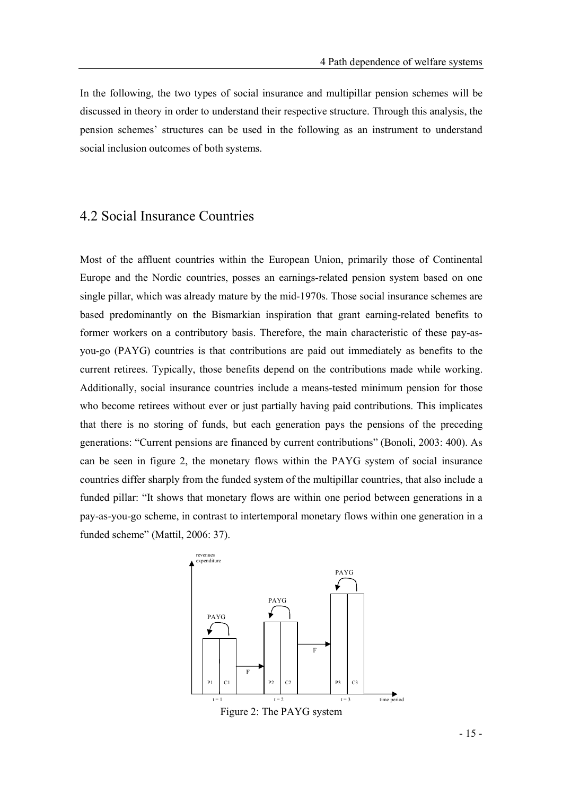In the following, the two types of social insurance and multipillar pension schemes will be discussed in theory in order to understand their respective structure. Through this analysis, the pension schemes' structures can be used in the following as an instrument to understand social inclusion outcomes of both systems.

#### 4.2 Social Insurance Countries

Most of the affluent countries within the European Union, primarily those of Continental Europe and the Nordic countries, posses an earnings-related pension system based on one single pillar, which was already mature by the mid-1970s. Those social insurance schemes are based predominantly on the Bismarkian inspiration that grant earning-related benefits to former workers on a contributory basis. Therefore, the main characteristic of these pay-asyou-go (PAYG) countries is that contributions are paid out immediately as benefits to the current retirees. Typically, those benefits depend on the contributions made while working. Additionally, social insurance countries include a means-tested minimum pension for those who become retirees without ever or just partially having paid contributions. This implicates that there is no storing of funds, but each generation pays the pensions of the preceding generations: "Current pensions are financed by current contributions" (Bonoli, 2003: 400). As can be seen in figure 2, the monetary flows within the PAYG system of social insurance countries differ sharply from the funded system of the multipillar countries, that also include a funded pillar: "It shows that monetary flows are within one period between generations in a pay-as-you-go scheme, in contrast to intertemporal monetary flows within one generation in a funded scheme" (Mattil, 2006: 37).



- 15 -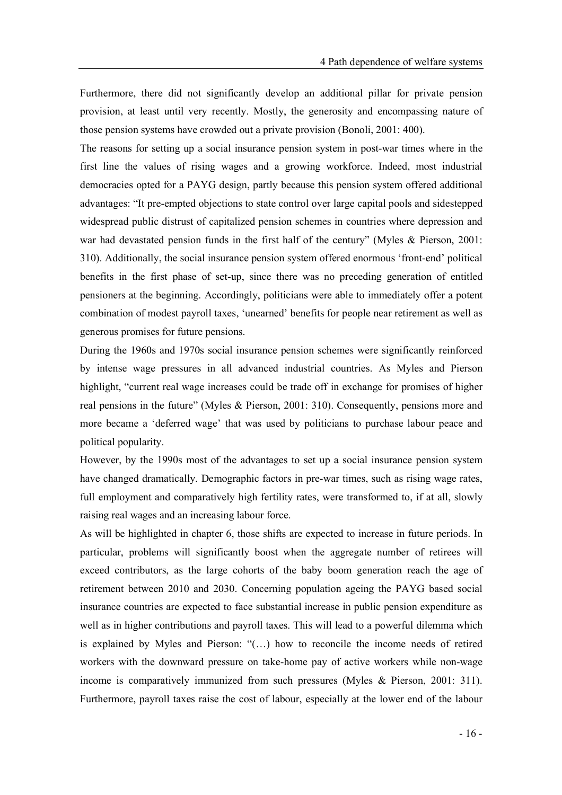Furthermore, there did not significantly develop an additional pillar for private pension provision, at least until very recently. Mostly, the generosity and encompassing nature of those pension systems have crowded out a private provision (Bonoli, 2001: 400).

The reasons for setting up a social insurance pension system in post-war times where in the first line the values of rising wages and a growing workforce. Indeed, most industrial democracies opted for a PAYG design, partly because this pension system offered additional advantages: "It pre-empted objections to state control over large capital pools and sidestepped widespread public distrust of capitalized pension schemes in countries where depression and war had devastated pension funds in the first half of the century" (Myles & Pierson, 2001: 310). Additionally, the social insurance pension system offered enormous 'front-end' political benefits in the first phase of set-up, since there was no preceding generation of entitled pensioners at the beginning. Accordingly, politicians were able to immediately offer a potent combination of modest payroll taxes, 'unearned' benefits for people near retirement as well as generous promises for future pensions.

During the 1960s and 1970s social insurance pension schemes were significantly reinforced by intense wage pressures in all advanced industrial countries. As Myles and Pierson highlight, "current real wage increases could be trade off in exchange for promises of higher real pensions in the future" (Myles & Pierson, 2001: 310). Consequently, pensions more and more became a 'deferred wage' that was used by politicians to purchase labour peace and political popularity.

However, by the 1990s most of the advantages to set up a social insurance pension system have changed dramatically. Demographic factors in pre-war times, such as rising wage rates, full employment and comparatively high fertility rates, were transformed to, if at all, slowly raising real wages and an increasing labour force.

As will be highlighted in chapter 6, those shifts are expected to increase in future periods. In particular, problems will significantly boost when the aggregate number of retirees will exceed contributors, as the large cohorts of the baby boom generation reach the age of retirement between 2010 and 2030. Concerning population ageing the PAYG based social insurance countries are expected to face substantial increase in public pension expenditure as well as in higher contributions and payroll taxes. This will lead to a powerful dilemma which is explained by Myles and Pierson:  $((\ldots))$  how to reconcile the income needs of retired workers with the downward pressure on take-home pay of active workers while non-wage income is comparatively immunized from such pressures (Myles & Pierson, 2001: 311). Furthermore, payroll taxes raise the cost of labour, especially at the lower end of the labour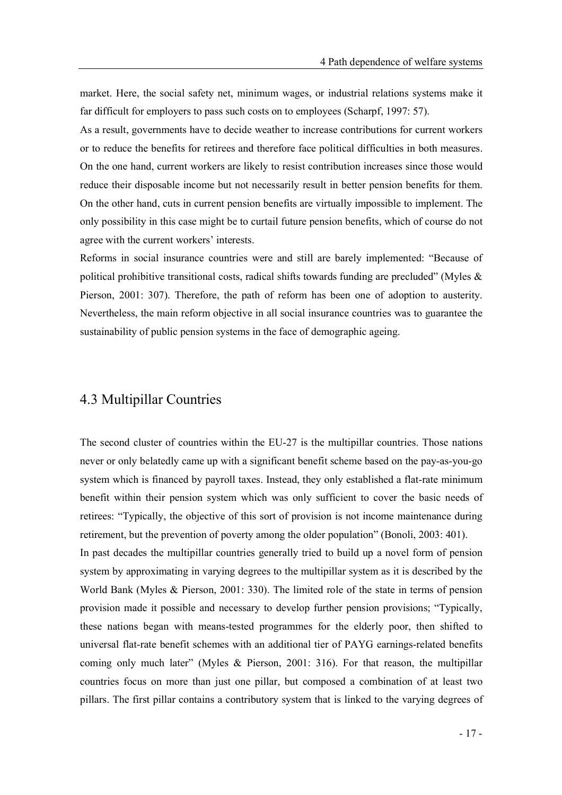market. Here, the social safety net, minimum wages, or industrial relations systems make it far difficult for employers to pass such costs on to employees (Scharpf, 1997: 57).

As a result, governments have to decide weather to increase contributions for current workers or to reduce the benefits for retirees and therefore face political difficulties in both measures. On the one hand, current workers are likely to resist contribution increases since those would reduce their disposable income but not necessarily result in better pension benefits for them. On the other hand, cuts in current pension benefits are virtually impossible to implement. The only possibility in this case might be to curtail future pension benefits, which of course do not agree with the current workers' interests.

Reforms in social insurance countries were and still are barely implemented: "Because of political prohibitive transitional costs, radical shifts towards funding are precluded" (Myles  $\&$ Pierson, 2001: 307). Therefore, the path of reform has been one of adoption to austerity. Nevertheless, the main reform objective in all social insurance countries was to guarantee the sustainability of public pension systems in the face of demographic ageing.

## 4.3 Multipillar Countries

The second cluster of countries within the EU-27 is the multipillar countries. Those nations never or only belatedly came up with a significant benefit scheme based on the pay-as-you-go system which is financed by payroll taxes. Instead, they only established a flat-rate minimum benefit within their pension system which was only sufficient to cover the basic needs of retirees: Typically, the objective of this sort of provision is not income maintenance during retirement, but the prevention of poverty among the older population" (Bonoli, 2003: 401). In past decades the multipillar countries generally tried to build up a novel form of pension

system by approximating in varying degrees to the multipillar system as it is described by the World Bank (Myles & Pierson, 2001: 330). The limited role of the state in terms of pension provision made it possible and necessary to develop further pension provisions; "Typically, these nations began with means-tested programmes for the elderly poor, then shifted to universal flat-rate benefit schemes with an additional tier of PAYG earnings-related benefits coming only much later" (Myles & Pierson, 2001: 316). For that reason, the multipillar countries focus on more than just one pillar, but composed a combination of at least two pillars. The first pillar contains a contributory system that is linked to the varying degrees of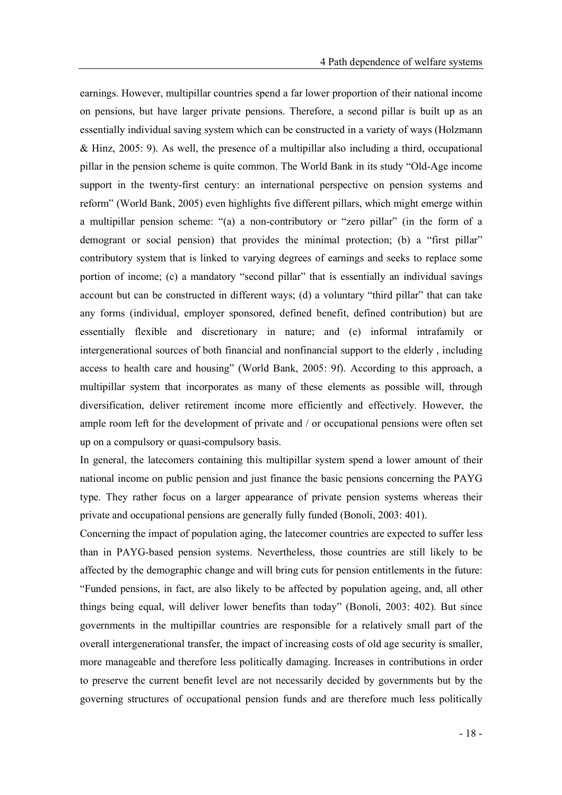earnings. However, multipillar countries spend a far lower proportion of their national income on pensions, but have larger private pensions. Therefore, a second pillar is built up as an essentially individual saving system which can be constructed in a variety of ways (Holzmann & Hinz, 2005: 9). As well, the presence of a multipillar also including a third, occupational pillar in the pension scheme is quite common. The World Bank in its study Old-Age income support in the twenty-first century: an international perspective on pension systems and reform" (World Bank, 2005) even highlights five different pillars, which might emerge within a multipillar pension scheme: "(a) a non-contributory or "zero pillar" (in the form of a demogrant or social pension) that provides the minimal protection; (b) a "first pillar" contributory system that is linked to varying degrees of earnings and seeks to replace some portion of income; (c) a mandatory "second pillar" that is essentially an individual savings account but can be constructed in different ways; (d) a voluntary "third pillar" that can take any forms (individual, employer sponsored, defined benefit, defined contribution) but are essentially flexible and discretionary in nature; and (e) informal intrafamily or intergenerational sources of both financial and nonfinancial support to the elderly , including access to health care and housing" (World Bank, 2005: 9f). According to this approach, a multipillar system that incorporates as many of these elements as possible will, through diversification, deliver retirement income more efficiently and effectively. However, the ample room left for the development of private and / or occupational pensions were often set up on a compulsory or quasi-compulsory basis.

In general, the latecomers containing this multipillar system spend a lower amount of their national income on public pension and just finance the basic pensions concerning the PAYG type. They rather focus on a larger appearance of private pension systems whereas their private and occupational pensions are generally fully funded (Bonoli, 2003: 401).

Concerning the impact of population aging, the latecomer countries are expected to suffer less than in PAYG-based pension systems. Nevertheless, those countries are still likely to be affected by the demographic change and will bring cuts for pension entitlements in the future: Funded pensions, in fact, are also likely to be affected by population ageing, and, all other things being equal, will deliver lower benefits than today" (Bonoli, 2003: 402). But since governments in the multipillar countries are responsible for a relatively small part of the overall intergenerational transfer, the impact of increasing costs of old age security is smaller, more manageable and therefore less politically damaging. Increases in contributions in order to preserve the current benefit level are not necessarily decided by governments but by the governing structures of occupational pension funds and are therefore much less politically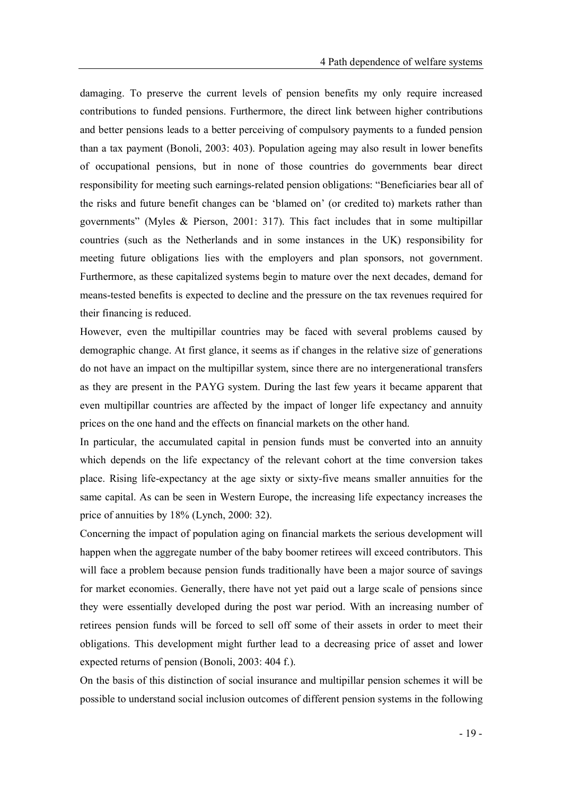damaging. To preserve the current levels of pension benefits my only require increased contributions to funded pensions. Furthermore, the direct link between higher contributions and better pensions leads to a better perceiving of compulsory payments to a funded pension than a tax payment (Bonoli, 2003: 403). Population ageing may also result in lower benefits of occupational pensions, but in none of those countries do governments bear direct responsibility for meeting such earnings-related pension obligations: "Beneficiaries bear all of the risks and future benefit changes can be 'blamed on' (or credited to) markets rather than governments" (Myles & Pierson, 2001: 317). This fact includes that in some multipillar countries (such as the Netherlands and in some instances in the UK) responsibility for meeting future obligations lies with the employers and plan sponsors, not government. Furthermore, as these capitalized systems begin to mature over the next decades, demand for means-tested benefits is expected to decline and the pressure on the tax revenues required for their financing is reduced.

However, even the multipillar countries may be faced with several problems caused by demographic change. At first glance, it seems as if changes in the relative size of generations do not have an impact on the multipillar system, since there are no intergenerational transfers as they are present in the PAYG system. During the last few years it became apparent that even multipillar countries are affected by the impact of longer life expectancy and annuity prices on the one hand and the effects on financial markets on the other hand.

In particular, the accumulated capital in pension funds must be converted into an annuity which depends on the life expectancy of the relevant cohort at the time conversion takes place. Rising life-expectancy at the age sixty or sixty-five means smaller annuities for the same capital. As can be seen in Western Europe, the increasing life expectancy increases the price of annuities by 18% (Lynch, 2000: 32).

Concerning the impact of population aging on financial markets the serious development will happen when the aggregate number of the baby boomer retirees will exceed contributors. This will face a problem because pension funds traditionally have been a major source of savings for market economies. Generally, there have not yet paid out a large scale of pensions since they were essentially developed during the post war period. With an increasing number of retirees pension funds will be forced to sell off some of their assets in order to meet their obligations. This development might further lead to a decreasing price of asset and lower expected returns of pension (Bonoli, 2003: 404 f.).

On the basis of this distinction of social insurance and multipillar pension schemes it will be possible to understand social inclusion outcomes of different pension systems in the following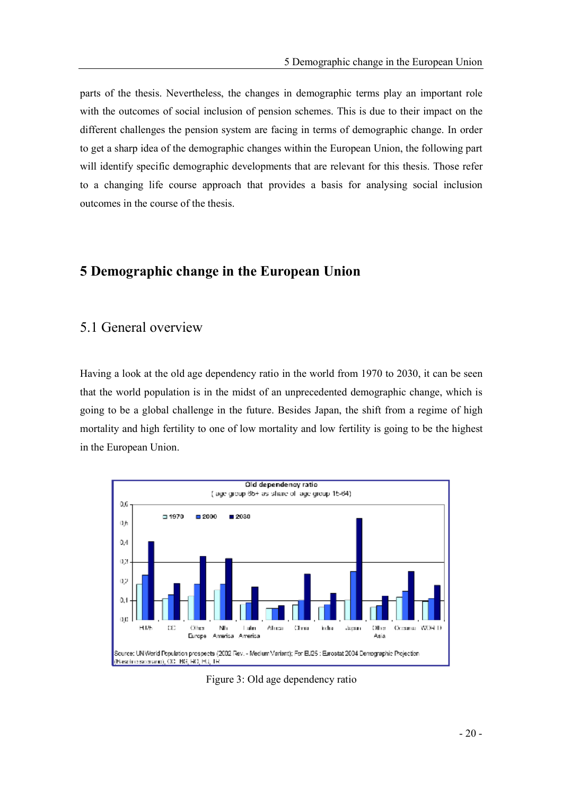parts of the thesis. Nevertheless, the changes in demographic terms play an important role with the outcomes of social inclusion of pension schemes. This is due to their impact on the different challenges the pension system are facing in terms of demographic change. In order to get a sharp idea of the demographic changes within the European Union, the following part will identify specific demographic developments that are relevant for this thesis. Those refer to a changing life course approach that provides a basis for analysing social inclusion outcomes in the course of the thesis.

### 5 Demographic change in the European Union

#### 5.1 General overview

Having a look at the old age dependency ratio in the world from 1970 to 2030, it can be seen that the world population is in the midst of an unprecedented demographic change, which is going to be a global challenge in the future. Besides Japan, the shift from a regime of high mortality and high fertility to one of low mortality and low fertility is going to be the highest in the European Union.



Figure 3: Old age dependency ratio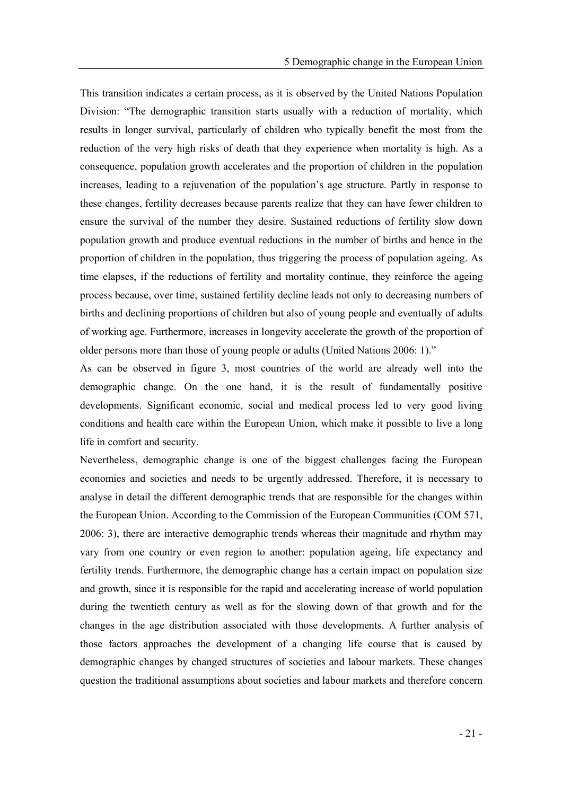This transition indicates a certain process, as it is observed by the United Nations Population Division: "The demographic transition starts usually with a reduction of mortality, which results in longer survival, particularly of children who typically benefit the most from the reduction of the very high risks of death that they experience when mortality is high. As a consequence, population growth accelerates and the proportion of children in the population increases, leading to a rejuvenation of the population's age structure. Partly in response to these changes, fertility decreases because parents realize that they can have fewer children to ensure the survival of the number they desire. Sustained reductions of fertility slow down population growth and produce eventual reductions in the number of births and hence in the proportion of children in the population, thus triggering the process of population ageing. As time elapses, if the reductions of fertility and mortality continue, they reinforce the ageing process because, over time, sustained fertility decline leads not only to decreasing numbers of births and declining proportions of children but also of young people and eventually of adults of working age. Furthermore, increases in longevity accelerate the growth of the proportion of older persons more than those of young people or adults (United Nations 2006: 1).

As can be observed in figure 3, most countries of the world are already well into the demographic change. On the one hand, it is the result of fundamentally positive developments. Significant economic, social and medical process led to very good living conditions and health care within the European Union, which make it possible to live a long life in comfort and security.

Nevertheless, demographic change is one of the biggest challenges facing the European economies and societies and needs to be urgently addressed. Therefore, it is necessary to analyse in detail the different demographic trends that are responsible for the changes within the European Union. According to the Commission of the European Communities (COM 571, 2006: 3), there are interactive demographic trends whereas their magnitude and rhythm may vary from one country or even region to another: population ageing, life expectancy and fertility trends. Furthermore, the demographic change has a certain impact on population size and growth, since it is responsible for the rapid and accelerating increase of world population during the twentieth century as well as for the slowing down of that growth and for the changes in the age distribution associated with those developments. A further analysis of those factors approaches the development of a changing life course that is caused by demographic changes by changed structures of societies and labour markets. These changes question the traditional assumptions about societies and labour markets and therefore concern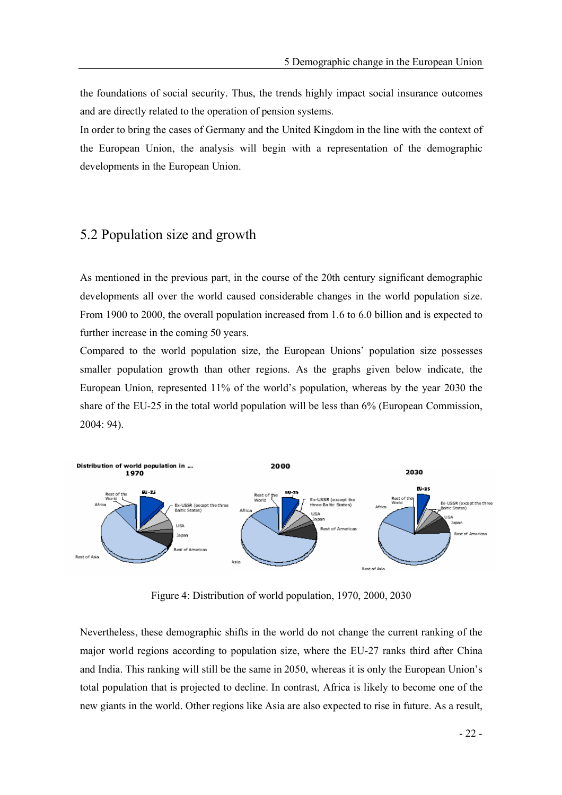the foundations of social security. Thus, the trends highly impact social insurance outcomes and are directly related to the operation of pension systems.

In order to bring the cases of Germany and the United Kingdom in the line with the context of the European Union, the analysis will begin with a representation of the demographic developments in the European Union.

#### 5.2 Population size and growth

As mentioned in the previous part, in the course of the 20th century significant demographic developments all over the world caused considerable changes in the world population size. From 1900 to 2000, the overall population increased from 1.6 to 6.0 billion and is expected to further increase in the coming 50 years.

Compared to the world population size, the European Unions' population size possesses smaller population growth than other regions. As the graphs given below indicate, the European Union, represented  $11\%$  of the world's population, whereas by the year 2030 the share of the EU-25 in the total world population will be less than 6% (European Commission, 2004: 94).



Figure 4: Distribution of world population, 1970, 2000, 2030

Nevertheless, these demographic shifts in the world do not change the current ranking of the major world regions according to population size, where the EU-27 ranks third after China and India. This ranking will still be the same in 2050, whereas it is only the European Union's total population that is projected to decline. In contrast, Africa is likely to become one of the new giants in the world. Other regions like Asia are also expected to rise in future. As a result,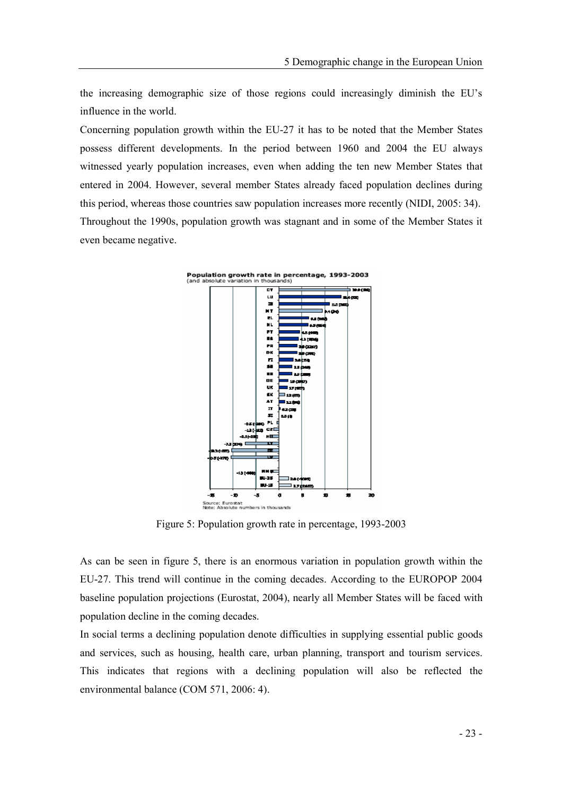the increasing demographic size of those regions could increasingly diminish the EUs influence in the world.

Concerning population growth within the EU-27 it has to be noted that the Member States possess different developments. In the period between 1960 and 2004 the EU always witnessed yearly population increases, even when adding the ten new Member States that entered in 2004. However, several member States already faced population declines during this period, whereas those countries saw population increases more recently (NIDI, 2005: 34). Throughout the 1990s, population growth was stagnant and in some of the Member States it even became negative.



Figure 5: Population growth rate in percentage, 1993-2003

As can be seen in figure 5, there is an enormous variation in population growth within the EU-27. This trend will continue in the coming decades. According to the EUROPOP 2004 baseline population projections (Eurostat, 2004), nearly all Member States will be faced with population decline in the coming decades.

In social terms a declining population denote difficulties in supplying essential public goods and services, such as housing, health care, urban planning, transport and tourism services. This indicates that regions with a declining population will also be reflected the environmental balance (COM 571, 2006: 4).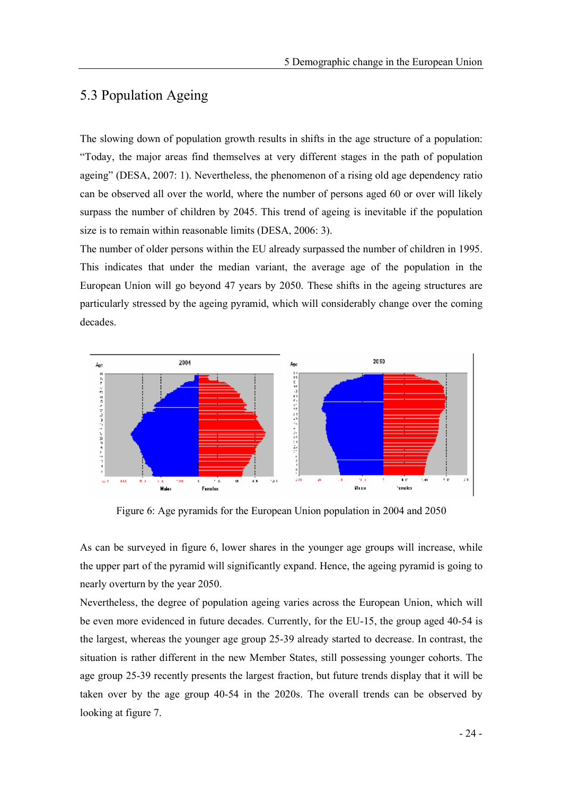### 5.3 Population Ageing

The slowing down of population growth results in shifts in the age structure of a population: Today, the major areas find themselves at very different stages in the path of population ageing" (DESA, 2007: 1). Nevertheless, the phenomenon of a rising old age dependency ratio can be observed all over the world, where the number of persons aged 60 or over will likely surpass the number of children by 2045. This trend of ageing is inevitable if the population size is to remain within reasonable limits (DESA, 2006: 3).

The number of older persons within the EU already surpassed the number of children in 1995. This indicates that under the median variant, the average age of the population in the European Union will go beyond 47 years by 2050. These shifts in the ageing structures are particularly stressed by the ageing pyramid, which will considerably change over the coming decades.



Figure 6: Age pyramids for the European Union population in 2004 and 2050

As can be surveyed in figure 6, lower shares in the younger age groups will increase, while the upper part of the pyramid will significantly expand. Hence, the ageing pyramid is going to nearly overturn by the year 2050.

Nevertheless, the degree of population ageing varies across the European Union, which will be even more evidenced in future decades. Currently, for the EU-15, the group aged 40-54 is the largest, whereas the younger age group 25-39 already started to decrease. In contrast, the situation is rather different in the new Member States, still possessing younger cohorts. The age group 25-39 recently presents the largest fraction, but future trends display that it will be taken over by the age group 40-54 in the 2020s. The overall trends can be observed by looking at figure 7.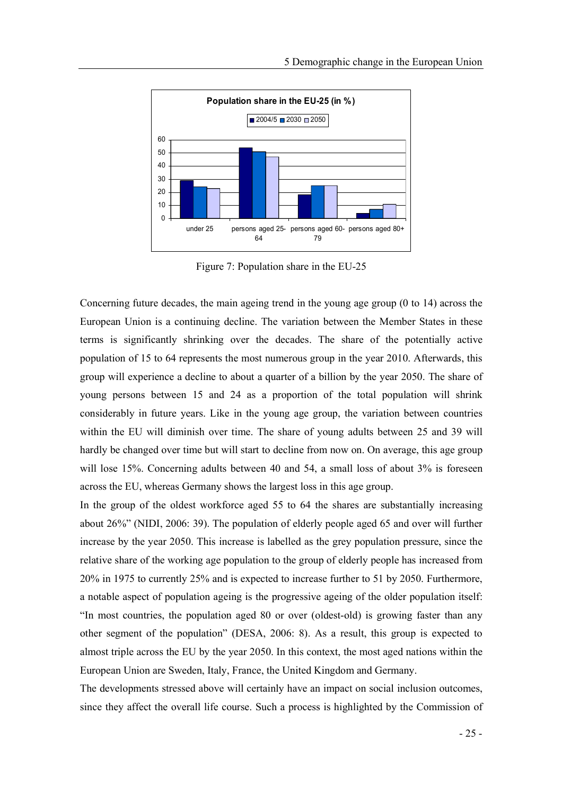

Figure 7: Population share in the EU-25

Concerning future decades, the main ageing trend in the young age group (0 to 14) across the European Union is a continuing decline. The variation between the Member States in these terms is significantly shrinking over the decades. The share of the potentially active population of 15 to 64 represents the most numerous group in the year 2010. Afterwards, this group will experience a decline to about a quarter of a billion by the year 2050. The share of young persons between 15 and 24 as a proportion of the total population will shrink considerably in future years. Like in the young age group, the variation between countries within the EU will diminish over time. The share of young adults between 25 and 39 will hardly be changed over time but will start to decline from now on. On average, this age group will lose 15%. Concerning adults between 40 and 54, a small loss of about 3% is foreseen across the EU, whereas Germany shows the largest loss in this age group.

In the group of the oldest workforce aged 55 to 64 the shares are substantially increasing about 26% (NIDI, 2006: 39). The population of elderly people aged 65 and over will further increase by the year 2050. This increase is labelled as the grey population pressure, since the relative share of the working age population to the group of elderly people has increased from 20% in 1975 to currently 25% and is expected to increase further to 51 by 2050. Furthermore, a notable aspect of population ageing is the progressive ageing of the older population itself: In most countries, the population aged 80 or over (oldest-old) is growing faster than any other segment of the population" (DESA,  $2006: 8$ ). As a result, this group is expected to almost triple across the EU by the year 2050. In this context, the most aged nations within the European Union are Sweden, Italy, France, the United Kingdom and Germany.

The developments stressed above will certainly have an impact on social inclusion outcomes, since they affect the overall life course. Such a process is highlighted by the Commission of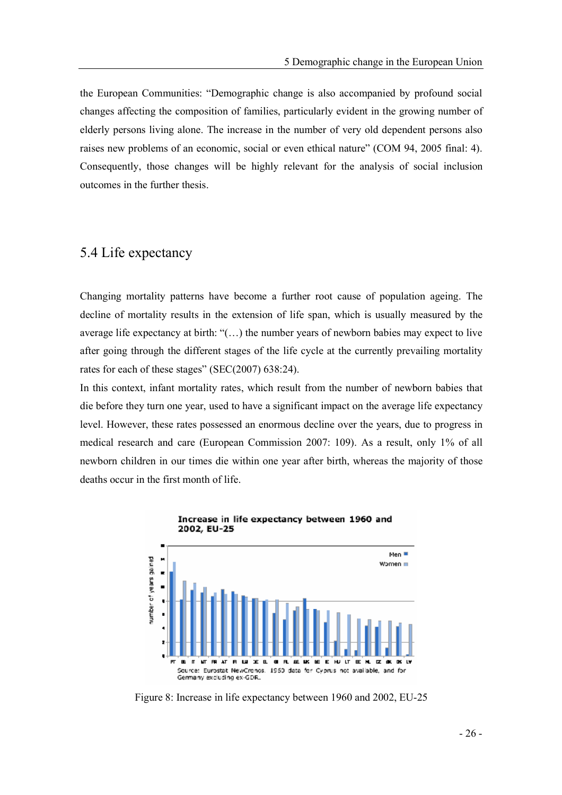the European Communities: "Demographic change is also accompanied by profound social changes affecting the composition of families, particularly evident in the growing number of elderly persons living alone. The increase in the number of very old dependent persons also raises new problems of an economic, social or even ethical nature" (COM 94, 2005 final: 4). Consequently, those changes will be highly relevant for the analysis of social inclusion outcomes in the further thesis.

#### 5.4 Life expectancy

Changing mortality patterns have become a further root cause of population ageing. The decline of mortality results in the extension of life span, which is usually measured by the average life expectancy at birth: " $($ ...) the number years of newborn babies may expect to live after going through the different stages of the life cycle at the currently prevailing mortality rates for each of these stages" (SEC(2007)  $638:24$ ).

In this context, infant mortality rates, which result from the number of newborn babies that die before they turn one year, used to have a significant impact on the average life expectancy level. However, these rates possessed an enormous decline over the years, due to progress in medical research and care (European Commission 2007: 109). As a result, only 1% of all newborn children in our times die within one year after birth, whereas the majority of those deaths occur in the first month of life.



Figure 8: Increase in life expectancy between 1960 and 2002, EU-25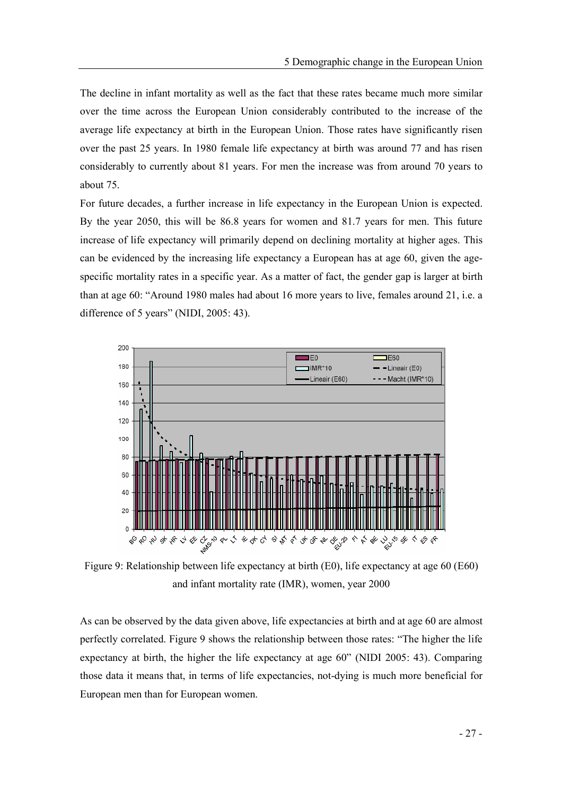The decline in infant mortality as well as the fact that these rates became much more similar over the time across the European Union considerably contributed to the increase of the average life expectancy at birth in the European Union. Those rates have significantly risen over the past 25 years. In 1980 female life expectancy at birth was around 77 and has risen considerably to currently about 81 years. For men the increase was from around 70 years to about 75.

For future decades, a further increase in life expectancy in the European Union is expected. By the year 2050, this will be 86.8 years for women and 81.7 years for men. This future increase of life expectancy will primarily depend on declining mortality at higher ages. This can be evidenced by the increasing life expectancy a European has at age 60, given the agespecific mortality rates in a specific year. As a matter of fact, the gender gap is larger at birth than at age 60: "Around 1980 males had about 16 more years to live, females around 21, i.e. a difference of 5 years" (NIDI,  $2005:43$ ).



Figure 9: Relationship between life expectancy at birth (E0), life expectancy at age 60 (E60) and infant mortality rate (IMR), women, year 2000

As can be observed by the data given above, life expectancies at birth and at age 60 are almost perfectly correlated. Figure 9 shows the relationship between those rates: The higher the life expectancy at birth, the higher the life expectancy at age  $60^{\circ}$  (NIDI 2005: 43). Comparing those data it means that, in terms of life expectancies, not-dying is much more beneficial for European men than for European women.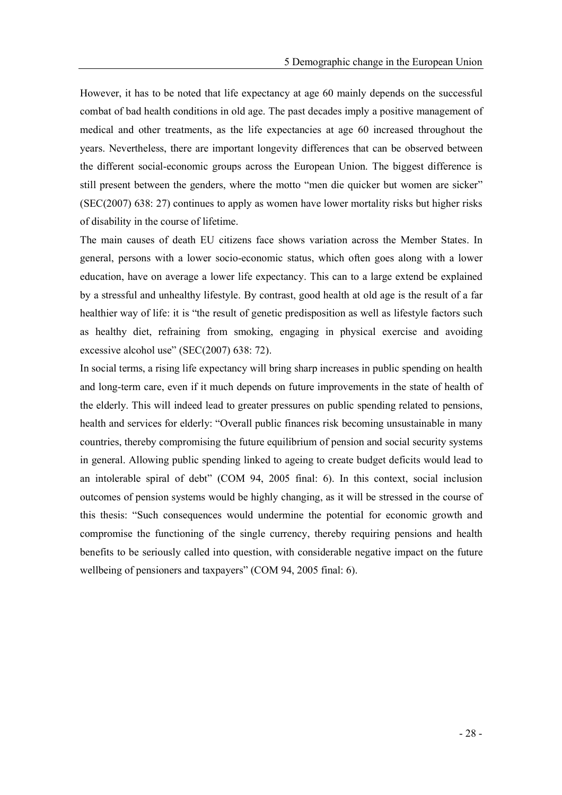However, it has to be noted that life expectancy at age 60 mainly depends on the successful combat of bad health conditions in old age. The past decades imply a positive management of medical and other treatments, as the life expectancies at age 60 increased throughout the years. Nevertheless, there are important longevity differences that can be observed between the different social-economic groups across the European Union. The biggest difference is still present between the genders, where the motto "men die quicker but women are sicker" (SEC(2007) 638: 27) continues to apply as women have lower mortality risks but higher risks of disability in the course of lifetime.

The main causes of death EU citizens face shows variation across the Member States. In general, persons with a lower socio-economic status, which often goes along with a lower education, have on average a lower life expectancy. This can to a large extend be explained by a stressful and unhealthy lifestyle. By contrast, good health at old age is the result of a far healthier way of life: it is "the result of genetic predisposition as well as lifestyle factors such as healthy diet, refraining from smoking, engaging in physical exercise and avoiding excessive alcohol use" (SEC $(2007)$  638: 72).

In social terms, a rising life expectancy will bring sharp increases in public spending on health and long-term care, even if it much depends on future improvements in the state of health of the elderly. This will indeed lead to greater pressures on public spending related to pensions, health and services for elderly: "Overall public finances risk becoming unsustainable in many countries, thereby compromising the future equilibrium of pension and social security systems in general. Allowing public spending linked to ageing to create budget deficits would lead to an intolerable spiral of debt"  $(COM 94, 2005$  final: 6). In this context, social inclusion outcomes of pension systems would be highly changing, as it will be stressed in the course of this thesis: "Such consequences would undermine the potential for economic growth and compromise the functioning of the single currency, thereby requiring pensions and health benefits to be seriously called into question, with considerable negative impact on the future wellbeing of pensioners and taxpayers" (COM 94, 2005 final: 6).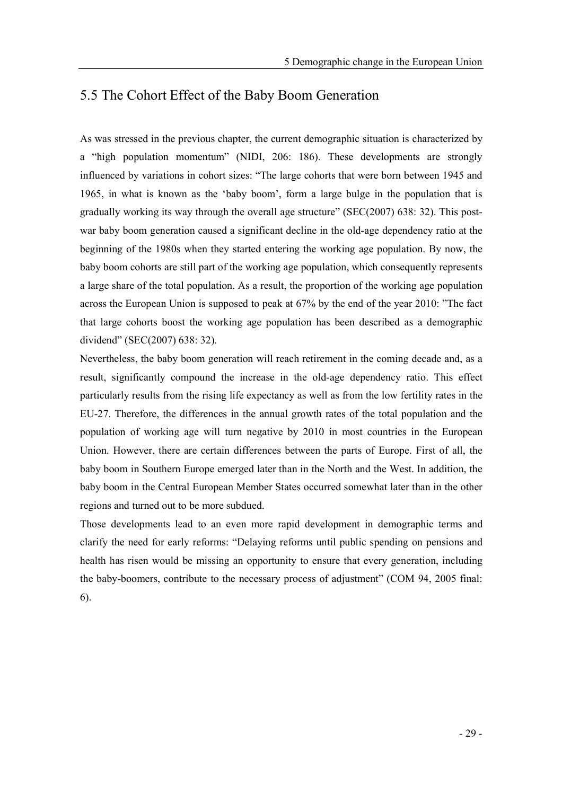### 5.5 The Cohort Effect of the Baby Boom Generation

As was stressed in the previous chapter, the current demographic situation is characterized by a "high population momentum" (NIDI, 206: 186). These developments are strongly influenced by variations in cohort sizes: "The large cohorts that were born between 1945 and 1965, in what is known as the 'baby boom', form a large bulge in the population that is gradually working its way through the overall age structure" ( $SEC(2007)$  638: 32). This postwar baby boom generation caused a significant decline in the old-age dependency ratio at the beginning of the 1980s when they started entering the working age population. By now, the baby boom cohorts are still part of the working age population, which consequently represents a large share of the total population. As a result, the proportion of the working age population across the European Union is supposed to peak at 67% by the end of the year 2010: The fact that large cohorts boost the working age population has been described as a demographic dividend" (SEC(2007) 638: 32).

Nevertheless, the baby boom generation will reach retirement in the coming decade and, as a result, significantly compound the increase in the old-age dependency ratio. This effect particularly results from the rising life expectancy as well as from the low fertility rates in the EU-27. Therefore, the differences in the annual growth rates of the total population and the population of working age will turn negative by 2010 in most countries in the European Union. However, there are certain differences between the parts of Europe. First of all, the baby boom in Southern Europe emerged later than in the North and the West. In addition, the baby boom in the Central European Member States occurred somewhat later than in the other regions and turned out to be more subdued.

Those developments lead to an even more rapid development in demographic terms and clarify the need for early reforms: "Delaying reforms until public spending on pensions and health has risen would be missing an opportunity to ensure that every generation, including the baby-boomers, contribute to the necessary process of adjustment" (COM 94, 2005 final: 6).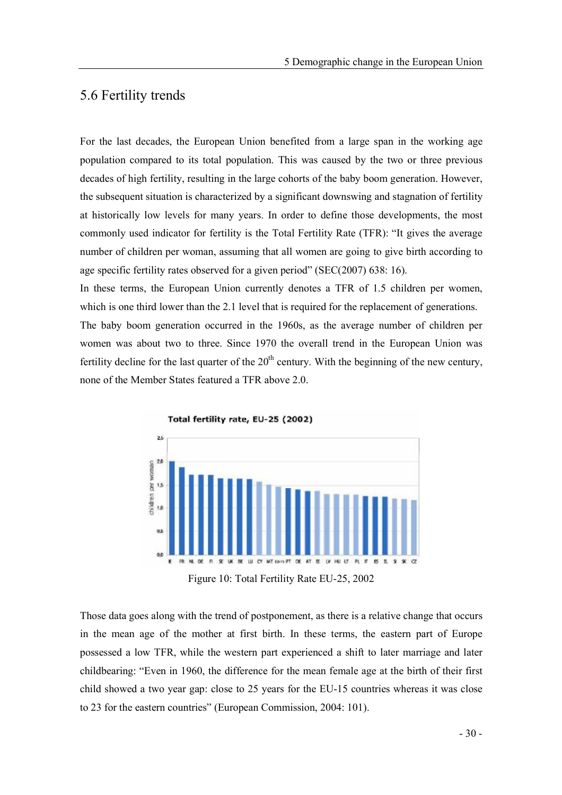#### 5.6 Fertility trends

For the last decades, the European Union benefited from a large span in the working age population compared to its total population. This was caused by the two or three previous decades of high fertility, resulting in the large cohorts of the baby boom generation. However, the subsequent situation is characterized by a significant downswing and stagnation of fertility at historically low levels for many years. In order to define those developments, the most commonly used indicator for fertility is the Total Fertility Rate (TFR): "It gives the average number of children per woman, assuming that all women are going to give birth according to age specific fertility rates observed for a given period" ( $SEC(2007)$  638: 16).

In these terms, the European Union currently denotes a TFR of 1.5 children per women, which is one third lower than the 2.1 level that is required for the replacement of generations. The baby boom generation occurred in the 1960s, as the average number of children per women was about two to three. Since 1970 the overall trend in the European Union was fertility decline for the last quarter of the  $20<sup>th</sup>$  century. With the beginning of the new century, none of the Member States featured a TFR above 2.0.



Figure 10: Total Fertility Rate EU-25, 2002

Those data goes along with the trend of postponement, as there is a relative change that occurs in the mean age of the mother at first birth. In these terms, the eastern part of Europe possessed a low TFR, while the western part experienced a shift to later marriage and later childbearing: Even in 1960, the difference for the mean female age at the birth of their first child showed a two year gap: close to 25 years for the EU-15 countries whereas it was close to 23 for the eastern countries" (European Commission, 2004: 101).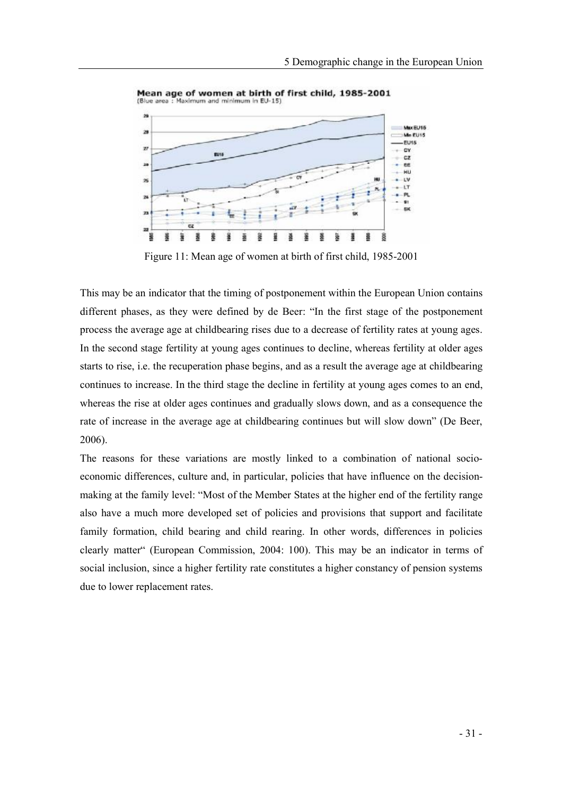

Mean age of women at birth of first child, 1985-2001 (Blue area : Maximum and minimum in EU-15)

Figure 11: Mean age of women at birth of first child, 1985-2001

This may be an indicator that the timing of postponement within the European Union contains different phases, as they were defined by de Beer: "In the first stage of the postponement process the average age at childbearing rises due to a decrease of fertility rates at young ages. In the second stage fertility at young ages continues to decline, whereas fertility at older ages starts to rise, i.e. the recuperation phase begins, and as a result the average age at childbearing continues to increase. In the third stage the decline in fertility at young ages comes to an end, whereas the rise at older ages continues and gradually slows down, and as a consequence the rate of increase in the average age at childbearing continues but will slow down" (De Beer, 2006).

The reasons for these variations are mostly linked to a combination of national socioeconomic differences, culture and, in particular, policies that have influence on the decisionmaking at the family level: "Most of the Member States at the higher end of the fertility range also have a much more developed set of policies and provisions that support and facilitate family formation, child bearing and child rearing. In other words, differences in policies clearly matter" (European Commission, 2004: 100). This may be an indicator in terms of social inclusion, since a higher fertility rate constitutes a higher constancy of pension systems due to lower replacement rates.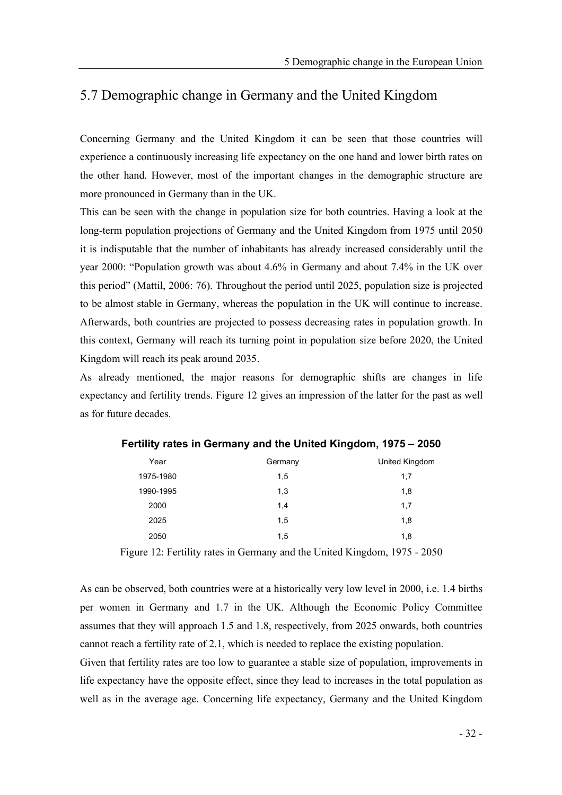# 5.7 Demographic change in Germany and the United Kingdom

Concerning Germany and the United Kingdom it can be seen that those countries will experience a continuously increasing life expectancy on the one hand and lower birth rates on the other hand. However, most of the important changes in the demographic structure are more pronounced in Germany than in the UK.

This can be seen with the change in population size for both countries. Having a look at the long-term population projections of Germany and the United Kingdom from 1975 until 2050 it is indisputable that the number of inhabitants has already increased considerably until the year 2000: "Population growth was about  $4.6\%$  in Germany and about 7.4% in the UK over this period" (Mattil, 2006: 76). Throughout the period until 2025, population size is projected to be almost stable in Germany, whereas the population in the UK will continue to increase. Afterwards, both countries are projected to possess decreasing rates in population growth. In this context, Germany will reach its turning point in population size before 2020, the United Kingdom will reach its peak around 2035.

As already mentioned, the major reasons for demographic shifts are changes in life expectancy and fertility trends. Figure 12 gives an impression of the latter for the past as well as for future decades.

| Year      | Germany | United Kingdom |
|-----------|---------|----------------|
| 1975-1980 | 1,5     | 1,7            |
| 1990-1995 | 1,3     | 1,8            |
| 2000      | 1,4     | 1,7            |
| 2025      | 1,5     | 1,8            |
| 2050      | 1,5     | 1,8            |

Fertility rates in Germany and the United Kingdom, 1975 - 2050

Figure 12: Fertility rates in Germany and the United Kingdom, 1975 - 2050

As can be observed, both countries were at a historically very low level in 2000, i.e. 1.4 births per women in Germany and 1.7 in the UK. Although the Economic Policy Committee assumes that they will approach 1.5 and 1.8, respectively, from 2025 onwards, both countries cannot reach a fertility rate of 2.1, which is needed to replace the existing population.

Given that fertility rates are too low to guarantee a stable size of population, improvements in life expectancy have the opposite effect, since they lead to increases in the total population as well as in the average age. Concerning life expectancy, Germany and the United Kingdom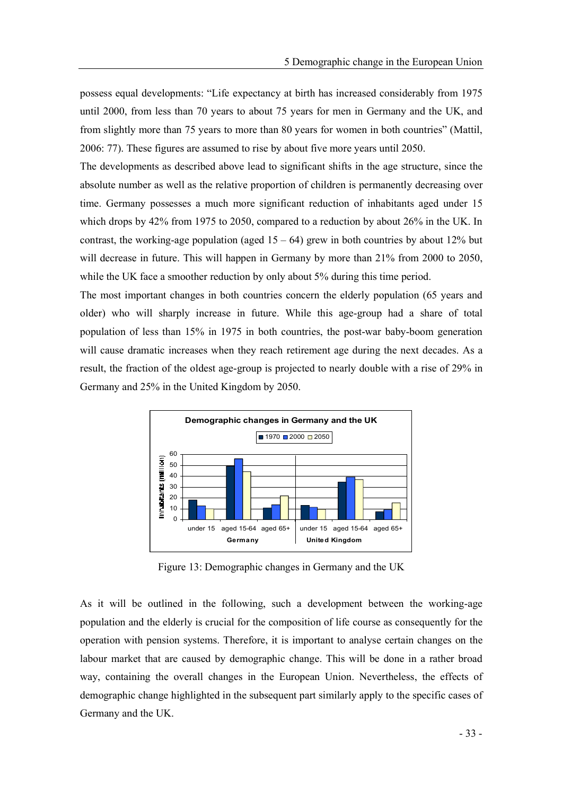possess equal developments: "Life expectancy at birth has increased considerably from 1975 until 2000, from less than 70 years to about 75 years for men in Germany and the UK, and from slightly more than 75 years to more than 80 years for women in both countries" (Mattil, 2006: 77). These figures are assumed to rise by about five more years until 2050.

The developments as described above lead to significant shifts in the age structure, since the absolute number as well as the relative proportion of children is permanently decreasing over time. Germany possesses a much more significant reduction of inhabitants aged under 15 which drops by 42% from 1975 to 2050, compared to a reduction by about 26% in the UK. In contrast, the working-age population (aged  $15 - 64$ ) grew in both countries by about 12% but will decrease in future. This will happen in Germany by more than  $21\%$  from 2000 to 2050, while the UK face a smoother reduction by only about 5% during this time period.

The most important changes in both countries concern the elderly population (65 years and older) who will sharply increase in future. While this age-group had a share of total population of less than 15% in 1975 in both countries, the post-war baby-boom generation will cause dramatic increases when they reach retirement age during the next decades. As a result, the fraction of the oldest age-group is projected to nearly double with a rise of 29% in Germany and 25% in the United Kingdom by 2050.



Figure 13: Demographic changes in Germany and the UK

As it will be outlined in the following, such a development between the working-age population and the elderly is crucial for the composition of life course as consequently for the operation with pension systems. Therefore, it is important to analyse certain changes on the labour market that are caused by demographic change. This will be done in a rather broad way, containing the overall changes in the European Union. Nevertheless, the effects of demographic change highlighted in the subsequent part similarly apply to the specific cases of Germany and the UK.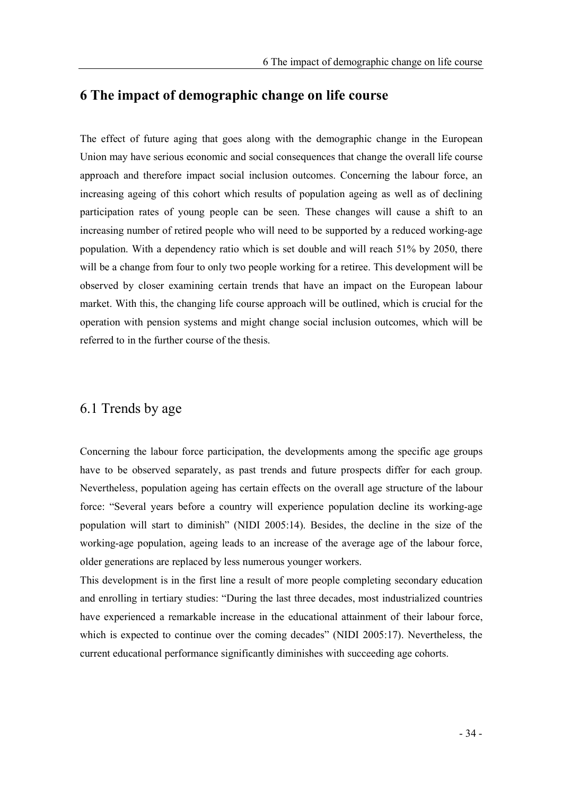#### 6 The impact of demographic change on life course

The effect of future aging that goes along with the demographic change in the European Union may have serious economic and social consequences that change the overall life course approach and therefore impact social inclusion outcomes. Concerning the labour force, an increasing ageing of this cohort which results of population ageing as well as of declining participation rates of young people can be seen. These changes will cause a shift to an increasing number of retired people who will need to be supported by a reduced working-age population. With a dependency ratio which is set double and will reach 51% by 2050, there will be a change from four to only two people working for a retiree. This development will be observed by closer examining certain trends that have an impact on the European labour market. With this, the changing life course approach will be outlined, which is crucial for the operation with pension systems and might change social inclusion outcomes, which will be referred to in the further course of the thesis.

#### 6.1 Trends by age

Concerning the labour force participation, the developments among the specific age groups have to be observed separately, as past trends and future prospects differ for each group. Nevertheless, population ageing has certain effects on the overall age structure of the labour force: "Several years before a country will experience population decline its working-age population will start to diminish" (NIDI 2005:14). Besides, the decline in the size of the working-age population, ageing leads to an increase of the average age of the labour force, older generations are replaced by less numerous younger workers.

This development is in the first line a result of more people completing secondary education and enrolling in tertiary studies: "During the last three decades, most industrialized countries have experienced a remarkable increase in the educational attainment of their labour force, which is expected to continue over the coming decades" (NIDI  $2005:17$ ). Nevertheless, the current educational performance significantly diminishes with succeeding age cohorts.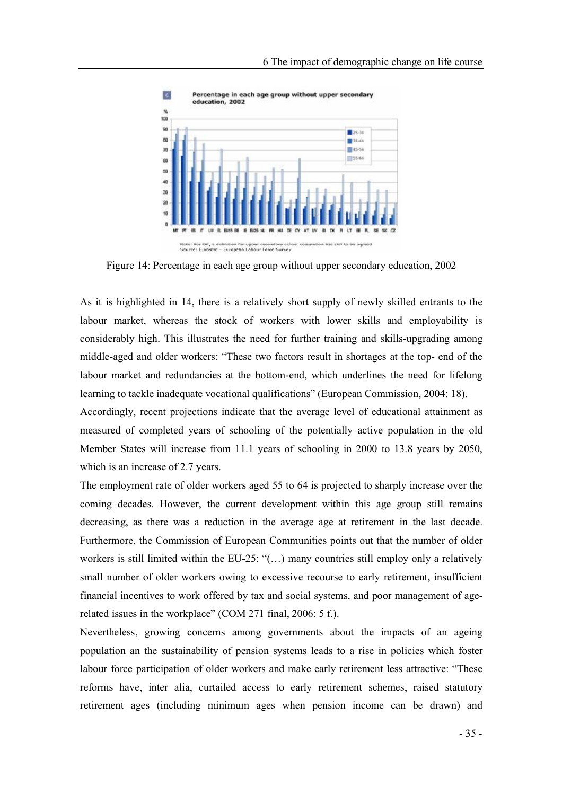

Figure 14: Percentage in each age group without upper secondary education, 2002

As it is highlighted in 14, there is a relatively short supply of newly skilled entrants to the labour market, whereas the stock of workers with lower skills and employability is considerably high. This illustrates the need for further training and skills-upgrading among middle-aged and older workers: These two factors result in shortages at the top- end of the labour market and redundancies at the bottom-end, which underlines the need for lifelong learning to tackle inadequate vocational qualifications" (European Commission, 2004: 18).

Accordingly, recent projections indicate that the average level of educational attainment as measured of completed years of schooling of the potentially active population in the old Member States will increase from 11.1 years of schooling in 2000 to 13.8 years by 2050, which is an increase of 2.7 years.

The employment rate of older workers aged 55 to 64 is projected to sharply increase over the coming decades. However, the current development within this age group still remains decreasing, as there was a reduction in the average age at retirement in the last decade. Furthermore, the Commission of European Communities points out that the number of older workers is still limited within the EU-25:  $\cdot$  (...) many countries still employ only a relatively small number of older workers owing to excessive recourse to early retirement, insufficient financial incentives to work offered by tax and social systems, and poor management of agerelated issues in the workplace" (COM 271 final, 2006: 5 f.).

Nevertheless, growing concerns among governments about the impacts of an ageing population an the sustainability of pension systems leads to a rise in policies which foster labour force participation of older workers and make early retirement less attractive: These reforms have, inter alia, curtailed access to early retirement schemes, raised statutory retirement ages (including minimum ages when pension income can be drawn) and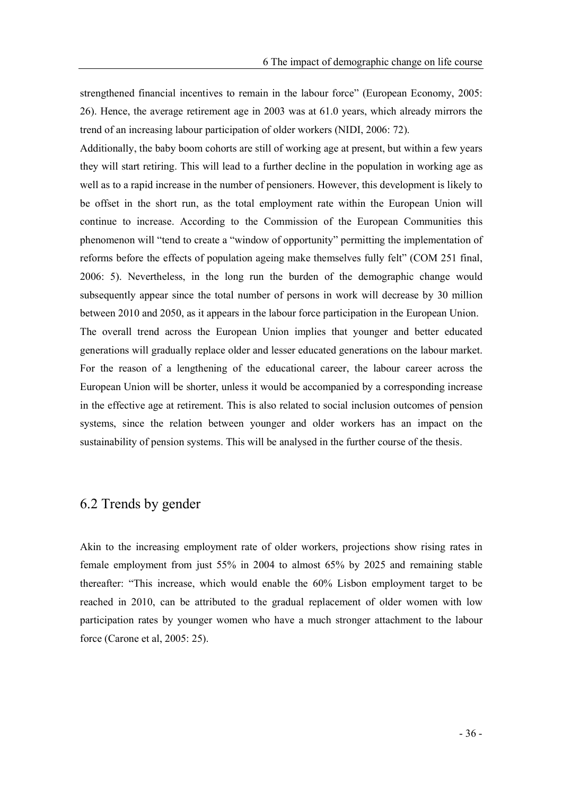strengthened financial incentives to remain in the labour force" (European Economy, 2005; 26). Hence, the average retirement age in 2003 was at 61.0 years, which already mirrors the trend of an increasing labour participation of older workers (NIDI, 2006: 72).

Additionally, the baby boom cohorts are still of working age at present, but within a few years they will start retiring. This will lead to a further decline in the population in working age as well as to a rapid increase in the number of pensioners. However, this development is likely to be offset in the short run, as the total employment rate within the European Union will continue to increase. According to the Commission of the European Communities this phenomenon will "tend to create a "window of opportunity" permitting the implementation of reforms before the effects of population ageing make themselves fully felt" (COM 251 final, 2006: 5). Nevertheless, in the long run the burden of the demographic change would subsequently appear since the total number of persons in work will decrease by 30 million between 2010 and 2050, as it appears in the labour force participation in the European Union. The overall trend across the European Union implies that younger and better educated generations will gradually replace older and lesser educated generations on the labour market. For the reason of a lengthening of the educational career, the labour career across the European Union will be shorter, unless it would be accompanied by a corresponding increase in the effective age at retirement. This is also related to social inclusion outcomes of pension systems, since the relation between younger and older workers has an impact on the sustainability of pension systems. This will be analysed in the further course of the thesis.

## 6.2 Trends by gender

Akin to the increasing employment rate of older workers, projections show rising rates in female employment from just 55% in 2004 to almost 65% by 2025 and remaining stable thereafter: This increase, which would enable the 60% Lisbon employment target to be reached in 2010, can be attributed to the gradual replacement of older women with low participation rates by younger women who have a much stronger attachment to the labour force (Carone et al, 2005: 25).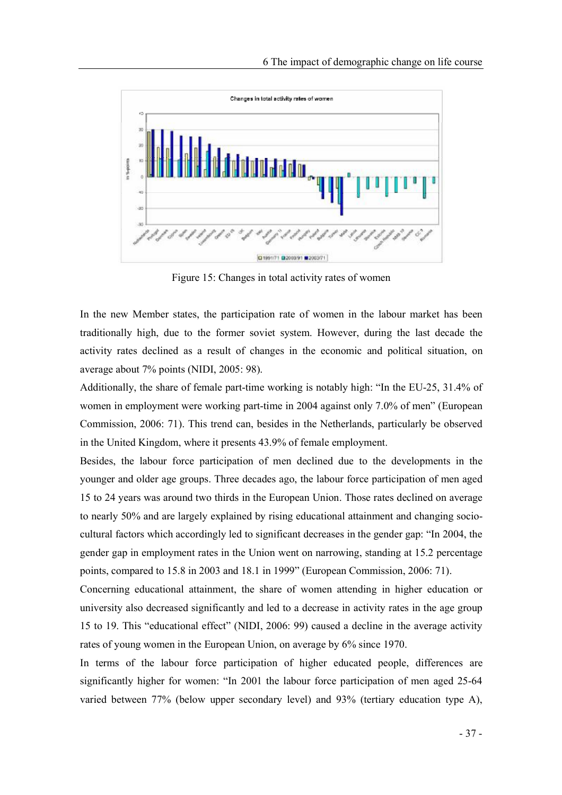

Figure 15: Changes in total activity rates of women

In the new Member states, the participation rate of women in the labour market has been traditionally high, due to the former soviet system. However, during the last decade the activity rates declined as a result of changes in the economic and political situation, on average about 7% points (NIDI, 2005: 98).

Additionally, the share of female part-time working is notably high: "In the EU-25,  $31.4\%$  of women in employment were working part-time in 2004 against only 7.0% of men" (European Commission, 2006: 71). This trend can, besides in the Netherlands, particularly be observed in the United Kingdom, where it presents 43.9% of female employment.

Besides, the labour force participation of men declined due to the developments in the younger and older age groups. Three decades ago, the labour force participation of men aged 15 to 24 years was around two thirds in the European Union. Those rates declined on average to nearly 50% and are largely explained by rising educational attainment and changing sociocultural factors which accordingly led to significant decreases in the gender gap: "In 2004, the gender gap in employment rates in the Union went on narrowing, standing at 15.2 percentage points, compared to 15.8 in 2003 and 18.1 in 1999 (European Commission, 2006: 71).

Concerning educational attainment, the share of women attending in higher education or university also decreased significantly and led to a decrease in activity rates in the age group 15 to 19. This "educational effect" (NIDI, 2006: 99) caused a decline in the average activity rates of young women in the European Union, on average by 6% since 1970.

In terms of the labour force participation of higher educated people, differences are significantly higher for women: "In 2001 the labour force participation of men aged 25-64 varied between 77% (below upper secondary level) and 93% (tertiary education type A),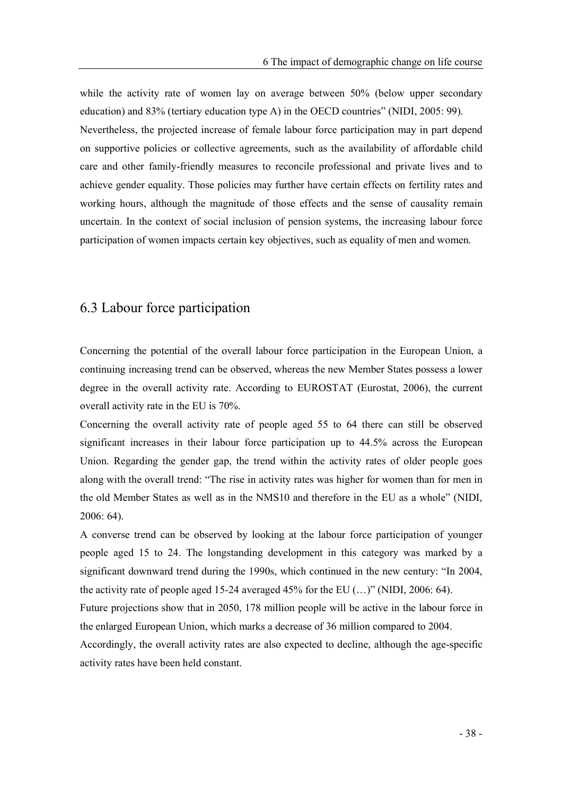while the activity rate of women lay on average between 50% (below upper secondary education) and  $83\%$  (tertiary education type A) in the OECD countries" (NIDI, 2005: 99).

Nevertheless, the projected increase of female labour force participation may in part depend on supportive policies or collective agreements, such as the availability of affordable child care and other family-friendly measures to reconcile professional and private lives and to achieve gender equality. Those policies may further have certain effects on fertility rates and working hours, although the magnitude of those effects and the sense of causality remain uncertain. In the context of social inclusion of pension systems, the increasing labour force participation of women impacts certain key objectives, such as equality of men and women.

# 6.3 Labour force participation

Concerning the potential of the overall labour force participation in the European Union, a continuing increasing trend can be observed, whereas the new Member States possess a lower degree in the overall activity rate. According to EUROSTAT (Eurostat, 2006), the current overall activity rate in the EU is 70%.

Concerning the overall activity rate of people aged 55 to 64 there can still be observed significant increases in their labour force participation up to 44.5% across the European Union. Regarding the gender gap, the trend within the activity rates of older people goes along with the overall trend: "The rise in activity rates was higher for women than for men in the old Member States as well as in the NMS10 and therefore in the EU as a whole" (NIDI, 2006: 64).

A converse trend can be observed by looking at the labour force participation of younger people aged 15 to 24. The longstanding development in this category was marked by a significant downward trend during the 1990s, which continued in the new century: "In 2004, the activity rate of people aged 15-24 averaged 45% for the EU  $(...)$  (NIDI, 2006: 64).

Future projections show that in 2050, 178 million people will be active in the labour force in the enlarged European Union, which marks a decrease of 36 million compared to 2004.

Accordingly, the overall activity rates are also expected to decline, although the age-specific activity rates have been held constant.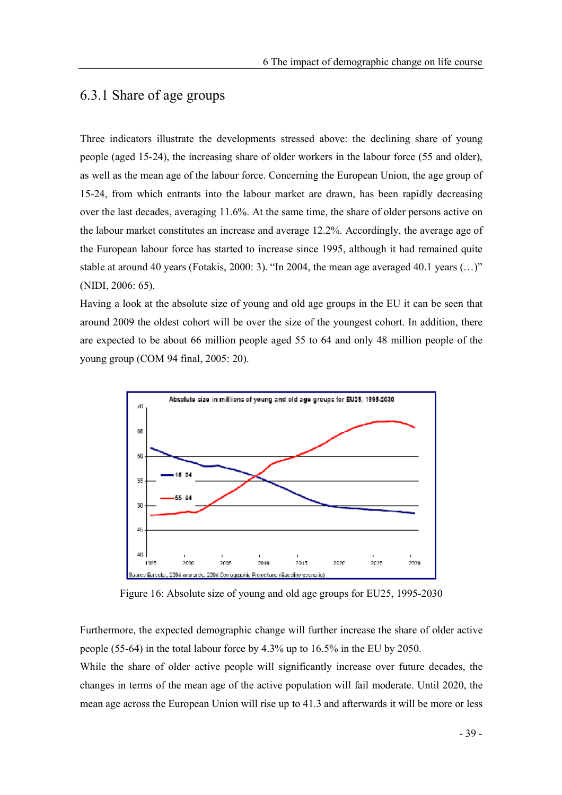# 6.3.1 Share of age groups

Three indicators illustrate the developments stressed above: the declining share of young people (aged 15-24), the increasing share of older workers in the labour force (55 and older), as well as the mean age of the labour force. Concerning the European Union, the age group of 15-24, from which entrants into the labour market are drawn, has been rapidly decreasing over the last decades, averaging 11.6%. At the same time, the share of older persons active on the labour market constitutes an increase and average 12.2%. Accordingly, the average age of the European labour force has started to increase since 1995, although it had remained quite stable at around 40 years (Fotakis, 2000: 3). "In 2004, the mean age averaged 40.1 years  $(...)$ " (NIDI, 2006: 65).

Having a look at the absolute size of young and old age groups in the EU it can be seen that around 2009 the oldest cohort will be over the size of the youngest cohort. In addition, there are expected to be about 66 million people aged 55 to 64 and only 48 million people of the young group (COM 94 final, 2005: 20).



Figure 16: Absolute size of young and old age groups for EU25, 1995-2030

Furthermore, the expected demographic change will further increase the share of older active people (55-64) in the total labour force by 4.3% up to 16.5% in the EU by 2050.

While the share of older active people will significantly increase over future decades, the changes in terms of the mean age of the active population will fail moderate. Until 2020, the mean age across the European Union will rise up to 41.3 and afterwards it will be more or less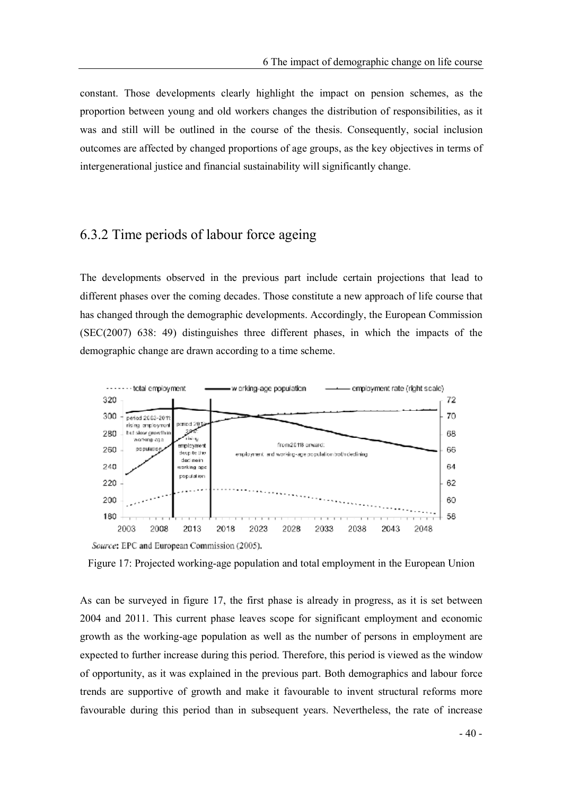constant. Those developments clearly highlight the impact on pension schemes, as the proportion between young and old workers changes the distribution of responsibilities, as it was and still will be outlined in the course of the thesis. Consequently, social inclusion outcomes are affected by changed proportions of age groups, as the key objectives in terms of intergenerational justice and financial sustainability will significantly change.

# 6.3.2 Time periods of labour force ageing

The developments observed in the previous part include certain projections that lead to different phases over the coming decades. Those constitute a new approach of life course that has changed through the demographic developments. Accordingly, the European Commission (SEC(2007) 638: 49) distinguishes three different phases, in which the impacts of the demographic change are drawn according to a time scheme.



Figure 17: Projected working-age population and total employment in the European Union

As can be surveyed in figure 17, the first phase is already in progress, as it is set between 2004 and 2011. This current phase leaves scope for significant employment and economic growth as the working-age population as well as the number of persons in employment are expected to further increase during this period. Therefore, this period is viewed as the window of opportunity, as it was explained in the previous part. Both demographics and labour force trends are supportive of growth and make it favourable to invent structural reforms more favourable during this period than in subsequent years. Nevertheless, the rate of increase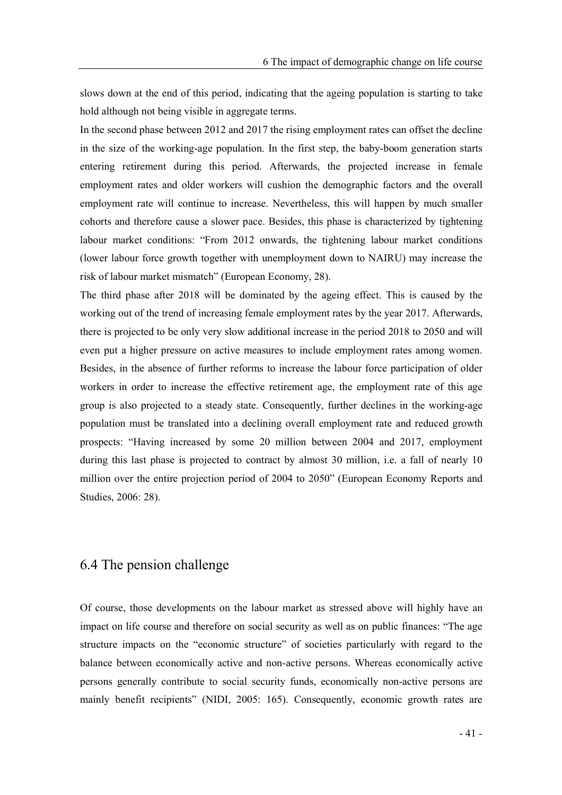slows down at the end of this period, indicating that the ageing population is starting to take hold although not being visible in aggregate terms.

In the second phase between 2012 and 2017 the rising employment rates can offset the decline in the size of the working-age population. In the first step, the baby-boom generation starts entering retirement during this period. Afterwards, the projected increase in female employment rates and older workers will cushion the demographic factors and the overall employment rate will continue to increase. Nevertheless, this will happen by much smaller cohorts and therefore cause a slower pace. Besides, this phase is characterized by tightening labour market conditions: "From 2012 onwards, the tightening labour market conditions (lower labour force growth together with unemployment down to NAIRU) may increase the risk of labour market mismatch" (European Economy, 28).

The third phase after 2018 will be dominated by the ageing effect. This is caused by the working out of the trend of increasing female employment rates by the year 2017. Afterwards, there is projected to be only very slow additional increase in the period 2018 to 2050 and will even put a higher pressure on active measures to include employment rates among women. Besides, in the absence of further reforms to increase the labour force participation of older workers in order to increase the effective retirement age, the employment rate of this age group is also projected to a steady state. Consequently, further declines in the working-age population must be translated into a declining overall employment rate and reduced growth prospects: Having increased by some 20 million between 2004 and 2017, employment during this last phase is projected to contract by almost 30 million, i.e. a fall of nearly 10 million over the entire projection period of 2004 to 2050" (European Economy Reports and Studies, 2006: 28).

#### 6.4 The pension challenge

Of course, those developments on the labour market as stressed above will highly have an impact on life course and therefore on social security as well as on public finances: "The age structure impacts on the "economic structure" of societies particularly with regard to the balance between economically active and non-active persons. Whereas economically active persons generally contribute to social security funds, economically non-active persons are mainly benefit recipients" (NIDI, 2005: 165). Consequently, economic growth rates are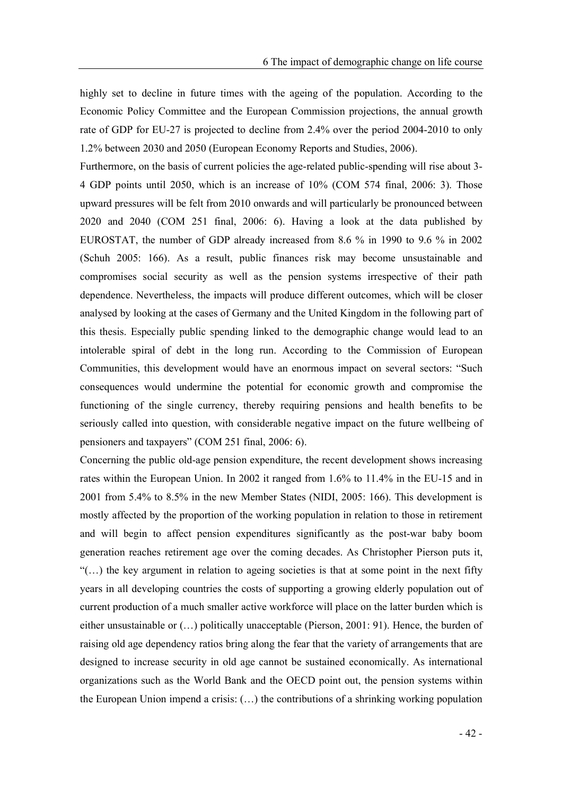highly set to decline in future times with the ageing of the population. According to the Economic Policy Committee and the European Commission projections, the annual growth rate of GDP for EU-27 is projected to decline from 2.4% over the period 2004-2010 to only 1.2% between 2030 and 2050 (European Economy Reports and Studies, 2006).

Furthermore, on the basis of current policies the age-related public-spending will rise about 3- 4 GDP points until 2050, which is an increase of 10% (COM 574 final, 2006: 3). Those upward pressures will be felt from 2010 onwards and will particularly be pronounced between 2020 and 2040 (COM 251 final, 2006: 6). Having a look at the data published by EUROSTAT, the number of GDP already increased from 8.6 % in 1990 to 9.6 % in 2002 (Schuh 2005: 166). As a result, public finances risk may become unsustainable and compromises social security as well as the pension systems irrespective of their path dependence. Nevertheless, the impacts will produce different outcomes, which will be closer analysed by looking at the cases of Germany and the United Kingdom in the following part of this thesis. Especially public spending linked to the demographic change would lead to an intolerable spiral of debt in the long run. According to the Commission of European Communities, this development would have an enormous impact on several sectors: "Such consequences would undermine the potential for economic growth and compromise the functioning of the single currency, thereby requiring pensions and health benefits to be seriously called into question, with considerable negative impact on the future wellbeing of pensioners and taxpayers" (COM 251 final, 2006: 6).

Concerning the public old-age pension expenditure, the recent development shows increasing rates within the European Union. In 2002 it ranged from 1.6% to 11.4% in the EU-15 and in 2001 from 5.4% to 8.5% in the new Member States (NIDI, 2005: 166). This development is mostly affected by the proportion of the working population in relation to those in retirement and will begin to affect pension expenditures significantly as the post-war baby boom generation reaches retirement age over the coming decades. As Christopher Pierson puts it,  $((\ldots))$  the key argument in relation to ageing societies is that at some point in the next fifty years in all developing countries the costs of supporting a growing elderly population out of current production of a much smaller active workforce will place on the latter burden which is either unsustainable or  $(...)$  politically unacceptable (Pierson, 2001: 91). Hence, the burden of raising old age dependency ratios bring along the fear that the variety of arrangements that are designed to increase security in old age cannot be sustained economically. As international organizations such as the World Bank and the OECD point out, the pension systems within the European Union impend a crisis:  $(...)$  the contributions of a shrinking working population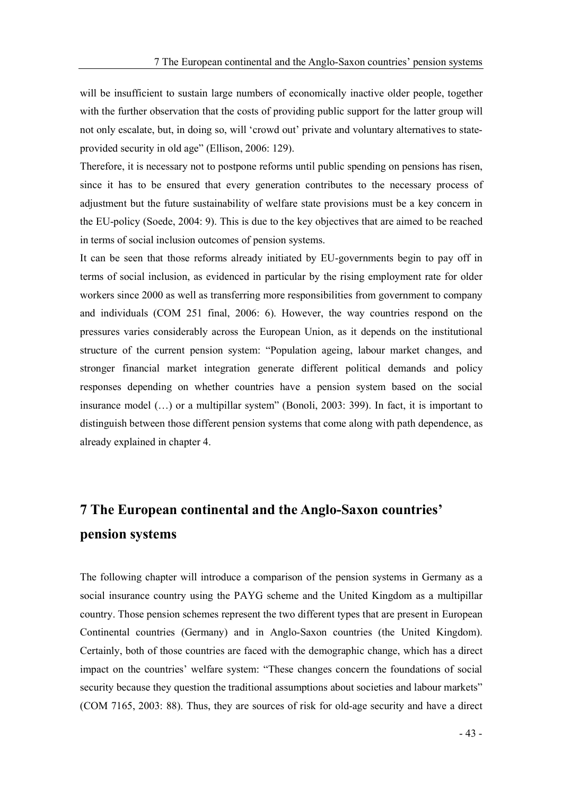will be insufficient to sustain large numbers of economically inactive older people, together with the further observation that the costs of providing public support for the latter group will not only escalate, but, in doing so, will 'crowd out' private and voluntary alternatives to stateprovided security in old age" (Ellison, 2006: 129).

Therefore, it is necessary not to postpone reforms until public spending on pensions has risen, since it has to be ensured that every generation contributes to the necessary process of adjustment but the future sustainability of welfare state provisions must be a key concern in the EU-policy (Soede, 2004: 9). This is due to the key objectives that are aimed to be reached in terms of social inclusion outcomes of pension systems.

It can be seen that those reforms already initiated by EU-governments begin to pay off in terms of social inclusion, as evidenced in particular by the rising employment rate for older workers since 2000 as well as transferring more responsibilities from government to company and individuals (COM 251 final, 2006: 6). However, the way countries respond on the pressures varies considerably across the European Union, as it depends on the institutional structure of the current pension system: Population ageing, labour market changes, and stronger financial market integration generate different political demands and policy responses depending on whether countries have a pension system based on the social insurance model  $(...)$  or a multipillar system" (Bonoli, 2003: 399). In fact, it is important to distinguish between those different pension systems that come along with path dependence, as already explained in chapter 4.

# 7 The European continental and the Anglo-Saxon countries pension systems

The following chapter will introduce a comparison of the pension systems in Germany as a social insurance country using the PAYG scheme and the United Kingdom as a multipillar country. Those pension schemes represent the two different types that are present in European Continental countries (Germany) and in Anglo-Saxon countries (the United Kingdom). Certainly, both of those countries are faced with the demographic change, which has a direct impact on the countries' welfare system: "These changes concern the foundations of social security because they question the traditional assumptions about societies and labour markets" (COM 7165, 2003: 88). Thus, they are sources of risk for old-age security and have a direct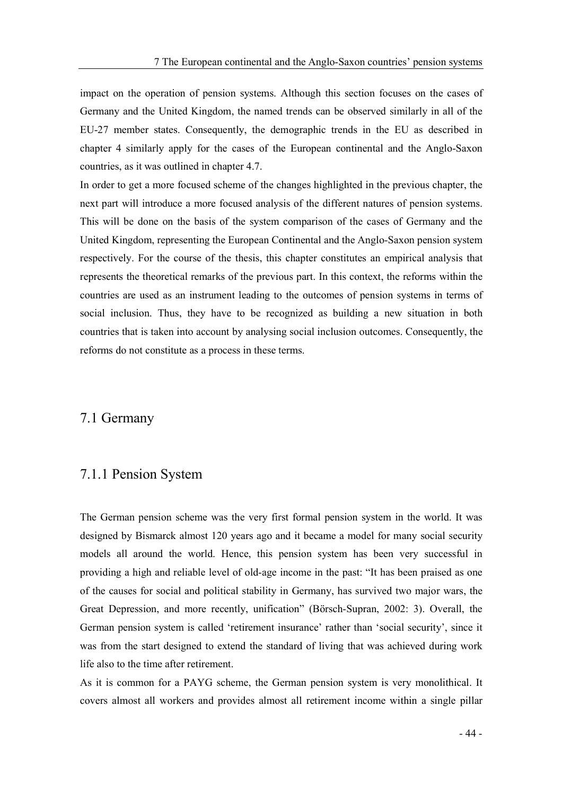impact on the operation of pension systems. Although this section focuses on the cases of Germany and the United Kingdom, the named trends can be observed similarly in all of the EU-27 member states. Consequently, the demographic trends in the EU as described in chapter 4 similarly apply for the cases of the European continental and the Anglo-Saxon countries, as it was outlined in chapter 4.7.

In order to get a more focused scheme of the changes highlighted in the previous chapter, the next part will introduce a more focused analysis of the different natures of pension systems. This will be done on the basis of the system comparison of the cases of Germany and the United Kingdom, representing the European Continental and the Anglo-Saxon pension system respectively. For the course of the thesis, this chapter constitutes an empirical analysis that represents the theoretical remarks of the previous part. In this context, the reforms within the countries are used as an instrument leading to the outcomes of pension systems in terms of social inclusion. Thus, they have to be recognized as building a new situation in both countries that is taken into account by analysing social inclusion outcomes. Consequently, the reforms do not constitute as a process in these terms.

#### 7.1 Germany

### 7.1.1 Pension System

The German pension scheme was the very first formal pension system in the world. It was designed by Bismarck almost 120 years ago and it became a model for many social security models all around the world. Hence, this pension system has been very successful in providing a high and reliable level of old-age income in the past: "It has been praised as one of the causes for social and political stability in Germany, has survived two major wars, the Great Depression, and more recently, unification" (Börsch-Supran, 2002: 3). Overall, the German pension system is called 'retirement insurance' rather than 'social security', since it was from the start designed to extend the standard of living that was achieved during work life also to the time after retirement.

As it is common for a PAYG scheme, the German pension system is very monolithical. It covers almost all workers and provides almost all retirement income within a single pillar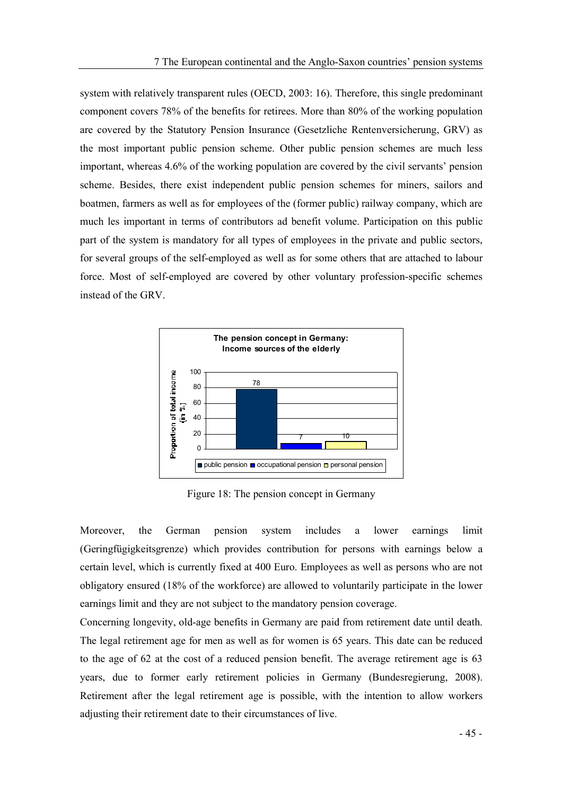system with relatively transparent rules (OECD, 2003: 16). Therefore, this single predominant component covers 78% of the benefits for retirees. More than 80% of the working population are covered by the Statutory Pension Insurance (Gesetzliche Rentenversicherung, GRV) as the most important public pension scheme. Other public pension schemes are much less important, whereas 4.6% of the working population are covered by the civil servants' pension scheme. Besides, there exist independent public pension schemes for miners, sailors and boatmen, farmers as well as for employees of the (former public) railway company, which are much les important in terms of contributors ad benefit volume. Participation on this public part of the system is mandatory for all types of employees in the private and public sectors, for several groups of the self-employed as well as for some others that are attached to labour force. Most of self-employed are covered by other voluntary profession-specific schemes instead of the GRV.



Figure 18: The pension concept in Germany

Moreover, the German pension system includes a lower earnings limit (Geringfügigkeitsgrenze) which provides contribution for persons with earnings below a certain level, which is currently fixed at 400 Euro. Employees as well as persons who are not obligatory ensured (18% of the workforce) are allowed to voluntarily participate in the lower earnings limit and they are not subject to the mandatory pension coverage.

Concerning longevity, old-age benefits in Germany are paid from retirement date until death. The legal retirement age for men as well as for women is 65 years. This date can be reduced to the age of 62 at the cost of a reduced pension benefit. The average retirement age is 63 years, due to former early retirement policies in Germany (Bundesregierung, 2008). Retirement after the legal retirement age is possible, with the intention to allow workers adjusting their retirement date to their circumstances of live.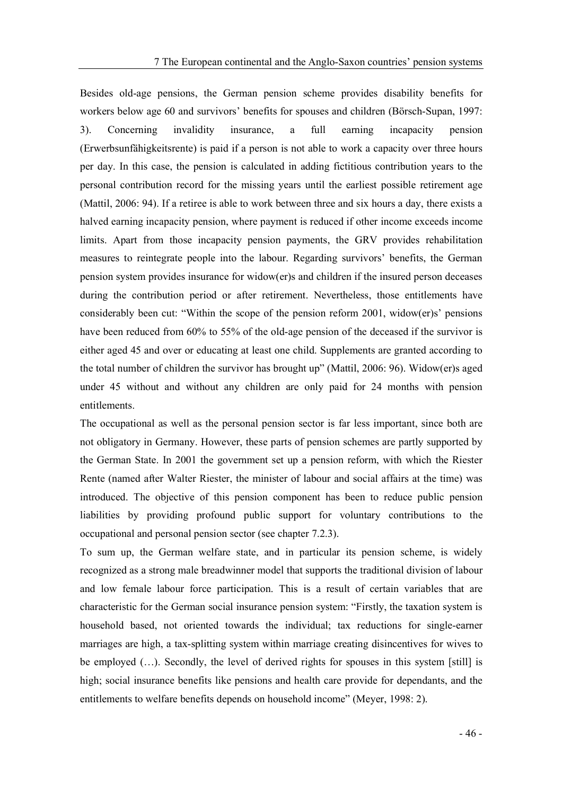Besides old-age pensions, the German pension scheme provides disability benefits for workers below age 60 and survivors' benefits for spouses and children (Börsch-Supan, 1997; 3). Concerning invalidity insurance, a full earning incapacity pension (Erwerbsunfähigkeitsrente) is paid if a person is not able to work a capacity over three hours per day. In this case, the pension is calculated in adding fictitious contribution years to the personal contribution record for the missing years until the earliest possible retirement age (Mattil, 2006: 94). If a retiree is able to work between three and six hours a day, there exists a halved earning incapacity pension, where payment is reduced if other income exceeds income limits. Apart from those incapacity pension payments, the GRV provides rehabilitation measures to reintegrate people into the labour. Regarding survivors' benefits, the German pension system provides insurance for widow(er)s and children if the insured person deceases during the contribution period or after retirement. Nevertheless, those entitlements have considerably been cut: "Within the scope of the pension reform  $2001$ , widow(er)s' pensions have been reduced from 60% to 55% of the old-age pension of the deceased if the survivor is either aged 45 and over or educating at least one child. Supplements are granted according to the total number of children the survivor has brought up" (Mattil, 2006: 96). Widow(er) saged under 45 without and without any children are only paid for 24 months with pension entitlements.

The occupational as well as the personal pension sector is far less important, since both are not obligatory in Germany. However, these parts of pension schemes are partly supported by the German State. In 2001 the government set up a pension reform, with which the Riester Rente (named after Walter Riester, the minister of labour and social affairs at the time) was introduced. The objective of this pension component has been to reduce public pension liabilities by providing profound public support for voluntary contributions to the occupational and personal pension sector (see chapter 7.2.3).

To sum up, the German welfare state, and in particular its pension scheme, is widely recognized as a strong male breadwinner model that supports the traditional division of labour and low female labour force participation. This is a result of certain variables that are characteristic for the German social insurance pension system: "Firstly, the taxation system is household based, not oriented towards the individual; tax reductions for single-earner marriages are high, a tax-splitting system within marriage creating disincentives for wives to be employed  $(...)$ . Secondly, the level of derived rights for spouses in this system [still] is high; social insurance benefits like pensions and health care provide for dependants, and the entitlements to welfare benefits depends on household income" (Meyer, 1998: 2).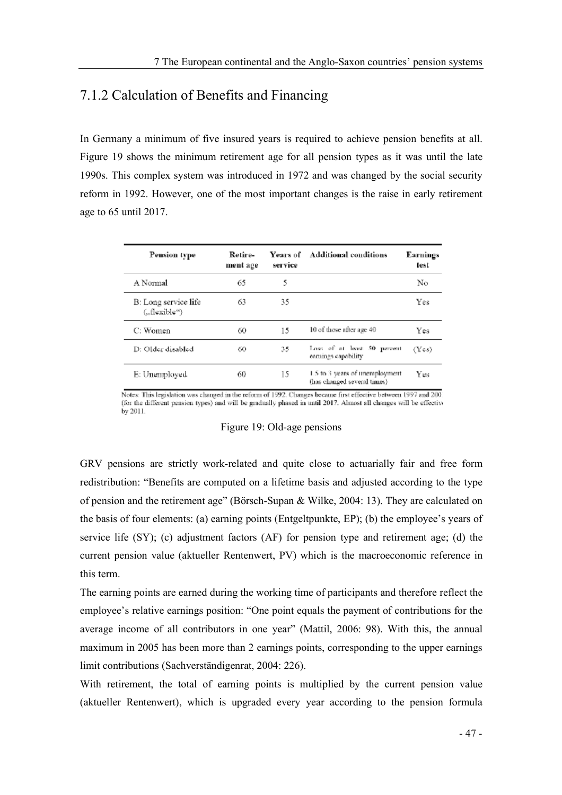# 7.1.2 Calculation of Benefits and Financing

In Germany a minimum of five insured years is required to achieve pension benefits at all. Figure 19 shows the minimum retirement age for all pension types as it was until the late 1990s. This complex system was introduced in 1972 and was changed by the social security reform in 1992. However, one of the most important changes is the raise in early retirement age to 65 until 2017.

| Pension type                         | Retire-<br>ment age | Years of<br>service | <b>Additional conditions</b>                                   | Earnings<br>test |
|--------------------------------------|---------------------|---------------------|----------------------------------------------------------------|------------------|
| A Normal                             | 65                  | 5                   |                                                                | No               |
| B: Long service life<br>("flexible") | 63                  | 35                  |                                                                | Yes              |
| C: Women                             | 60                  | 15                  | 10 of those after age 40                                       | Yes              |
| D: Older disabled                    | 60                  | 35                  | Loss of at least 50 percent<br>earnings capability             | (Yes)            |
| E: Unemployed                        | 60                  | 15                  | 1.5 to 3 years of unemployment.<br>(has changed several times) | Yes              |

Notes: This legislation was changed in the reform of 1992. Changes became first effective between 1997 and 200 (for the different pension types) and will be gradually phased in until 2017. Almost all changes will be effective by 2011.

#### Figure 19: Old-age pensions

GRV pensions are strictly work-related and quite close to actuarially fair and free form redistribution: "Benefits are computed on a lifetime basis and adjusted according to the type of pension and the retirement age" (Börsch-Supan & Wilke, 2004: 13). They are calculated on the basis of four elements: (a) earning points (Entgeltpunkte, EP); (b) the employee's years of service life (SY); (c) adjustment factors (AF) for pension type and retirement age; (d) the current pension value (aktueller Rentenwert, PV) which is the macroeconomic reference in this term.

The earning points are earned during the working time of participants and therefore reflect the employee's relative earnings position: "One point equals the payment of contributions for the average income of all contributors in one year" (Mattil, 2006: 98). With this, the annual maximum in 2005 has been more than 2 earnings points, corresponding to the upper earnings limit contributions (Sachverständigenrat, 2004: 226).

With retirement, the total of earning points is multiplied by the current pension value (aktueller Rentenwert), which is upgraded every year according to the pension formula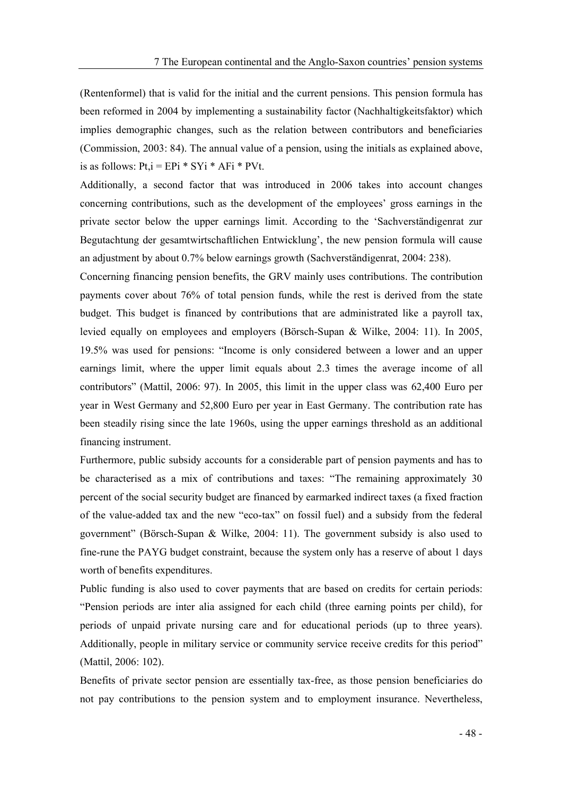(Rentenformel) that is valid for the initial and the current pensions. This pension formula has been reformed in 2004 by implementing a sustainability factor (Nachhaltigkeitsfaktor) which implies demographic changes, such as the relation between contributors and beneficiaries (Commission, 2003: 84). The annual value of a pension, using the initials as explained above, is as follows:  $Pt_i = EPi * SYi * AFi * PVt$ .

Additionally, a second factor that was introduced in 2006 takes into account changes concerning contributions, such as the development of the employees' gross earnings in the private sector below the upper earnings limit. According to the Sachverständigenrat zur Begutachtung der gesamtwirtschaftlichen Entwicklung', the new pension formula will cause an adjustment by about 0.7% below earnings growth (Sachverständigenrat, 2004: 238).

Concerning financing pension benefits, the GRV mainly uses contributions. The contribution payments cover about 76% of total pension funds, while the rest is derived from the state budget. This budget is financed by contributions that are administrated like a payroll tax, levied equally on employees and employers (Börsch-Supan & Wilke, 2004: 11). In 2005, 19.5% was used for pensions: Income is only considered between a lower and an upper earnings limit, where the upper limit equals about 2.3 times the average income of all contributors" (Mattil, 2006: 97). In 2005, this limit in the upper class was 62,400 Euro per year in West Germany and 52,800 Euro per year in East Germany. The contribution rate has been steadily rising since the late 1960s, using the upper earnings threshold as an additional financing instrument.

Furthermore, public subsidy accounts for a considerable part of pension payments and has to be characterised as a mix of contributions and taxes: "The remaining approximately 30 percent of the social security budget are financed by earmarked indirect taxes (a fixed fraction of the value-added tax and the new "eco-tax" on fossil fuel) and a subsidy from the federal government" (Börsch-Supan & Wilke, 2004: 11). The government subsidy is also used to fine-rune the PAYG budget constraint, because the system only has a reserve of about 1 days worth of benefits expenditures.

Public funding is also used to cover payments that are based on credits for certain periods: Pension periods are inter alia assigned for each child (three earning points per child), for periods of unpaid private nursing care and for educational periods (up to three years). Additionally, people in military service or community service receive credits for this period (Mattil, 2006: 102).

Benefits of private sector pension are essentially tax-free, as those pension beneficiaries do not pay contributions to the pension system and to employment insurance. Nevertheless,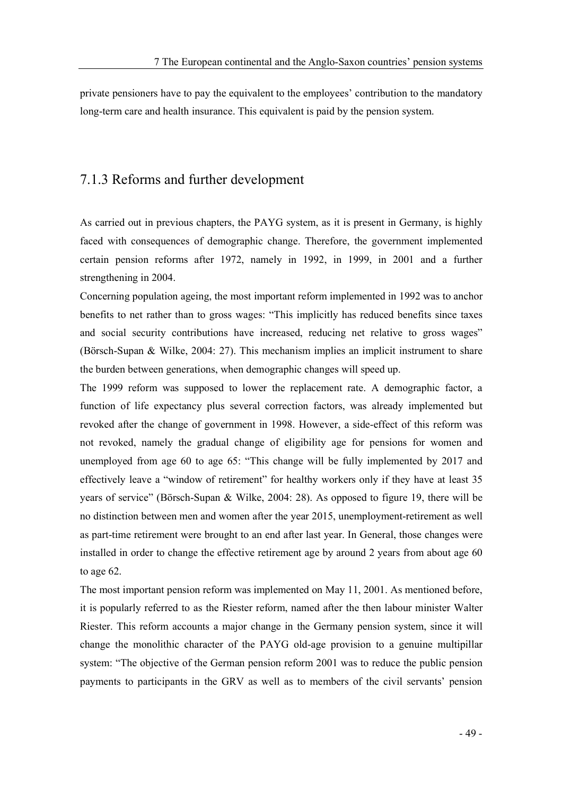private pensioners have to pay the equivalent to the employees' contribution to the mandatory long-term care and health insurance. This equivalent is paid by the pension system.

#### 7.1.3 Reforms and further development

As carried out in previous chapters, the PAYG system, as it is present in Germany, is highly faced with consequences of demographic change. Therefore, the government implemented certain pension reforms after 1972, namely in 1992, in 1999, in 2001 and a further strengthening in 2004.

Concerning population ageing, the most important reform implemented in 1992 was to anchor benefits to net rather than to gross wages: "This implicitly has reduced benefits since taxes and social security contributions have increased, reducing net relative to gross wages (Börsch-Supan & Wilke, 2004: 27). This mechanism implies an implicit instrument to share the burden between generations, when demographic changes will speed up.

The 1999 reform was supposed to lower the replacement rate. A demographic factor, a function of life expectancy plus several correction factors, was already implemented but revoked after the change of government in 1998. However, a side-effect of this reform was not revoked, namely the gradual change of eligibility age for pensions for women and unemployed from age 60 to age 65: "This change will be fully implemented by 2017 and effectively leave a "window of retirement" for healthy workers only if they have at least 35 years of service" (Börsch-Supan & Wilke, 2004: 28). As opposed to figure 19, there will be no distinction between men and women after the year 2015, unemployment-retirement as well as part-time retirement were brought to an end after last year. In General, those changes were installed in order to change the effective retirement age by around 2 years from about age 60 to age 62.

The most important pension reform was implemented on May 11, 2001. As mentioned before, it is popularly referred to as the Riester reform, named after the then labour minister Walter Riester. This reform accounts a major change in the Germany pension system, since it will change the monolithic character of the PAYG old-age provision to a genuine multipillar system: "The objective of the German pension reform 2001 was to reduce the public pension payments to participants in the GRV as well as to members of the civil servants' pension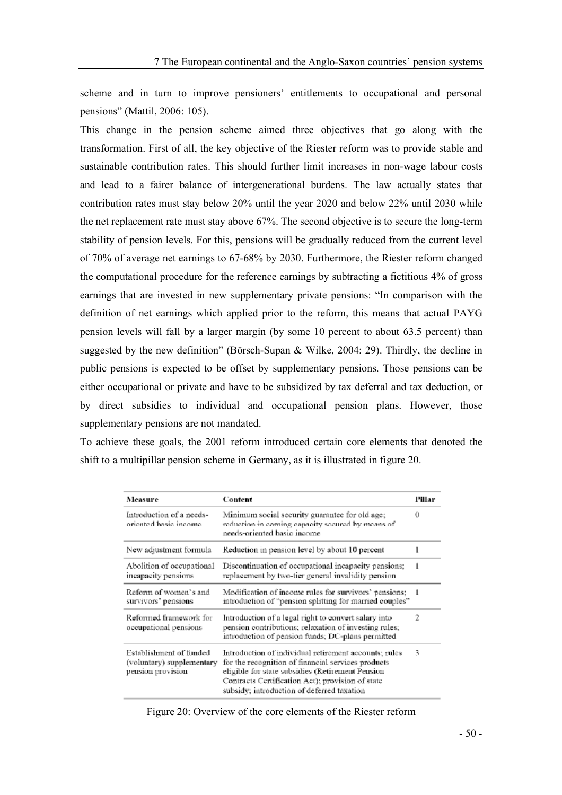scheme and in turn to improve pensioners' entitlements to occupational and personal pensions" (Mattil, 2006: 105).

This change in the pension scheme aimed three objectives that go along with the transformation. First of all, the key objective of the Riester reform was to provide stable and sustainable contribution rates. This should further limit increases in non-wage labour costs and lead to a fairer balance of intergenerational burdens. The law actually states that contribution rates must stay below 20% until the year 2020 and below 22% until 2030 while the net replacement rate must stay above 67%. The second objective is to secure the long-term stability of pension levels. For this, pensions will be gradually reduced from the current level of 70% of average net earnings to 67-68% by 2030. Furthermore, the Riester reform changed the computational procedure for the reference earnings by subtracting a fictitious 4% of gross earnings that are invested in new supplementary private pensions: "In comparison with the definition of net earnings which applied prior to the reform, this means that actual PAYG pension levels will fall by a larger margin (by some 10 percent to about 63.5 percent) than suggested by the new definition" (Börsch-Supan & Wilke, 2004: 29). Thirdly, the decline in public pensions is expected to be offset by supplementary pensions. Those pensions can be either occupational or private and have to be subsidized by tax deferral and tax deduction, or by direct subsidies to individual and occupational pension plans. However, those supplementary pensions are not mandated.

To achieve these goals, the 2001 reform introduced certain core elements that denoted the shift to a multipillar pension scheme in Germany, as it is illustrated in figure 20.

| Measure                                                                   | Content                                                                                                                                                                                                                                                           | Pillar |
|---------------------------------------------------------------------------|-------------------------------------------------------------------------------------------------------------------------------------------------------------------------------------------------------------------------------------------------------------------|--------|
| Introduction of a needs-<br>oriented basic income                         | Minimum social security guarantee for old age;<br>reduction in caming capacity secured by means of<br>needs-oriented basic income                                                                                                                                 |        |
| New adjustment formula                                                    | Reduction in pension level by about 10 percent                                                                                                                                                                                                                    |        |
| Abolition of occupational<br>incapacity pensions.                         | Discontinuation of occupational incapacity pensions;<br>replacement by two-tier general invalidity pension                                                                                                                                                        |        |
| Reform of women's and<br>survivors' pensions                              | Modification of income rules for survivors' pensions;<br>introduction of "pension splitting for married couples"                                                                                                                                                  |        |
| Reformed framework for<br>occupational pensions                           | Introduction of a legal right to convert salary into<br>pension contributions; relaxation of investing rules;<br>introduction of pension funds; DC-plans permitted                                                                                                | 2      |
| Establishment of funded<br>(voluntary) supplementary<br>pension provision | Introduction of individual retirement accounts; rules<br>for the recognition of financial services products<br>eligible for state subsidies (Retirement Pension<br>Contracts Certification Act); provision of state<br>subsidy; introduction of deferred taxation |        |

Figure 20: Overview of the core elements of the Riester reform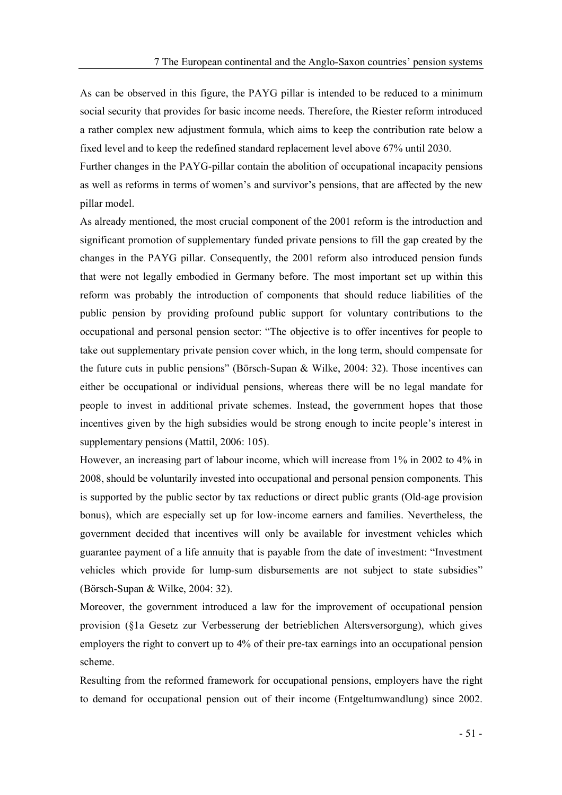As can be observed in this figure, the PAYG pillar is intended to be reduced to a minimum social security that provides for basic income needs. Therefore, the Riester reform introduced a rather complex new adjustment formula, which aims to keep the contribution rate below a fixed level and to keep the redefined standard replacement level above 67% until 2030.

Further changes in the PAYG-pillar contain the abolition of occupational incapacity pensions as well as reforms in terms of women's and survivor's pensions, that are affected by the new pillar model.

As already mentioned, the most crucial component of the 2001 reform is the introduction and significant promotion of supplementary funded private pensions to fill the gap created by the changes in the PAYG pillar. Consequently, the 2001 reform also introduced pension funds that were not legally embodied in Germany before. The most important set up within this reform was probably the introduction of components that should reduce liabilities of the public pension by providing profound public support for voluntary contributions to the occupational and personal pension sector: The objective is to offer incentives for people to take out supplementary private pension cover which, in the long term, should compensate for the future cuts in public pensions" (Börsch-Supan & Wilke, 2004: 32). Those incentives can either be occupational or individual pensions, whereas there will be no legal mandate for people to invest in additional private schemes. Instead, the government hopes that those incentives given by the high subsidies would be strong enough to incite people's interest in supplementary pensions (Mattil, 2006: 105).

However, an increasing part of labour income, which will increase from 1% in 2002 to 4% in 2008, should be voluntarily invested into occupational and personal pension components. This is supported by the public sector by tax reductions or direct public grants (Old-age provision bonus), which are especially set up for low-income earners and families. Nevertheless, the government decided that incentives will only be available for investment vehicles which guarantee payment of a life annuity that is payable from the date of investment: "Investment vehicles which provide for lump-sum disbursements are not subject to state subsidies (Börsch-Supan & Wilke, 2004: 32).

Moreover, the government introduced a law for the improvement of occupational pension provision (§1a Gesetz zur Verbesserung der betrieblichen Altersversorgung), which gives employers the right to convert up to 4% of their pre-tax earnings into an occupational pension scheme.

Resulting from the reformed framework for occupational pensions, employers have the right to demand for occupational pension out of their income (Entgeltumwandlung) since 2002.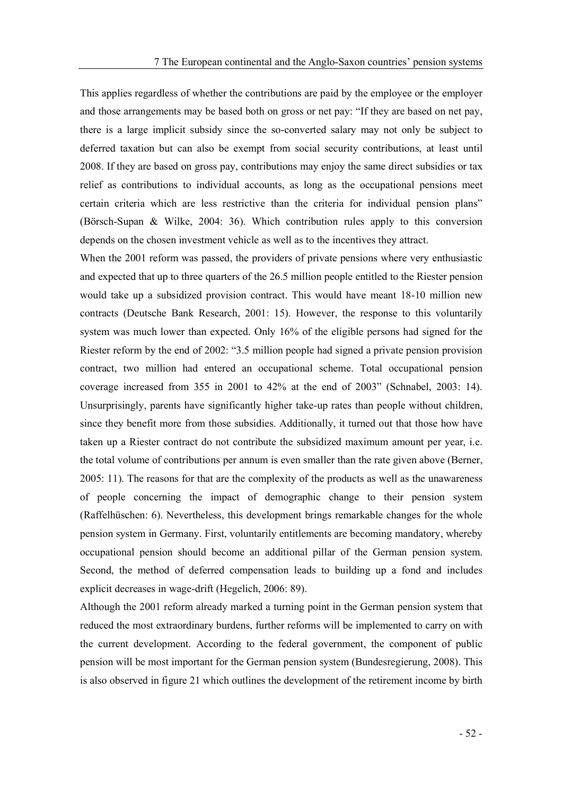This applies regardless of whether the contributions are paid by the employee or the employer and those arrangements may be based both on gross or net pay: "If they are based on net pay, there is a large implicit subsidy since the so-converted salary may not only be subject to deferred taxation but can also be exempt from social security contributions, at least until 2008. If they are based on gross pay, contributions may enjoy the same direct subsidies or tax relief as contributions to individual accounts, as long as the occupational pensions meet certain criteria which are less restrictive than the criteria for individual pension plans (Börsch-Supan & Wilke, 2004: 36). Which contribution rules apply to this conversion depends on the chosen investment vehicle as well as to the incentives they attract.

When the 2001 reform was passed, the providers of private pensions where very enthusiastic and expected that up to three quarters of the 26.5 million people entitled to the Riester pension would take up a subsidized provision contract. This would have meant 18-10 million new contracts (Deutsche Bank Research, 2001: 15). However, the response to this voluntarily system was much lower than expected. Only 16% of the eligible persons had signed for the Riester reform by the end of 2002: "3.5 million people had signed a private pension provision contract, two million had entered an occupational scheme. Total occupational pension coverage increased from  $355$  in  $2001$  to  $42\%$  at the end of  $2003$ " (Schnabel,  $2003$ : 14). Unsurprisingly, parents have significantly higher take-up rates than people without children, since they benefit more from those subsidies. Additionally, it turned out that those how have taken up a Riester contract do not contribute the subsidized maximum amount per year, i.e. the total volume of contributions per annum is even smaller than the rate given above (Berner, 2005: 11). The reasons for that are the complexity of the products as well as the unawareness of people concerning the impact of demographic change to their pension system (Raffelhüschen: 6). Nevertheless, this development brings remarkable changes for the whole pension system in Germany. First, voluntarily entitlements are becoming mandatory, whereby occupational pension should become an additional pillar of the German pension system. Second, the method of deferred compensation leads to building up a fond and includes explicit decreases in wage-drift (Hegelich, 2006: 89).

Although the 2001 reform already marked a turning point in the German pension system that reduced the most extraordinary burdens, further reforms will be implemented to carry on with the current development. According to the federal government, the component of public pension will be most important for the German pension system (Bundesregierung, 2008). This is also observed in figure 21 which outlines the development of the retirement income by birth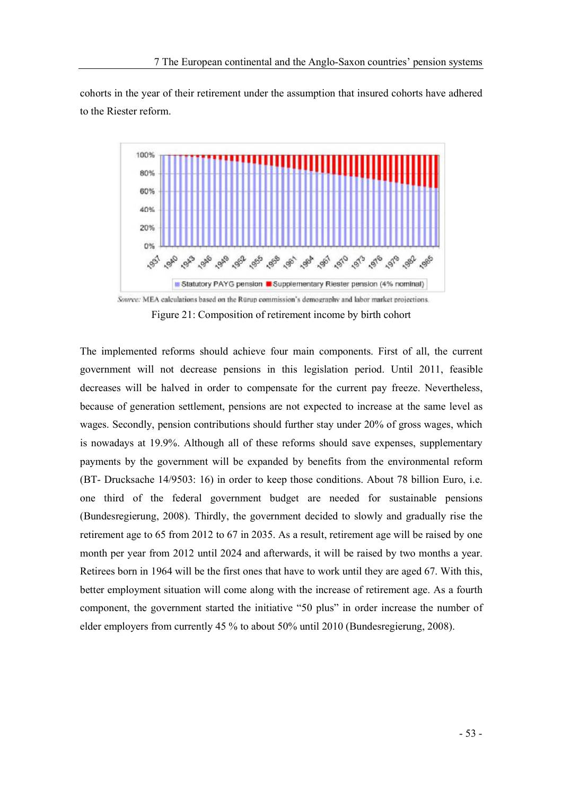cohorts in the year of their retirement under the assumption that insured cohorts have adhered to the Riester reform.

![](_page_58_Figure_2.jpeg)

Source: MEA calculations based on the Rürup commission's demography and labor market projections. Figure 21: Composition of retirement income by birth cohort

The implemented reforms should achieve four main components. First of all, the current government will not decrease pensions in this legislation period. Until 2011, feasible decreases will be halved in order to compensate for the current pay freeze. Nevertheless, because of generation settlement, pensions are not expected to increase at the same level as wages. Secondly, pension contributions should further stay under 20% of gross wages, which is nowadays at 19.9%. Although all of these reforms should save expenses, supplementary payments by the government will be expanded by benefits from the environmental reform (BT- Drucksache 14/9503: 16) in order to keep those conditions. About 78 billion Euro, i.e. one third of the federal government budget are needed for sustainable pensions (Bundesregierung, 2008). Thirdly, the government decided to slowly and gradually rise the retirement age to 65 from 2012 to 67 in 2035. As a result, retirement age will be raised by one month per year from 2012 until 2024 and afterwards, it will be raised by two months a year. Retirees born in 1964 will be the first ones that have to work until they are aged 67. With this, better employment situation will come along with the increase of retirement age. As a fourth component, the government started the initiative "50 plus" in order increase the number of elder employers from currently 45 % to about 50% until 2010 (Bundesregierung, 2008).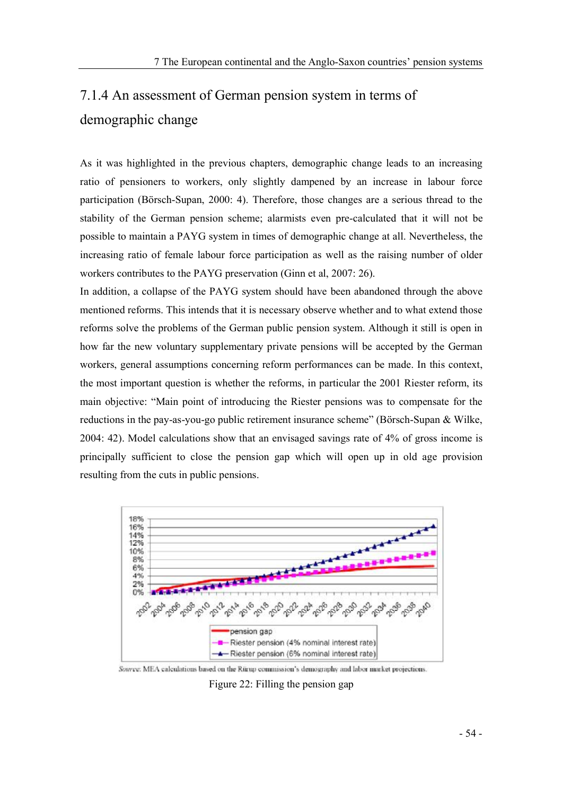# 7.1.4 An assessment of German pension system in terms of demographic change

As it was highlighted in the previous chapters, demographic change leads to an increasing ratio of pensioners to workers, only slightly dampened by an increase in labour force participation (Börsch-Supan, 2000: 4). Therefore, those changes are a serious thread to the stability of the German pension scheme; alarmists even pre-calculated that it will not be possible to maintain a PAYG system in times of demographic change at all. Nevertheless, the increasing ratio of female labour force participation as well as the raising number of older workers contributes to the PAYG preservation (Ginn et al, 2007: 26).

In addition, a collapse of the PAYG system should have been abandoned through the above mentioned reforms. This intends that it is necessary observe whether and to what extend those reforms solve the problems of the German public pension system. Although it still is open in how far the new voluntary supplementary private pensions will be accepted by the German workers, general assumptions concerning reform performances can be made. In this context, the most important question is whether the reforms, in particular the 2001 Riester reform, its main objective: Main point of introducing the Riester pensions was to compensate for the reductions in the pay-as-you-go public retirement insurance scheme" (Börsch-Supan & Wilke, 2004: 42). Model calculations show that an envisaged savings rate of 4% of gross income is principally sufficient to close the pension gap which will open up in old age provision resulting from the cuts in public pensions.

![](_page_59_Figure_4.jpeg)

Source: MEA calculations based on the Ritrup commission's demography and labor market projections.

Figure 22: Filling the pension gap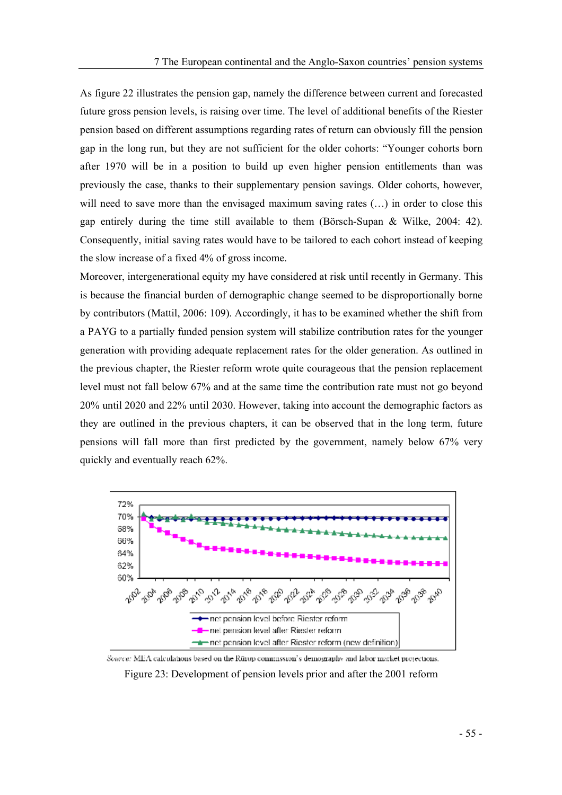As figure 22 illustrates the pension gap, namely the difference between current and forecasted future gross pension levels, is raising over time. The level of additional benefits of the Riester pension based on different assumptions regarding rates of return can obviously fill the pension gap in the long run, but they are not sufficient for the older cohorts: Younger cohorts born after 1970 will be in a position to build up even higher pension entitlements than was previously the case, thanks to their supplementary pension savings. Older cohorts, however, will need to save more than the envisaged maximum saving rates  $(\ldots)$  in order to close this gap entirely during the time still available to them (Börsch-Supan & Wilke, 2004: 42). Consequently, initial saving rates would have to be tailored to each cohort instead of keeping the slow increase of a fixed 4% of gross income.

Moreover, intergenerational equity my have considered at risk until recently in Germany. This is because the financial burden of demographic change seemed to be disproportionally borne by contributors (Mattil, 2006: 109). Accordingly, it has to be examined whether the shift from a PAYG to a partially funded pension system will stabilize contribution rates for the younger generation with providing adequate replacement rates for the older generation. As outlined in the previous chapter, the Riester reform wrote quite courageous that the pension replacement level must not fall below 67% and at the same time the contribution rate must not go beyond 20% until 2020 and 22% until 2030. However, taking into account the demographic factors as they are outlined in the previous chapters, it can be observed that in the long term, future pensions will fall more than first predicted by the government, namely below 67% very quickly and eventually reach 62%.

![](_page_60_Figure_3.jpeg)

Source: MEA calculations based on the Rürup commission's demography and labor market projections.

Figure 23: Development of pension levels prior and after the 2001 reform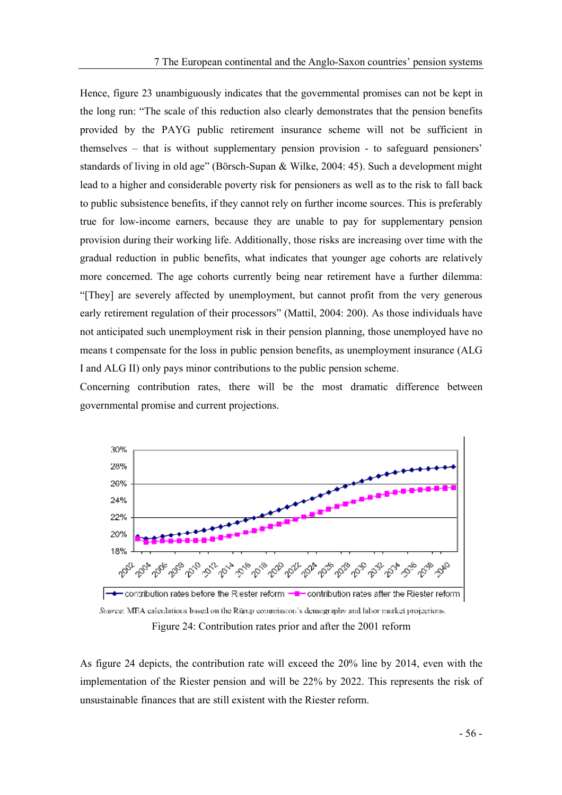Hence, figure 23 unambiguously indicates that the governmental promises can not be kept in the long run: The scale of this reduction also clearly demonstrates that the pension benefits provided by the PAYG public retirement insurance scheme will not be sufficient in themselves  $-$  that is without supplementary pension provision  $-$  to safeguard pensioners' standards of living in old age" (Börsch-Supan & Wilke, 2004: 45). Such a development might lead to a higher and considerable poverty risk for pensioners as well as to the risk to fall back to public subsistence benefits, if they cannot rely on further income sources. This is preferably true for low-income earners, because they are unable to pay for supplementary pension provision during their working life. Additionally, those risks are increasing over time with the gradual reduction in public benefits, what indicates that younger age cohorts are relatively more concerned. The age cohorts currently being near retirement have a further dilemma: [They] are severely affected by unemployment, but cannot profit from the very generous early retirement regulation of their processors" (Mattil, 2004: 200). As those individuals have not anticipated such unemployment risk in their pension planning, those unemployed have no means t compensate for the loss in public pension benefits, as unemployment insurance (ALG I and ALG II) only pays minor contributions to the public pension scheme.

Concerning contribution rates, there will be the most dramatic difference between governmental promise and current projections.

![](_page_61_Figure_3.jpeg)

Source: MEA calculations based on the Rürup commission's demography and labor market projections. Figure 24: Contribution rates prior and after the 2001 reform

As figure 24 depicts, the contribution rate will exceed the 20% line by 2014, even with the implementation of the Riester pension and will be 22% by 2022. This represents the risk of unsustainable finances that are still existent with the Riester reform.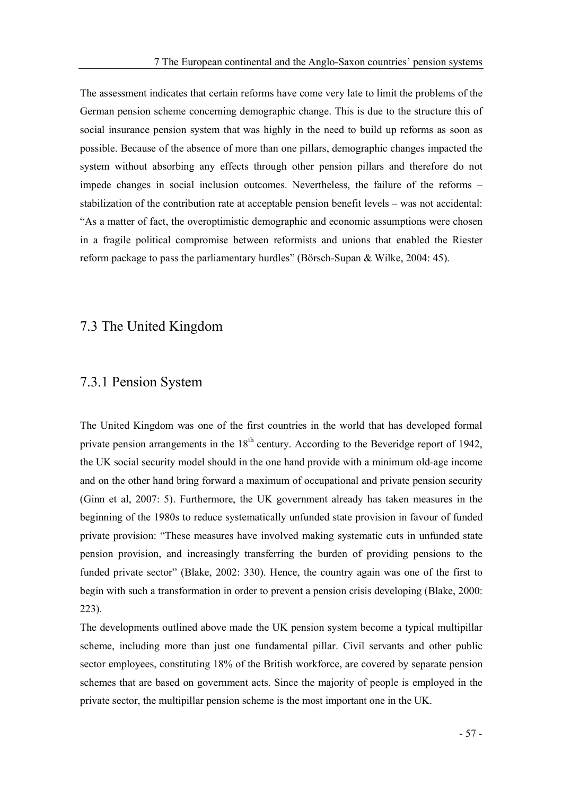The assessment indicates that certain reforms have come very late to limit the problems of the German pension scheme concerning demographic change. This is due to the structure this of social insurance pension system that was highly in the need to build up reforms as soon as possible. Because of the absence of more than one pillars, demographic changes impacted the system without absorbing any effects through other pension pillars and therefore do not impede changes in social inclusion outcomes. Nevertheless, the failure of the reforms stabilization of the contribution rate at acceptable pension benefit levels – was not accidental: As a matter of fact, the overoptimistic demographic and economic assumptions were chosen in a fragile political compromise between reformists and unions that enabled the Riester reform package to pass the parliamentary hurdles" (Börsch-Supan & Wilke, 2004: 45).

#### 7.3 The United Kingdom

### 7.3.1 Pension System

The United Kingdom was one of the first countries in the world that has developed formal private pension arrangements in the 18<sup>th</sup> century. According to the Beveridge report of 1942, the UK social security model should in the one hand provide with a minimum old-age income and on the other hand bring forward a maximum of occupational and private pension security (Ginn et al, 2007: 5). Furthermore, the UK government already has taken measures in the beginning of the 1980s to reduce systematically unfunded state provision in favour of funded private provision: These measures have involved making systematic cuts in unfunded state pension provision, and increasingly transferring the burden of providing pensions to the funded private sector" (Blake, 2002: 330). Hence, the country again was one of the first to begin with such a transformation in order to prevent a pension crisis developing (Blake, 2000: 223).

The developments outlined above made the UK pension system become a typical multipillar scheme, including more than just one fundamental pillar. Civil servants and other public sector employees, constituting 18% of the British workforce, are covered by separate pension schemes that are based on government acts. Since the majority of people is employed in the private sector, the multipillar pension scheme is the most important one in the UK.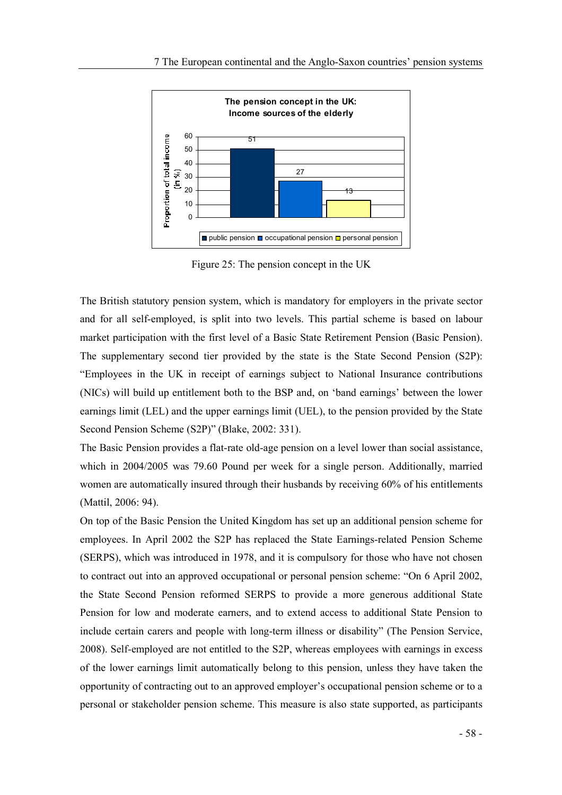![](_page_63_Figure_1.jpeg)

Figure 25: The pension concept in the UK

The British statutory pension system, which is mandatory for employers in the private sector and for all self-employed, is split into two levels. This partial scheme is based on labour market participation with the first level of a Basic State Retirement Pension (Basic Pension). The supplementary second tier provided by the state is the State Second Pension (S2P): Employees in the UK in receipt of earnings subject to National Insurance contributions (NICs) will build up entitlement both to the BSP and, on 'band earnings' between the lower earnings limit (LEL) and the upper earnings limit (UEL), to the pension provided by the State Second Pension Scheme (S2P)" (Blake, 2002: 331).

The Basic Pension provides a flat-rate old-age pension on a level lower than social assistance, which in 2004/2005 was 79.60 Pound per week for a single person. Additionally, married women are automatically insured through their husbands by receiving 60% of his entitlements (Mattil, 2006: 94).

On top of the Basic Pension the United Kingdom has set up an additional pension scheme for employees. In April 2002 the S2P has replaced the State Earnings-related Pension Scheme (SERPS), which was introduced in 1978, and it is compulsory for those who have not chosen to contract out into an approved occupational or personal pension scheme: "On 6 April 2002, the State Second Pension reformed SERPS to provide a more generous additional State Pension for low and moderate earners, and to extend access to additional State Pension to include certain carers and people with long-term illness or disability" (The Pension Service, 2008). Self-employed are not entitled to the S2P, whereas employees with earnings in excess of the lower earnings limit automatically belong to this pension, unless they have taken the opportunity of contracting out to an approved employer's occupational pension scheme or to a personal or stakeholder pension scheme. This measure is also state supported, as participants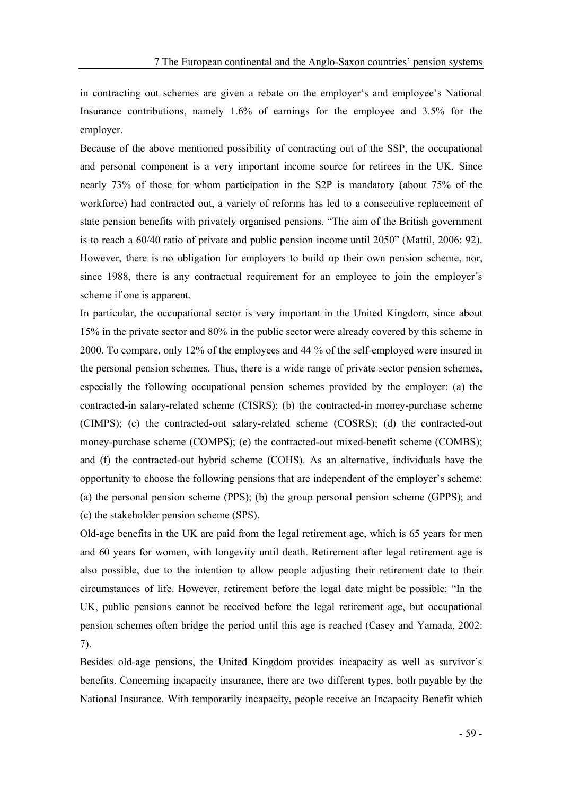in contracting out schemes are given a rebate on the employer's and employee's National Insurance contributions, namely 1.6% of earnings for the employee and 3.5% for the employer.

Because of the above mentioned possibility of contracting out of the SSP, the occupational and personal component is a very important income source for retirees in the UK. Since nearly 73% of those for whom participation in the S2P is mandatory (about 75% of the workforce) had contracted out, a variety of reforms has led to a consecutive replacement of state pension benefits with privately organised pensions. "The aim of the British government is to reach a  $60/40$  ratio of private and public pension income until  $2050$ " (Mattil,  $2006: 92$ ). However, there is no obligation for employers to build up their own pension scheme, nor, since 1988, there is any contractual requirement for an employee to join the employer's scheme if one is apparent.

In particular, the occupational sector is very important in the United Kingdom, since about 15% in the private sector and 80% in the public sector were already covered by this scheme in 2000. To compare, only 12% of the employees and 44 % of the self-employed were insured in the personal pension schemes. Thus, there is a wide range of private sector pension schemes, especially the following occupational pension schemes provided by the employer: (a) the contracted-in salary-related scheme (CISRS); (b) the contracted-in money-purchase scheme (CIMPS); (c) the contracted-out salary-related scheme (COSRS); (d) the contracted-out money-purchase scheme (COMPS); (e) the contracted-out mixed-benefit scheme (COMBS); and (f) the contracted-out hybrid scheme (COHS). As an alternative, individuals have the opportunity to choose the following pensions that are independent of the employer's scheme: (a) the personal pension scheme (PPS); (b) the group personal pension scheme (GPPS); and (c) the stakeholder pension scheme (SPS).

Old-age benefits in the UK are paid from the legal retirement age, which is 65 years for men and 60 years for women, with longevity until death. Retirement after legal retirement age is also possible, due to the intention to allow people adjusting their retirement date to their circumstances of life. However, retirement before the legal date might be possible: "In the UK, public pensions cannot be received before the legal retirement age, but occupational pension schemes often bridge the period until this age is reached (Casey and Yamada, 2002: 7).

Besides old-age pensions, the United Kingdom provides incapacity as well as survivor's benefits. Concerning incapacity insurance, there are two different types, both payable by the National Insurance. With temporarily incapacity, people receive an Incapacity Benefit which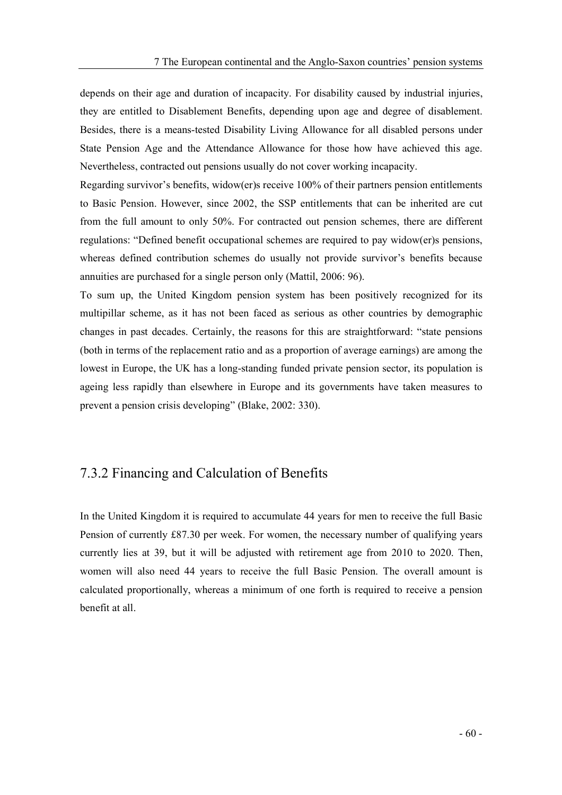depends on their age and duration of incapacity. For disability caused by industrial injuries, they are entitled to Disablement Benefits, depending upon age and degree of disablement. Besides, there is a means-tested Disability Living Allowance for all disabled persons under State Pension Age and the Attendance Allowance for those how have achieved this age. Nevertheless, contracted out pensions usually do not cover working incapacity.

Regarding survivor's benefits, widow(er)s receive 100% of their partners pension entitlements to Basic Pension. However, since 2002, the SSP entitlements that can be inherited are cut from the full amount to only 50%. For contracted out pension schemes, there are different regulations: "Defined benefit occupational schemes are required to pay widow(er)s pensions, whereas defined contribution schemes do usually not provide survivor's benefits because annuities are purchased for a single person only (Mattil, 2006: 96).

To sum up, the United Kingdom pension system has been positively recognized for its multipillar scheme, as it has not been faced as serious as other countries by demographic changes in past decades. Certainly, the reasons for this are straightforward: "state pensions (both in terms of the replacement ratio and as a proportion of average earnings) are among the lowest in Europe, the UK has a long-standing funded private pension sector, its population is ageing less rapidly than elsewhere in Europe and its governments have taken measures to prevent a pension crisis developing" (Blake, 2002: 330).

# 7.3.2 Financing and Calculation of Benefits

In the United Kingdom it is required to accumulate 44 years for men to receive the full Basic Pension of currently £87.30 per week. For women, the necessary number of qualifying years currently lies at 39, but it will be adjusted with retirement age from 2010 to 2020. Then, women will also need 44 years to receive the full Basic Pension. The overall amount is calculated proportionally, whereas a minimum of one forth is required to receive a pension benefit at all.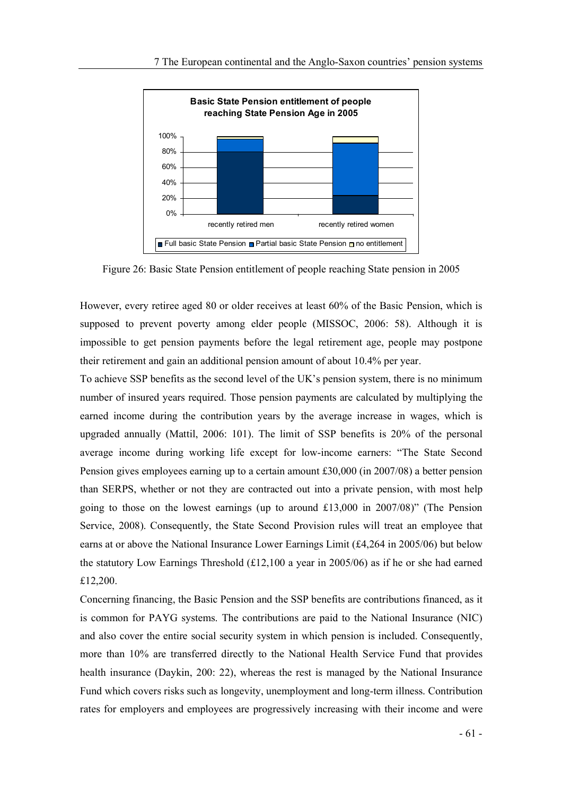![](_page_66_Figure_1.jpeg)

Figure 26: Basic State Pension entitlement of people reaching State pension in 2005

However, every retiree aged 80 or older receives at least 60% of the Basic Pension, which is supposed to prevent poverty among elder people (MISSOC, 2006: 58). Although it is impossible to get pension payments before the legal retirement age, people may postpone their retirement and gain an additional pension amount of about 10.4% per year.

To achieve SSP benefits as the second level of the UK's pension system, there is no minimum number of insured years required. Those pension payments are calculated by multiplying the earned income during the contribution years by the average increase in wages, which is upgraded annually (Mattil, 2006: 101). The limit of SSP benefits is 20% of the personal average income during working life except for low-income earners: The State Second Pension gives employees earning up to a certain amount £30,000 (in 2007/08) a better pension than SERPS, whether or not they are contracted out into a private pension, with most help going to those on the lowest earnings (up to around  $£13,000$  in  $2007/08$ )" (The Pension Service, 2008). Consequently, the State Second Provision rules will treat an employee that earns at or above the National Insurance Lower Earnings Limit (£4,264 in 2005/06) but below the statutory Low Earnings Threshold (£12,100 a year in 2005/06) as if he or she had earned £12,200.

Concerning financing, the Basic Pension and the SSP benefits are contributions financed, as it is common for PAYG systems. The contributions are paid to the National Insurance (NIC) and also cover the entire social security system in which pension is included. Consequently, more than 10% are transferred directly to the National Health Service Fund that provides health insurance (Daykin, 200: 22), whereas the rest is managed by the National Insurance Fund which covers risks such as longevity, unemployment and long-term illness. Contribution rates for employers and employees are progressively increasing with their income and were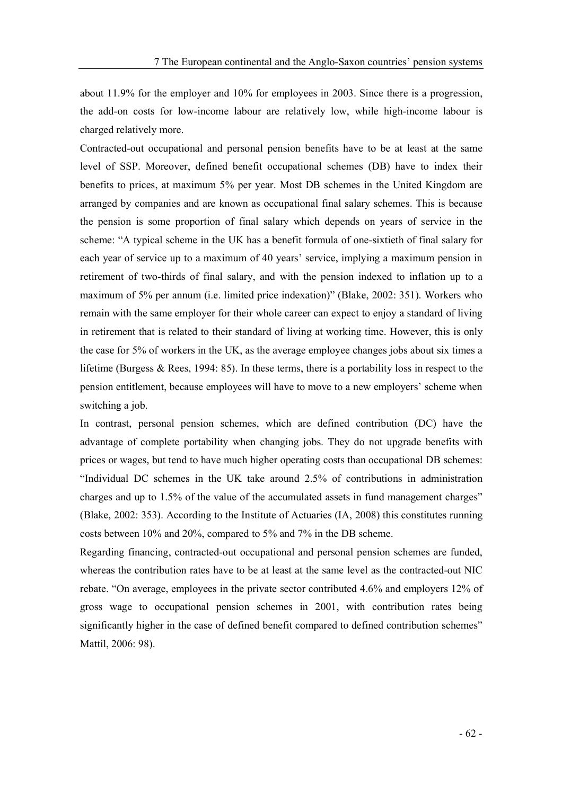about 11.9% for the employer and 10% for employees in 2003. Since there is a progression, the add-on costs for low-income labour are relatively low, while high-income labour is charged relatively more.

Contracted-out occupational and personal pension benefits have to be at least at the same level of SSP. Moreover, defined benefit occupational schemes (DB) have to index their benefits to prices, at maximum 5% per year. Most DB schemes in the United Kingdom are arranged by companies and are known as occupational final salary schemes. This is because the pension is some proportion of final salary which depends on years of service in the scheme: "A typical scheme in the UK has a benefit formula of one-sixtieth of final salary for each year of service up to a maximum of 40 years' service, implying a maximum pension in retirement of two-thirds of final salary, and with the pension indexed to inflation up to a maximum of 5% per annum (i.e. limited price indexation)" (Blake, 2002: 351). Workers who remain with the same employer for their whole career can expect to enjoy a standard of living in retirement that is related to their standard of living at working time. However, this is only the case for 5% of workers in the UK, as the average employee changes jobs about six times a lifetime (Burgess & Rees, 1994: 85). In these terms, there is a portability loss in respect to the pension entitlement, because employees will have to move to a new employers' scheme when switching a job.

In contrast, personal pension schemes, which are defined contribution (DC) have the advantage of complete portability when changing jobs. They do not upgrade benefits with prices or wages, but tend to have much higher operating costs than occupational DB schemes: Individual DC schemes in the UK take around 2.5% of contributions in administration charges and up to 1.5% of the value of the accumulated assets in fund management charges (Blake, 2002: 353). According to the Institute of Actuaries (IA, 2008) this constitutes running costs between 10% and 20%, compared to 5% and 7% in the DB scheme.

Regarding financing, contracted-out occupational and personal pension schemes are funded, whereas the contribution rates have to be at least at the same level as the contracted-out NIC rebate. "On average, employees in the private sector contributed 4.6% and employers 12% of gross wage to occupational pension schemes in 2001, with contribution rates being significantly higher in the case of defined benefit compared to defined contribution schemes" Mattil, 2006: 98).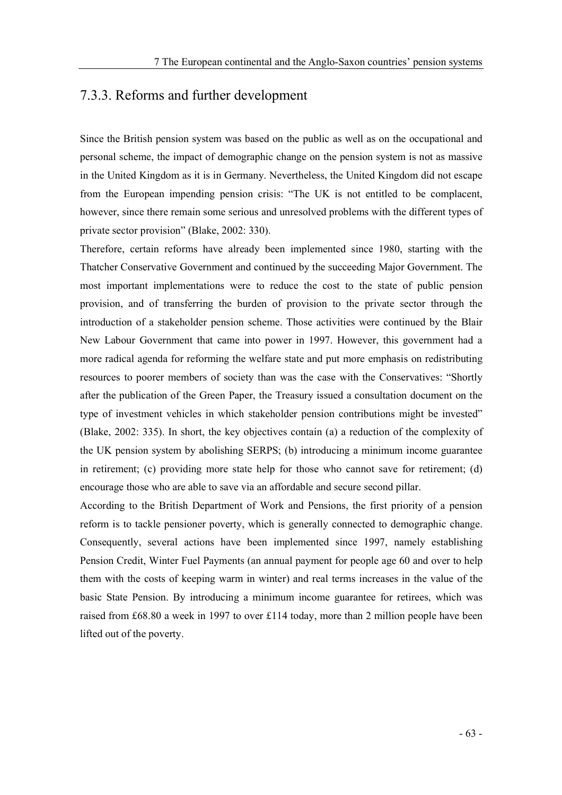#### 7.3.3. Reforms and further development

Since the British pension system was based on the public as well as on the occupational and personal scheme, the impact of demographic change on the pension system is not as massive in the United Kingdom as it is in Germany. Nevertheless, the United Kingdom did not escape from the European impending pension crisis: The UK is not entitled to be complacent, however, since there remain some serious and unresolved problems with the different types of private sector provision" (Blake, 2002: 330).

Therefore, certain reforms have already been implemented since 1980, starting with the Thatcher Conservative Government and continued by the succeeding Major Government. The most important implementations were to reduce the cost to the state of public pension provision, and of transferring the burden of provision to the private sector through the introduction of a stakeholder pension scheme. Those activities were continued by the Blair New Labour Government that came into power in 1997. However, this government had a more radical agenda for reforming the welfare state and put more emphasis on redistributing resources to poorer members of society than was the case with the Conservatives: "Shortly after the publication of the Green Paper, the Treasury issued a consultation document on the type of investment vehicles in which stakeholder pension contributions might be invested (Blake, 2002: 335). In short, the key objectives contain (a) a reduction of the complexity of the UK pension system by abolishing SERPS; (b) introducing a minimum income guarantee in retirement; (c) providing more state help for those who cannot save for retirement; (d) encourage those who are able to save via an affordable and secure second pillar.

According to the British Department of Work and Pensions, the first priority of a pension reform is to tackle pensioner poverty, which is generally connected to demographic change. Consequently, several actions have been implemented since 1997, namely establishing Pension Credit, Winter Fuel Payments (an annual payment for people age 60 and over to help them with the costs of keeping warm in winter) and real terms increases in the value of the basic State Pension. By introducing a minimum income guarantee for retirees, which was raised from £68.80 a week in 1997 to over £114 today, more than 2 million people have been lifted out of the poverty.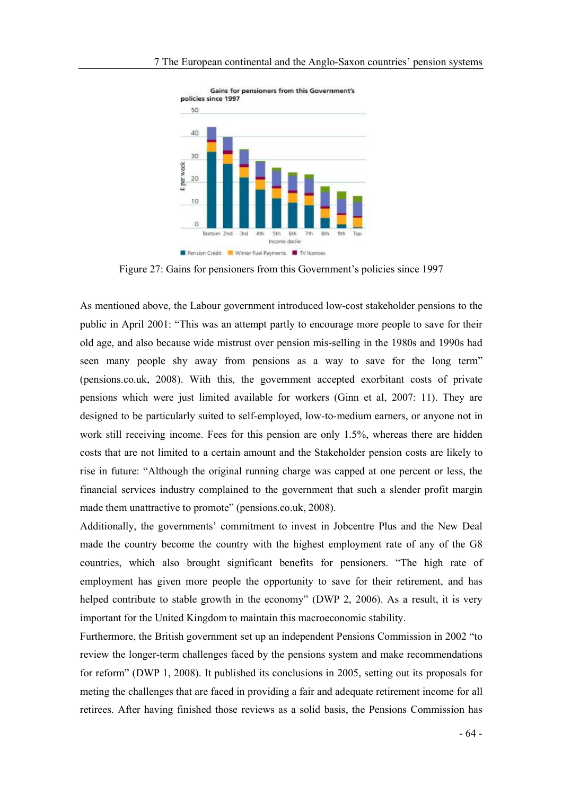![](_page_69_Figure_1.jpeg)

Gains for pensioners from this Government's

Figure 27: Gains for pensioners from this Government's policies since 1997

As mentioned above, the Labour government introduced low-cost stakeholder pensions to the public in April 2001: This was an attempt partly to encourage more people to save for their old age, and also because wide mistrust over pension mis-selling in the 1980s and 1990s had seen many people shy away from pensions as a way to save for the long term" (pensions.co.uk, 2008). With this, the government accepted exorbitant costs of private pensions which were just limited available for workers (Ginn et al, 2007: 11). They are designed to be particularly suited to self-employed, low-to-medium earners, or anyone not in work still receiving income. Fees for this pension are only 1.5%, whereas there are hidden costs that are not limited to a certain amount and the Stakeholder pension costs are likely to rise in future: "Although the original running charge was capped at one percent or less, the financial services industry complained to the government that such a slender profit margin made them unattractive to promote" (pensions.co.uk, 2008).

Additionally, the governments' commitment to invest in Jobcentre Plus and the New Deal made the country become the country with the highest employment rate of any of the G8 countries, which also brought significant benefits for pensioners. The high rate of employment has given more people the opportunity to save for their retirement, and has helped contribute to stable growth in the economy" (DWP 2, 2006). As a result, it is very important for the United Kingdom to maintain this macroeconomic stability.

Furthermore, the British government set up an independent Pensions Commission in 2002 "to review the longer-term challenges faced by the pensions system and make recommendations for reform" (DWP 1, 2008). It published its conclusions in 2005, setting out its proposals for meting the challenges that are faced in providing a fair and adequate retirement income for all retirees. After having finished those reviews as a solid basis, the Pensions Commission has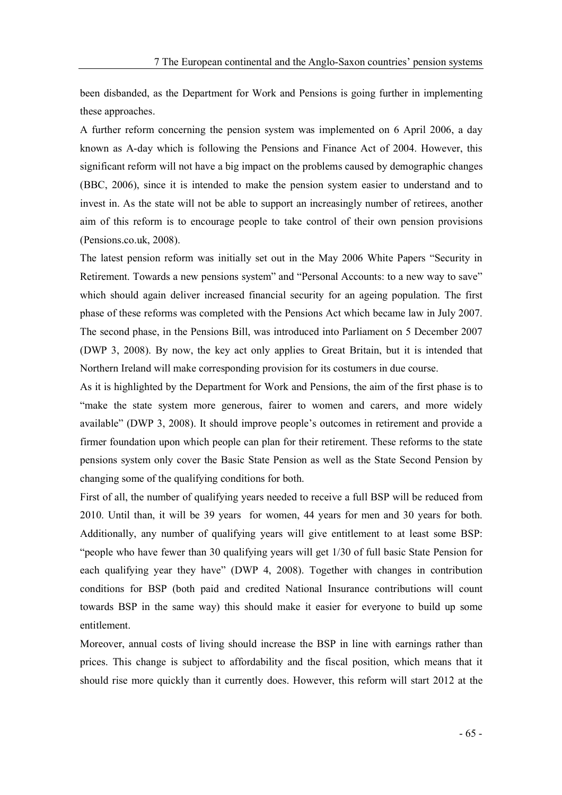been disbanded, as the Department for Work and Pensions is going further in implementing these approaches.

A further reform concerning the pension system was implemented on 6 April 2006, a day known as A-day which is following the Pensions and Finance Act of 2004. However, this significant reform will not have a big impact on the problems caused by demographic changes (BBC, 2006), since it is intended to make the pension system easier to understand and to invest in. As the state will not be able to support an increasingly number of retirees, another aim of this reform is to encourage people to take control of their own pension provisions (Pensions.co.uk, 2008).

The latest pension reform was initially set out in the May 2006 White Papers "Security in Retirement. Towards a new pensions system" and "Personal Accounts: to a new way to save" which should again deliver increased financial security for an ageing population. The first phase of these reforms was completed with the Pensions Act which became law in July 2007. The second phase, in the Pensions Bill, was introduced into Parliament on 5 December 2007 (DWP 3, 2008). By now, the key act only applies to Great Britain, but it is intended that Northern Ireland will make corresponding provision for its costumers in due course.

As it is highlighted by the Department for Work and Pensions, the aim of the first phase is to make the state system more generous, fairer to women and carers, and more widely available" (DWP 3, 2008). It should improve people's outcomes in retirement and provide a firmer foundation upon which people can plan for their retirement. These reforms to the state pensions system only cover the Basic State Pension as well as the State Second Pension by changing some of the qualifying conditions for both.

First of all, the number of qualifying years needed to receive a full BSP will be reduced from 2010. Until than, it will be 39 years for women, 44 years for men and 30 years for both. Additionally, any number of qualifying years will give entitlement to at least some BSP: people who have fewer than 30 qualifying years will get 1/30 of full basic State Pension for each qualifying year they have" (DWP 4, 2008). Together with changes in contribution conditions for BSP (both paid and credited National Insurance contributions will count towards BSP in the same way) this should make it easier for everyone to build up some entitlement.

Moreover, annual costs of living should increase the BSP in line with earnings rather than prices. This change is subject to affordability and the fiscal position, which means that it should rise more quickly than it currently does. However, this reform will start 2012 at the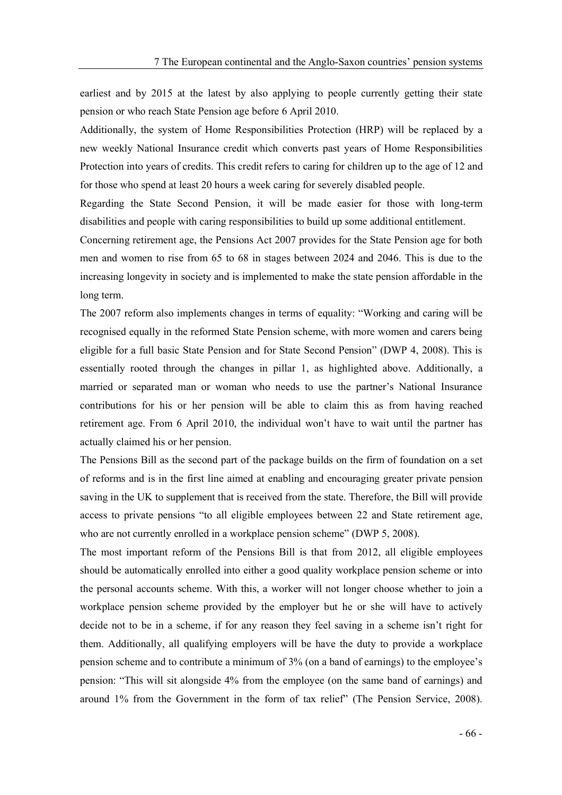earliest and by 2015 at the latest by also applying to people currently getting their state pension or who reach State Pension age before 6 April 2010.

Additionally, the system of Home Responsibilities Protection (HRP) will be replaced by a new weekly National Insurance credit which converts past years of Home Responsibilities Protection into years of credits. This credit refers to caring for children up to the age of 12 and for those who spend at least 20 hours a week caring for severely disabled people.

Regarding the State Second Pension, it will be made easier for those with long-term disabilities and people with caring responsibilities to build up some additional entitlement.

Concerning retirement age, the Pensions Act 2007 provides for the State Pension age for both men and women to rise from 65 to 68 in stages between 2024 and 2046. This is due to the increasing longevity in society and is implemented to make the state pension affordable in the long term.

The 2007 reform also implements changes in terms of equality: "Working and caring will be recognised equally in the reformed State Pension scheme, with more women and carers being eligible for a full basic State Pension and for State Second Pension" (DWP 4, 2008). This is essentially rooted through the changes in pillar 1, as highlighted above. Additionally, a married or separated man or woman who needs to use the partner's National Insurance contributions for his or her pension will be able to claim this as from having reached retirement age. From 6 April 2010, the individual won't have to wait until the partner has actually claimed his or her pension.

The Pensions Bill as the second part of the package builds on the firm of foundation on a set of reforms and is in the first line aimed at enabling and encouraging greater private pension saving in the UK to supplement that is received from the state. Therefore, the Bill will provide access to private pensions "to all eligible employees between 22 and State retirement age, who are not currently enrolled in a workplace pension scheme" (DWP 5, 2008).

The most important reform of the Pensions Bill is that from 2012, all eligible employees should be automatically enrolled into either a good quality workplace pension scheme or into the personal accounts scheme. With this, a worker will not longer choose whether to join a workplace pension scheme provided by the employer but he or she will have to actively decide not to be in a scheme, if for any reason they feel saving in a scheme isn't right for them. Additionally, all qualifying employers will be have the duty to provide a workplace pension scheme and to contribute a minimum of 3% (on a band of earnings) to the employee's pension: This will sit alongside 4% from the employee (on the same band of earnings) and around  $1\%$  from the Government in the form of tax relief" (The Pension Service, 2008).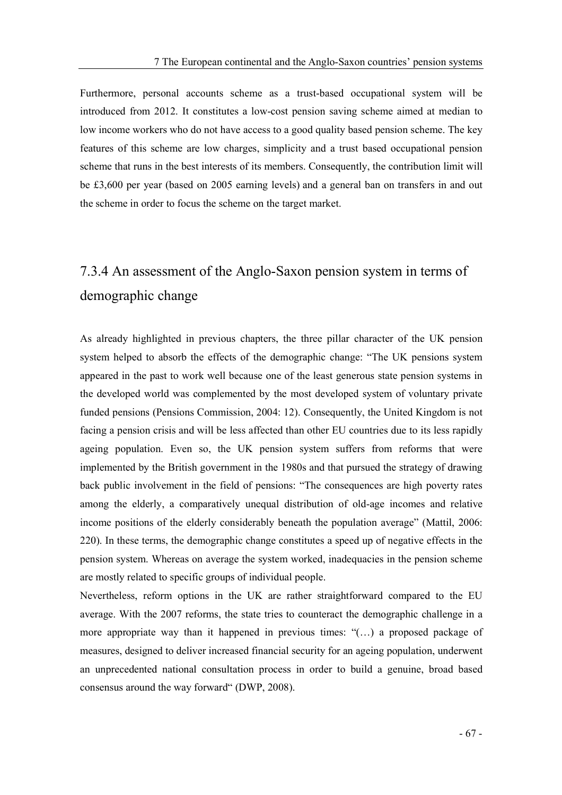Furthermore, personal accounts scheme as a trust-based occupational system will be introduced from 2012. It constitutes a low-cost pension saving scheme aimed at median to low income workers who do not have access to a good quality based pension scheme. The key features of this scheme are low charges, simplicity and a trust based occupational pension scheme that runs in the best interests of its members. Consequently, the contribution limit will be £3,600 per year (based on 2005 earning levels) and a general ban on transfers in and out the scheme in order to focus the scheme on the target market.

# 7.3.4 An assessment of the Anglo-Saxon pension system in terms of demographic change

As already highlighted in previous chapters, the three pillar character of the UK pension system helped to absorb the effects of the demographic change: "The UK pensions system appeared in the past to work well because one of the least generous state pension systems in the developed world was complemented by the most developed system of voluntary private funded pensions (Pensions Commission, 2004: 12). Consequently, the United Kingdom is not facing a pension crisis and will be less affected than other EU countries due to its less rapidly ageing population. Even so, the UK pension system suffers from reforms that were implemented by the British government in the 1980s and that pursued the strategy of drawing back public involvement in the field of pensions: The consequences are high poverty rates among the elderly, a comparatively unequal distribution of old-age incomes and relative income positions of the elderly considerably beneath the population average" (Mattil, 2006: 220). In these terms, the demographic change constitutes a speed up of negative effects in the pension system. Whereas on average the system worked, inadequacies in the pension scheme are mostly related to specific groups of individual people.

Nevertheless, reform options in the UK are rather straightforward compared to the EU average. With the 2007 reforms, the state tries to counteract the demographic challenge in a more appropriate way than it happened in previous times:  $((\ldots))$  a proposed package of measures, designed to deliver increased financial security for an ageing population, underwent an unprecedented national consultation process in order to build a genuine, broad based consensus around the way forward (DWP, 2008).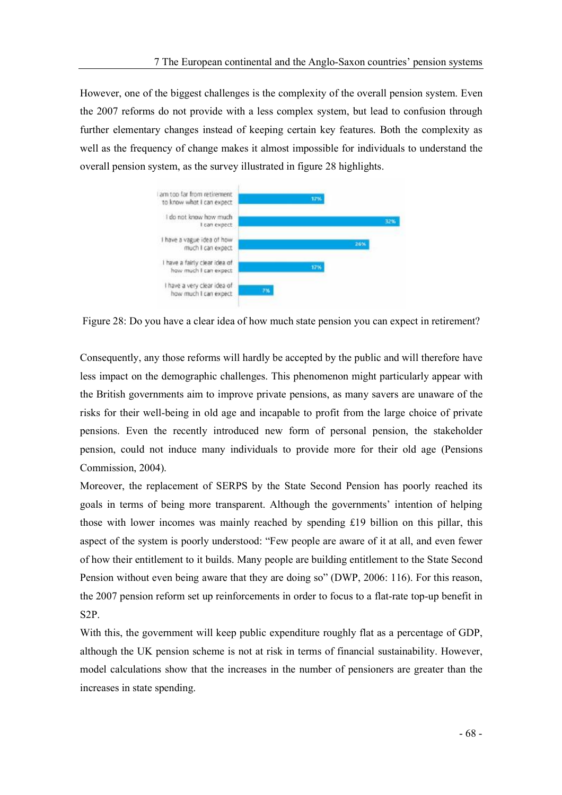However, one of the biggest challenges is the complexity of the overall pension system. Even the 2007 reforms do not provide with a less complex system, but lead to confusion through further elementary changes instead of keeping certain key features. Both the complexity as well as the frequency of change makes it almost impossible for individuals to understand the overall pension system, as the survey illustrated in figure 28 highlights.



Figure 28: Do you have a clear idea of how much state pension you can expect in retirement?

Consequently, any those reforms will hardly be accepted by the public and will therefore have less impact on the demographic challenges. This phenomenon might particularly appear with the British governments aim to improve private pensions, as many savers are unaware of the risks for their well-being in old age and incapable to profit from the large choice of private pensions. Even the recently introduced new form of personal pension, the stakeholder pension, could not induce many individuals to provide more for their old age (Pensions Commission, 2004).

Moreover, the replacement of SERPS by the State Second Pension has poorly reached its goals in terms of being more transparent. Although the governments' intention of helping those with lower incomes was mainly reached by spending £19 billion on this pillar, this aspect of the system is poorly understood: "Few people are aware of it at all, and even fewer of how their entitlement to it builds. Many people are building entitlement to the State Second Pension without even being aware that they are doing so" (DWP, 2006: 116). For this reason, the 2007 pension reform set up reinforcements in order to focus to a flat-rate top-up benefit in S2P.

With this, the government will keep public expenditure roughly flat as a percentage of GDP, although the UK pension scheme is not at risk in terms of financial sustainability. However, model calculations show that the increases in the number of pensioners are greater than the increases in state spending.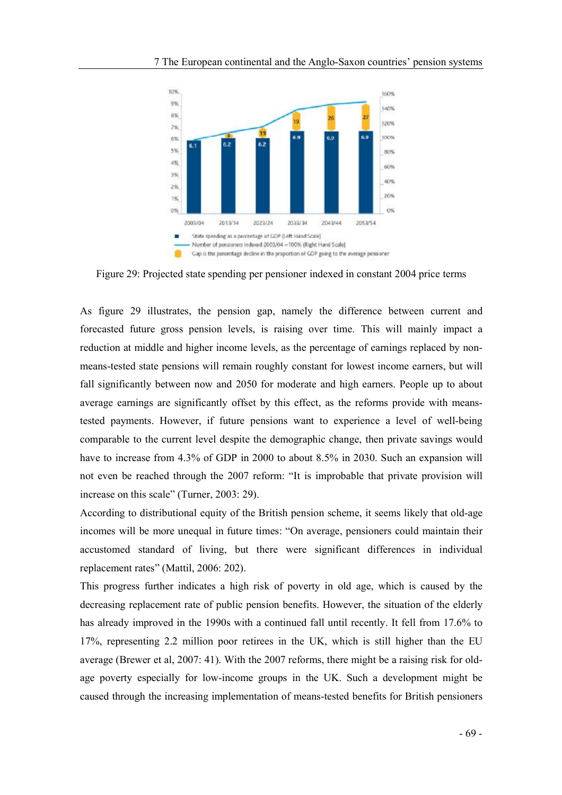

Figure 29: Projected state spending per pensioner indexed in constant 2004 price terms

As figure 29 illustrates, the pension gap, namely the difference between current and forecasted future gross pension levels, is raising over time. This will mainly impact a reduction at middle and higher income levels, as the percentage of earnings replaced by nonmeans-tested state pensions will remain roughly constant for lowest income earners, but will fall significantly between now and 2050 for moderate and high earners. People up to about average earnings are significantly offset by this effect, as the reforms provide with meanstested payments. However, if future pensions want to experience a level of well-being comparable to the current level despite the demographic change, then private savings would have to increase from 4.3% of GDP in 2000 to about 8.5% in 2030. Such an expansion will not even be reached through the 2007 reform: "It is improbable that private provision will increase on this scale" (Turner,  $2003: 29$ ).

According to distributional equity of the British pension scheme, it seems likely that old-age incomes will be more unequal in future times: "On average, pensioners could maintain their accustomed standard of living, but there were significant differences in individual replacement rates" (Mattil, 2006: 202).

This progress further indicates a high risk of poverty in old age, which is caused by the decreasing replacement rate of public pension benefits. However, the situation of the elderly has already improved in the 1990s with a continued fall until recently. It fell from 17.6% to 17%, representing 2.2 million poor retirees in the UK, which is still higher than the EU average (Brewer et al, 2007: 41). With the 2007 reforms, there might be a raising risk for oldage poverty especially for low-income groups in the UK. Such a development might be caused through the increasing implementation of means-tested benefits for British pensioners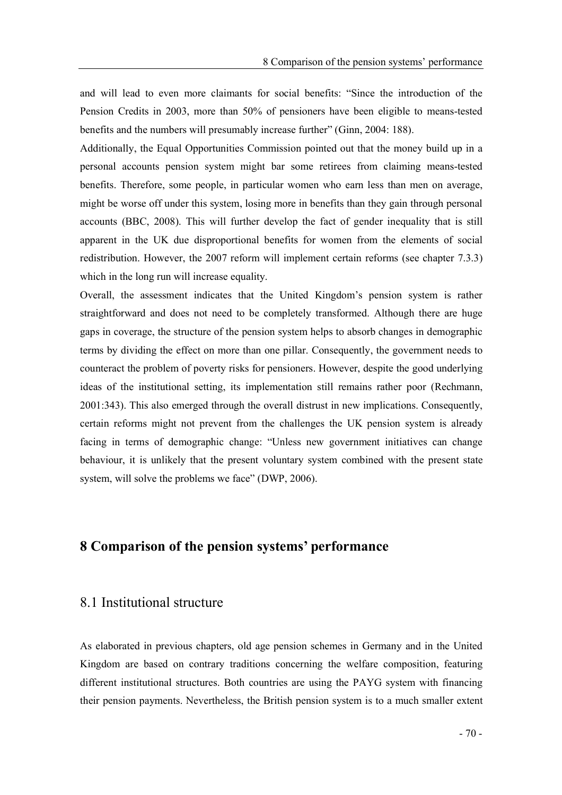and will lead to even more claimants for social benefits: "Since the introduction of the Pension Credits in 2003, more than 50% of pensioners have been eligible to means-tested benefits and the numbers will presumably increase further" (Ginn, 2004: 188).

Additionally, the Equal Opportunities Commission pointed out that the money build up in a personal accounts pension system might bar some retirees from claiming means-tested benefits. Therefore, some people, in particular women who earn less than men on average, might be worse off under this system, losing more in benefits than they gain through personal accounts (BBC, 2008). This will further develop the fact of gender inequality that is still apparent in the UK due disproportional benefits for women from the elements of social redistribution. However, the 2007 reform will implement certain reforms (see chapter 7.3.3) which in the long run will increase equality.

Overall, the assessment indicates that the United Kingdom's pension system is rather straightforward and does not need to be completely transformed. Although there are huge gaps in coverage, the structure of the pension system helps to absorb changes in demographic terms by dividing the effect on more than one pillar. Consequently, the government needs to counteract the problem of poverty risks for pensioners. However, despite the good underlying ideas of the institutional setting, its implementation still remains rather poor (Rechmann, 2001:343). This also emerged through the overall distrust in new implications. Consequently, certain reforms might not prevent from the challenges the UK pension system is already facing in terms of demographic change: Unless new government initiatives can change behaviour, it is unlikely that the present voluntary system combined with the present state system, will solve the problems we face" (DWP, 2006).

#### 8 Comparison of the pension systems' performance

#### 8.1 Institutional structure

As elaborated in previous chapters, old age pension schemes in Germany and in the United Kingdom are based on contrary traditions concerning the welfare composition, featuring different institutional structures. Both countries are using the PAYG system with financing their pension payments. Nevertheless, the British pension system is to a much smaller extent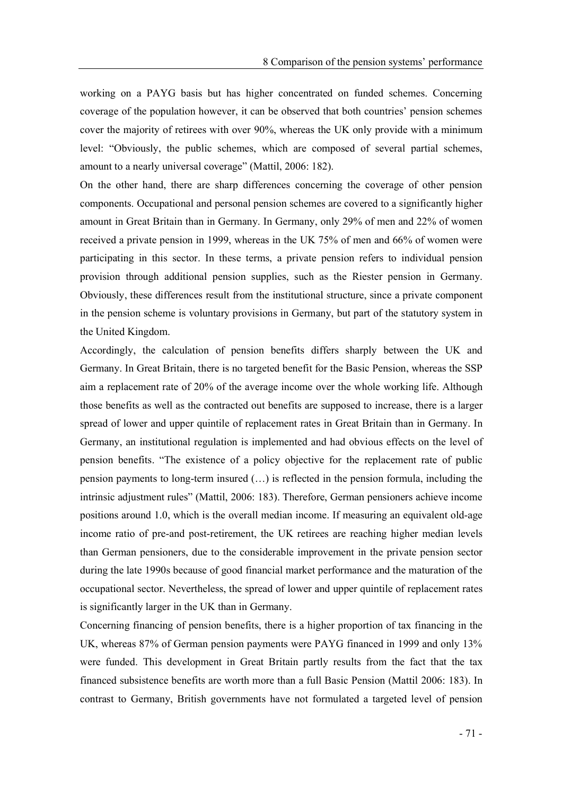working on a PAYG basis but has higher concentrated on funded schemes. Concerning coverage of the population however, it can be observed that both countries' pension schemes cover the majority of retirees with over 90%, whereas the UK only provide with a minimum level: Obviously, the public schemes, which are composed of several partial schemes, amount to a nearly universal coverage" (Mattil, 2006: 182).

On the other hand, there are sharp differences concerning the coverage of other pension components. Occupational and personal pension schemes are covered to a significantly higher amount in Great Britain than in Germany. In Germany, only 29% of men and 22% of women received a private pension in 1999, whereas in the UK 75% of men and 66% of women were participating in this sector. In these terms, a private pension refers to individual pension provision through additional pension supplies, such as the Riester pension in Germany. Obviously, these differences result from the institutional structure, since a private component in the pension scheme is voluntary provisions in Germany, but part of the statutory system in the United Kingdom.

Accordingly, the calculation of pension benefits differs sharply between the UK and Germany. In Great Britain, there is no targeted benefit for the Basic Pension, whereas the SSP aim a replacement rate of 20% of the average income over the whole working life. Although those benefits as well as the contracted out benefits are supposed to increase, there is a larger spread of lower and upper quintile of replacement rates in Great Britain than in Germany. In Germany, an institutional regulation is implemented and had obvious effects on the level of pension benefits. The existence of a policy objective for the replacement rate of public pension payments to long-term insured  $(...)$  is reflected in the pension formula, including the intrinsic adjustment rules" (Mattil, 2006: 183). Therefore, German pensioners achieve income positions around 1.0, which is the overall median income. If measuring an equivalent old-age income ratio of pre-and post-retirement, the UK retirees are reaching higher median levels than German pensioners, due to the considerable improvement in the private pension sector during the late 1990s because of good financial market performance and the maturation of the occupational sector. Nevertheless, the spread of lower and upper quintile of replacement rates is significantly larger in the UK than in Germany.

Concerning financing of pension benefits, there is a higher proportion of tax financing in the UK, whereas 87% of German pension payments were PAYG financed in 1999 and only 13% were funded. This development in Great Britain partly results from the fact that the tax financed subsistence benefits are worth more than a full Basic Pension (Mattil 2006: 183). In contrast to Germany, British governments have not formulated a targeted level of pension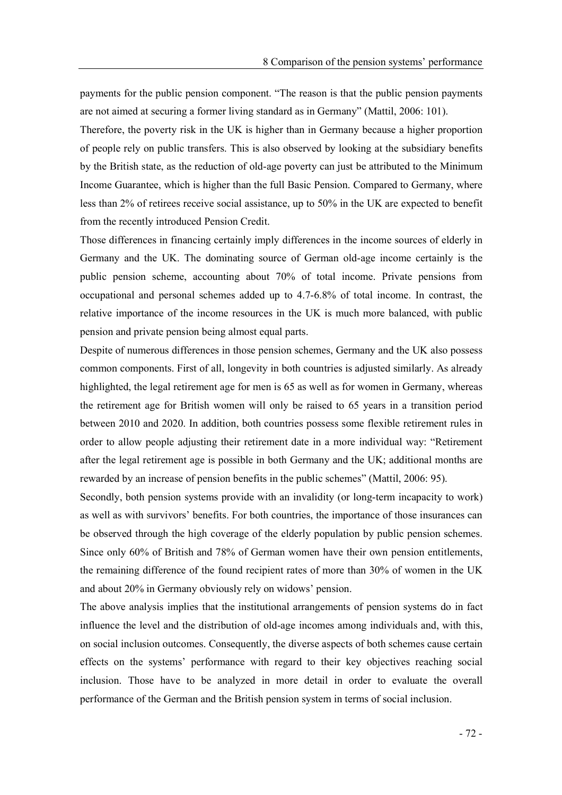payments for the public pension component. The reason is that the public pension payments are not aimed at securing a former living standard as in Germany (Mattil, 2006: 101).

Therefore, the poverty risk in the UK is higher than in Germany because a higher proportion of people rely on public transfers. This is also observed by looking at the subsidiary benefits by the British state, as the reduction of old-age poverty can just be attributed to the Minimum Income Guarantee, which is higher than the full Basic Pension. Compared to Germany, where less than 2% of retirees receive social assistance, up to 50% in the UK are expected to benefit from the recently introduced Pension Credit.

Those differences in financing certainly imply differences in the income sources of elderly in Germany and the UK. The dominating source of German old-age income certainly is the public pension scheme, accounting about 70% of total income. Private pensions from occupational and personal schemes added up to 4.7-6.8% of total income. In contrast, the relative importance of the income resources in the UK is much more balanced, with public pension and private pension being almost equal parts.

Despite of numerous differences in those pension schemes, Germany and the UK also possess common components. First of all, longevity in both countries is adjusted similarly. As already highlighted, the legal retirement age for men is 65 as well as for women in Germany, whereas the retirement age for British women will only be raised to 65 years in a transition period between 2010 and 2020. In addition, both countries possess some flexible retirement rules in order to allow people adjusting their retirement date in a more individual way: "Retirement after the legal retirement age is possible in both Germany and the UK; additional months are rewarded by an increase of pension benefits in the public schemes" (Mattil, 2006: 95).

Secondly, both pension systems provide with an invalidity (or long-term incapacity to work) as well as with survivors' benefits. For both countries, the importance of those insurances can be observed through the high coverage of the elderly population by public pension schemes. Since only 60% of British and 78% of German women have their own pension entitlements, the remaining difference of the found recipient rates of more than 30% of women in the UK and about 20% in Germany obviously rely on widows' pension.

The above analysis implies that the institutional arrangements of pension systems do in fact influence the level and the distribution of old-age incomes among individuals and, with this, on social inclusion outcomes. Consequently, the diverse aspects of both schemes cause certain effects on the systems' performance with regard to their key objectives reaching social inclusion. Those have to be analyzed in more detail in order to evaluate the overall performance of the German and the British pension system in terms of social inclusion.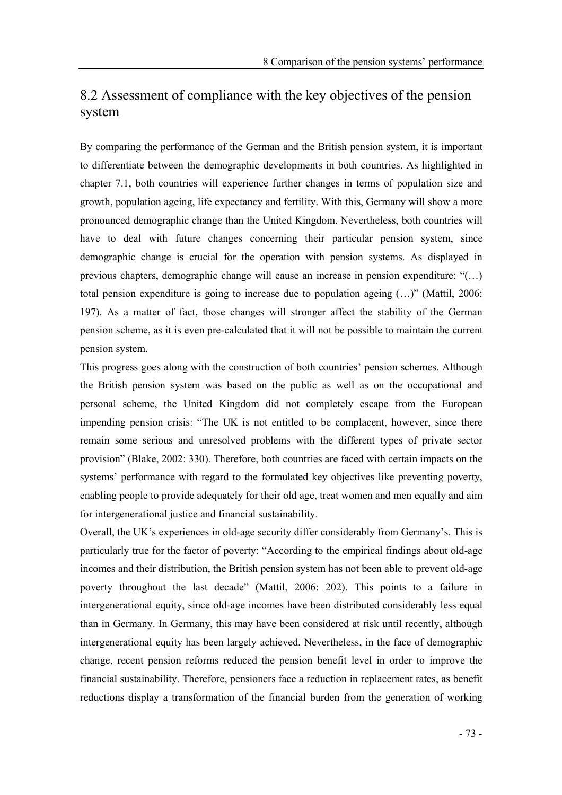## 8.2 Assessment of compliance with the key objectives of the pension system

By comparing the performance of the German and the British pension system, it is important to differentiate between the demographic developments in both countries. As highlighted in chapter 7.1, both countries will experience further changes in terms of population size and growth, population ageing, life expectancy and fertility. With this, Germany will show a more pronounced demographic change than the United Kingdom. Nevertheless, both countries will have to deal with future changes concerning their particular pension system, since demographic change is crucial for the operation with pension systems. As displayed in previous chapters, demographic change will cause an increase in pension expenditure:  $($ ...) total pension expenditure is going to increase due to population ageing  $(...)$  (Mattil, 2006: 197). As a matter of fact, those changes will stronger affect the stability of the German pension scheme, as it is even pre-calculated that it will not be possible to maintain the current pension system.

This progress goes along with the construction of both countries' pension schemes. Although the British pension system was based on the public as well as on the occupational and personal scheme, the United Kingdom did not completely escape from the European impending pension crisis: "The UK is not entitled to be complacent, however, since there remain some serious and unresolved problems with the different types of private sector provision" (Blake, 2002: 330). Therefore, both countries are faced with certain impacts on the systems' performance with regard to the formulated key objectives like preventing poverty, enabling people to provide adequately for their old age, treat women and men equally and aim for intergenerational justice and financial sustainability.

Overall, the UK's experiences in old-age security differ considerably from Germany's. This is particularly true for the factor of poverty: "According to the empirical findings about old-age incomes and their distribution, the British pension system has not been able to prevent old-age poverty throughout the last decade" (Mattil, 2006: 202). This points to a failure in intergenerational equity, since old-age incomes have been distributed considerably less equal than in Germany. In Germany, this may have been considered at risk until recently, although intergenerational equity has been largely achieved. Nevertheless, in the face of demographic change, recent pension reforms reduced the pension benefit level in order to improve the financial sustainability. Therefore, pensioners face a reduction in replacement rates, as benefit reductions display a transformation of the financial burden from the generation of working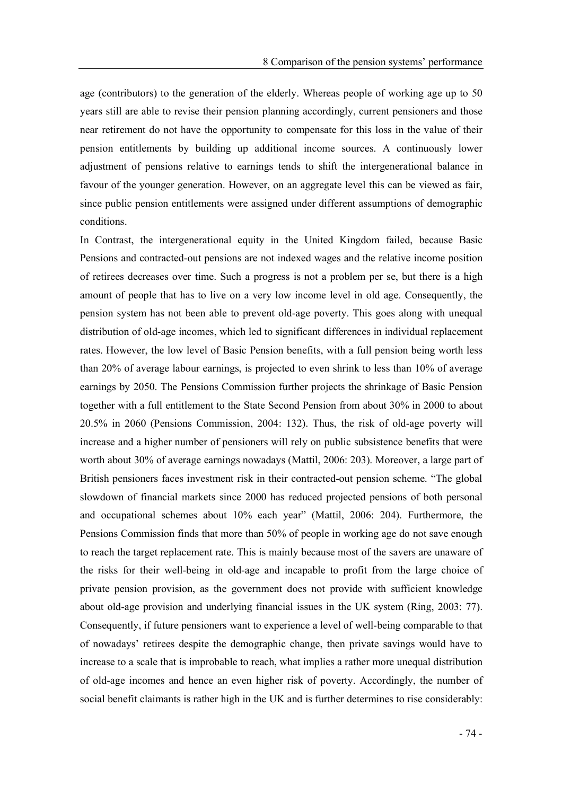age (contributors) to the generation of the elderly. Whereas people of working age up to 50 years still are able to revise their pension planning accordingly, current pensioners and those near retirement do not have the opportunity to compensate for this loss in the value of their pension entitlements by building up additional income sources. A continuously lower adjustment of pensions relative to earnings tends to shift the intergenerational balance in favour of the younger generation. However, on an aggregate level this can be viewed as fair, since public pension entitlements were assigned under different assumptions of demographic conditions.

In Contrast, the intergenerational equity in the United Kingdom failed, because Basic Pensions and contracted-out pensions are not indexed wages and the relative income position of retirees decreases over time. Such a progress is not a problem per se, but there is a high amount of people that has to live on a very low income level in old age. Consequently, the pension system has not been able to prevent old-age poverty. This goes along with unequal distribution of old-age incomes, which led to significant differences in individual replacement rates. However, the low level of Basic Pension benefits, with a full pension being worth less than 20% of average labour earnings, is projected to even shrink to less than 10% of average earnings by 2050. The Pensions Commission further projects the shrinkage of Basic Pension together with a full entitlement to the State Second Pension from about 30% in 2000 to about 20.5% in 2060 (Pensions Commission, 2004: 132). Thus, the risk of old-age poverty will increase and a higher number of pensioners will rely on public subsistence benefits that were worth about 30% of average earnings nowadays (Mattil, 2006: 203). Moreover, a large part of British pensioners faces investment risk in their contracted-out pension scheme. "The global slowdown of financial markets since 2000 has reduced projected pensions of both personal and occupational schemes about 10% each year" (Mattil, 2006: 204). Furthermore, the Pensions Commission finds that more than 50% of people in working age do not save enough to reach the target replacement rate. This is mainly because most of the savers are unaware of the risks for their well-being in old-age and incapable to profit from the large choice of private pension provision, as the government does not provide with sufficient knowledge about old-age provision and underlying financial issues in the UK system (Ring, 2003: 77). Consequently, if future pensioners want to experience a level of well-being comparable to that of nowadays retirees despite the demographic change, then private savings would have to increase to a scale that is improbable to reach, what implies a rather more unequal distribution of old-age incomes and hence an even higher risk of poverty. Accordingly, the number of social benefit claimants is rather high in the UK and is further determines to rise considerably: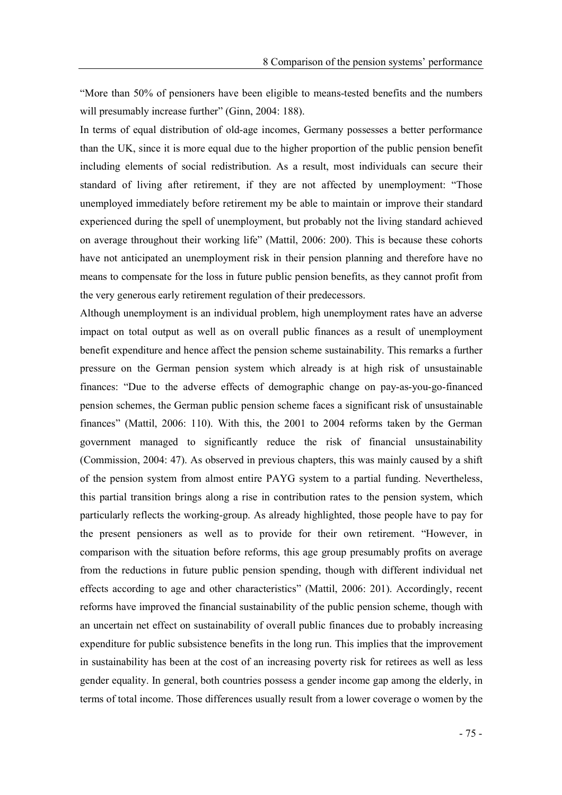More than 50% of pensioners have been eligible to means-tested benefits and the numbers will presumably increase further" (Ginn, 2004: 188).

In terms of equal distribution of old-age incomes, Germany possesses a better performance than the UK, since it is more equal due to the higher proportion of the public pension benefit including elements of social redistribution. As a result, most individuals can secure their standard of living after retirement, if they are not affected by unemployment: Those unemployed immediately before retirement my be able to maintain or improve their standard experienced during the spell of unemployment, but probably not the living standard achieved on average throughout their working life" (Mattil, 2006: 200). This is because these cohorts have not anticipated an unemployment risk in their pension planning and therefore have no means to compensate for the loss in future public pension benefits, as they cannot profit from the very generous early retirement regulation of their predecessors.

Although unemployment is an individual problem, high unemployment rates have an adverse impact on total output as well as on overall public finances as a result of unemployment benefit expenditure and hence affect the pension scheme sustainability. This remarks a further pressure on the German pension system which already is at high risk of unsustainable finances: Due to the adverse effects of demographic change on pay-as-you-go-financed pension schemes, the German public pension scheme faces a significant risk of unsustainable finances" (Mattil, 2006: 110). With this, the 2001 to 2004 reforms taken by the German government managed to significantly reduce the risk of financial unsustainability (Commission, 2004: 47). As observed in previous chapters, this was mainly caused by a shift of the pension system from almost entire PAYG system to a partial funding. Nevertheless, this partial transition brings along a rise in contribution rates to the pension system, which particularly reflects the working-group. As already highlighted, those people have to pay for the present pensioners as well as to provide for their own retirement. "However, in comparison with the situation before reforms, this age group presumably profits on average from the reductions in future public pension spending, though with different individual net effects according to age and other characteristics" (Mattil, 2006: 201). Accordingly, recent reforms have improved the financial sustainability of the public pension scheme, though with an uncertain net effect on sustainability of overall public finances due to probably increasing expenditure for public subsistence benefits in the long run. This implies that the improvement in sustainability has been at the cost of an increasing poverty risk for retirees as well as less gender equality. In general, both countries possess a gender income gap among the elderly, in terms of total income. Those differences usually result from a lower coverage o women by the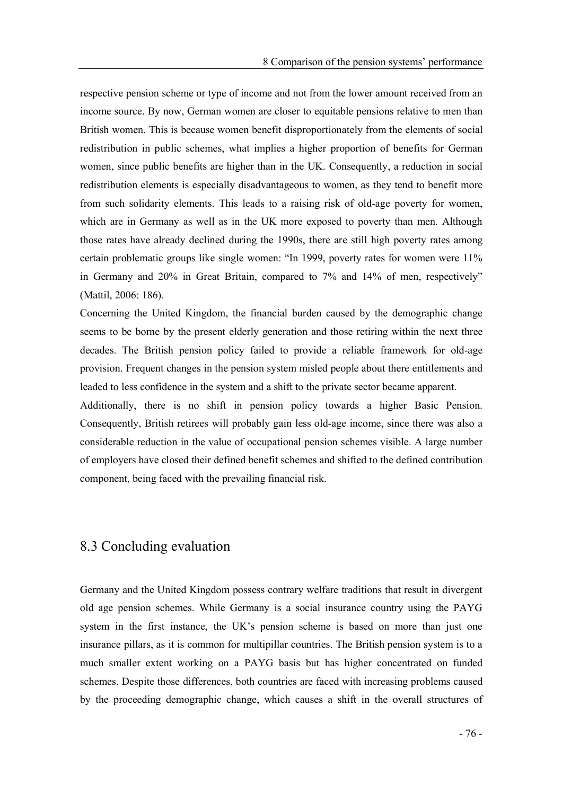respective pension scheme or type of income and not from the lower amount received from an income source. By now, German women are closer to equitable pensions relative to men than British women. This is because women benefit disproportionately from the elements of social redistribution in public schemes, what implies a higher proportion of benefits for German women, since public benefits are higher than in the UK. Consequently, a reduction in social redistribution elements is especially disadvantageous to women, as they tend to benefit more from such solidarity elements. This leads to a raising risk of old-age poverty for women, which are in Germany as well as in the UK more exposed to poverty than men. Although those rates have already declined during the 1990s, there are still high poverty rates among certain problematic groups like single women: "In 1999, poverty rates for women were 11% in Germany and 20% in Great Britain, compared to 7% and 14% of men, respectively (Mattil, 2006: 186).

Concerning the United Kingdom, the financial burden caused by the demographic change seems to be borne by the present elderly generation and those retiring within the next three decades. The British pension policy failed to provide a reliable framework for old-age provision. Frequent changes in the pension system misled people about there entitlements and leaded to less confidence in the system and a shift to the private sector became apparent.

Additionally, there is no shift in pension policy towards a higher Basic Pension. Consequently, British retirees will probably gain less old-age income, since there was also a considerable reduction in the value of occupational pension schemes visible. A large number of employers have closed their defined benefit schemes and shifted to the defined contribution component, being faced with the prevailing financial risk.

#### 8.3 Concluding evaluation

Germany and the United Kingdom possess contrary welfare traditions that result in divergent old age pension schemes. While Germany is a social insurance country using the PAYG system in the first instance, the UK's pension scheme is based on more than just one insurance pillars, as it is common for multipillar countries. The British pension system is to a much smaller extent working on a PAYG basis but has higher concentrated on funded schemes. Despite those differences, both countries are faced with increasing problems caused by the proceeding demographic change, which causes a shift in the overall structures of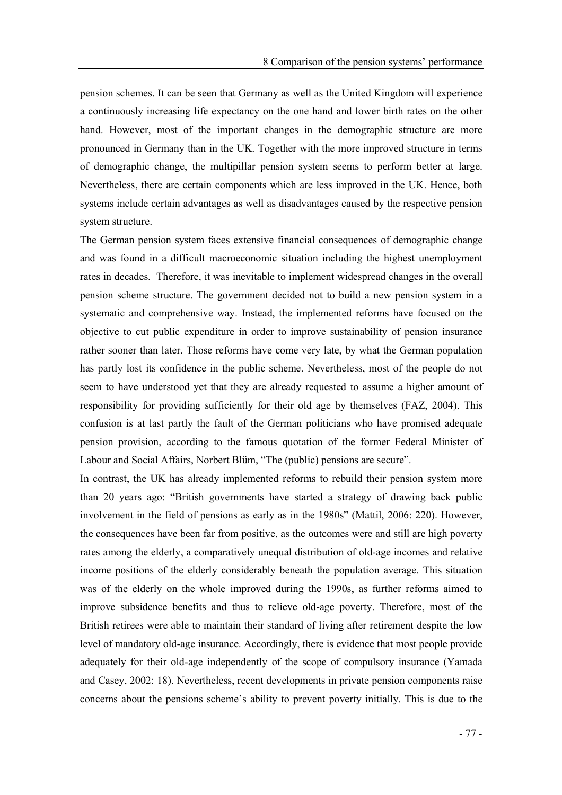pension schemes. It can be seen that Germany as well as the United Kingdom will experience a continuously increasing life expectancy on the one hand and lower birth rates on the other hand. However, most of the important changes in the demographic structure are more pronounced in Germany than in the UK. Together with the more improved structure in terms of demographic change, the multipillar pension system seems to perform better at large. Nevertheless, there are certain components which are less improved in the UK. Hence, both systems include certain advantages as well as disadvantages caused by the respective pension system structure.

The German pension system faces extensive financial consequences of demographic change and was found in a difficult macroeconomic situation including the highest unemployment rates in decades. Therefore, it was inevitable to implement widespread changes in the overall pension scheme structure. The government decided not to build a new pension system in a systematic and comprehensive way. Instead, the implemented reforms have focused on the objective to cut public expenditure in order to improve sustainability of pension insurance rather sooner than later. Those reforms have come very late, by what the German population has partly lost its confidence in the public scheme. Nevertheless, most of the people do not seem to have understood yet that they are already requested to assume a higher amount of responsibility for providing sufficiently for their old age by themselves (FAZ, 2004). This confusion is at last partly the fault of the German politicians who have promised adequate pension provision, according to the famous quotation of the former Federal Minister of Labour and Social Affairs, Norbert Blüm, "The (public) pensions are secure".

In contrast, the UK has already implemented reforms to rebuild their pension system more than 20 years ago: "British governments have started a strategy of drawing back public involvement in the field of pensions as early as in the 1980s" (Mattil, 2006: 220). However, the consequences have been far from positive, as the outcomes were and still are high poverty rates among the elderly, a comparatively unequal distribution of old-age incomes and relative income positions of the elderly considerably beneath the population average. This situation was of the elderly on the whole improved during the 1990s, as further reforms aimed to improve subsidence benefits and thus to relieve old-age poverty. Therefore, most of the British retirees were able to maintain their standard of living after retirement despite the low level of mandatory old-age insurance. Accordingly, there is evidence that most people provide adequately for their old-age independently of the scope of compulsory insurance (Yamada and Casey, 2002: 18). Nevertheless, recent developments in private pension components raise concerns about the pensions scheme's ability to prevent poverty initially. This is due to the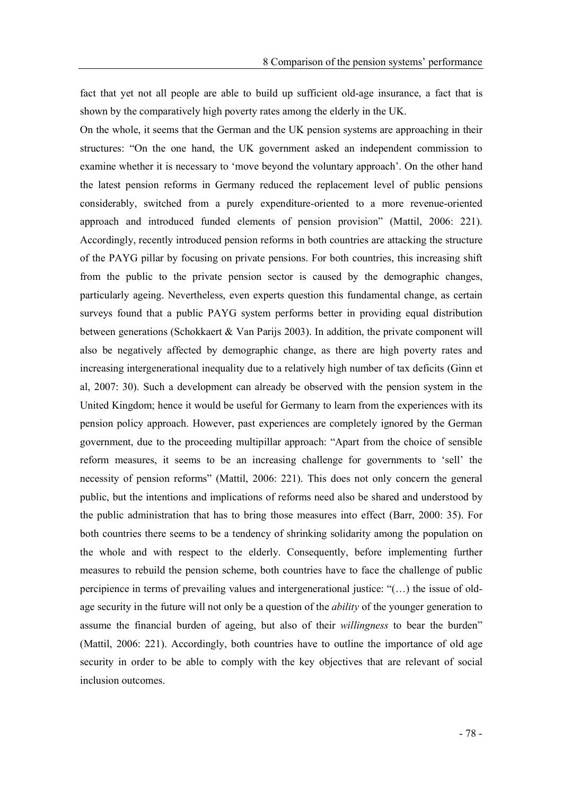fact that yet not all people are able to build up sufficient old-age insurance, a fact that is shown by the comparatively high poverty rates among the elderly in the UK.

On the whole, it seems that the German and the UK pension systems are approaching in their structures: "On the one hand, the UK government asked an independent commission to examine whether it is necessary to 'move beyond the voluntary approach'. On the other hand the latest pension reforms in Germany reduced the replacement level of public pensions considerably, switched from a purely expenditure-oriented to a more revenue-oriented approach and introduced funded elements of pension provision" (Mattil, 2006: 221). Accordingly, recently introduced pension reforms in both countries are attacking the structure of the PAYG pillar by focusing on private pensions. For both countries, this increasing shift from the public to the private pension sector is caused by the demographic changes, particularly ageing. Nevertheless, even experts question this fundamental change, as certain surveys found that a public PAYG system performs better in providing equal distribution between generations (Schokkaert & Van Parijs 2003). In addition, the private component will also be negatively affected by demographic change, as there are high poverty rates and increasing intergenerational inequality due to a relatively high number of tax deficits (Ginn et al, 2007: 30). Such a development can already be observed with the pension system in the United Kingdom; hence it would be useful for Germany to learn from the experiences with its pension policy approach. However, past experiences are completely ignored by the German government, due to the proceeding multipillar approach: "Apart from the choice of sensible reform measures, it seems to be an increasing challenge for governments to 'sell' the necessity of pension reforms" (Mattil, 2006: 221). This does not only concern the general public, but the intentions and implications of reforms need also be shared and understood by the public administration that has to bring those measures into effect (Barr, 2000: 35). For both countries there seems to be a tendency of shrinking solidarity among the population on the whole and with respect to the elderly. Consequently, before implementing further measures to rebuild the pension scheme, both countries have to face the challenge of public percipience in terms of prevailing values and intergenerational justice:  $((\dots))$  the issue of oldage security in the future will not only be a question of the *ability* of the younger generation to assume the financial burden of ageing, but also of their *willingness* to bear the burden (Mattil, 2006: 221). Accordingly, both countries have to outline the importance of old age security in order to be able to comply with the key objectives that are relevant of social inclusion outcomes.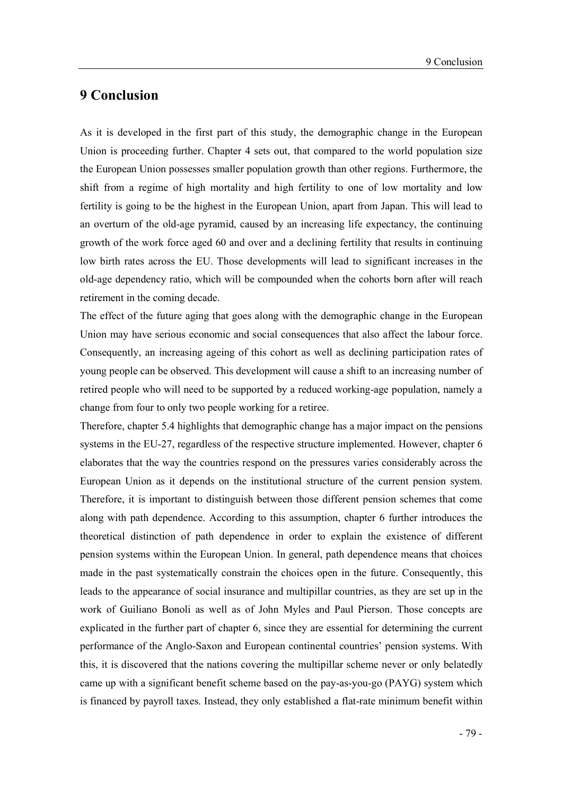### 9 Conclusion

As it is developed in the first part of this study, the demographic change in the European Union is proceeding further. Chapter 4 sets out, that compared to the world population size the European Union possesses smaller population growth than other regions. Furthermore, the shift from a regime of high mortality and high fertility to one of low mortality and low fertility is going to be the highest in the European Union, apart from Japan. This will lead to an overturn of the old-age pyramid, caused by an increasing life expectancy, the continuing growth of the work force aged 60 and over and a declining fertility that results in continuing low birth rates across the EU. Those developments will lead to significant increases in the old-age dependency ratio, which will be compounded when the cohorts born after will reach retirement in the coming decade.

The effect of the future aging that goes along with the demographic change in the European Union may have serious economic and social consequences that also affect the labour force. Consequently, an increasing ageing of this cohort as well as declining participation rates of young people can be observed. This development will cause a shift to an increasing number of retired people who will need to be supported by a reduced working-age population, namely a change from four to only two people working for a retiree.

Therefore, chapter 5.4 highlights that demographic change has a major impact on the pensions systems in the EU-27, regardless of the respective structure implemented. However, chapter 6 elaborates that the way the countries respond on the pressures varies considerably across the European Union as it depends on the institutional structure of the current pension system. Therefore, it is important to distinguish between those different pension schemes that come along with path dependence. According to this assumption, chapter 6 further introduces the theoretical distinction of path dependence in order to explain the existence of different pension systems within the European Union. In general, path dependence means that choices made in the past systematically constrain the choices open in the future. Consequently, this leads to the appearance of social insurance and multipillar countries, as they are set up in the work of Guiliano Bonoli as well as of John Myles and Paul Pierson. Those concepts are explicated in the further part of chapter 6, since they are essential for determining the current performance of the Anglo-Saxon and European continental countries' pension systems. With this, it is discovered that the nations covering the multipillar scheme never or only belatedly came up with a significant benefit scheme based on the pay-as-you-go (PAYG) system which is financed by payroll taxes. Instead, they only established a flat-rate minimum benefit within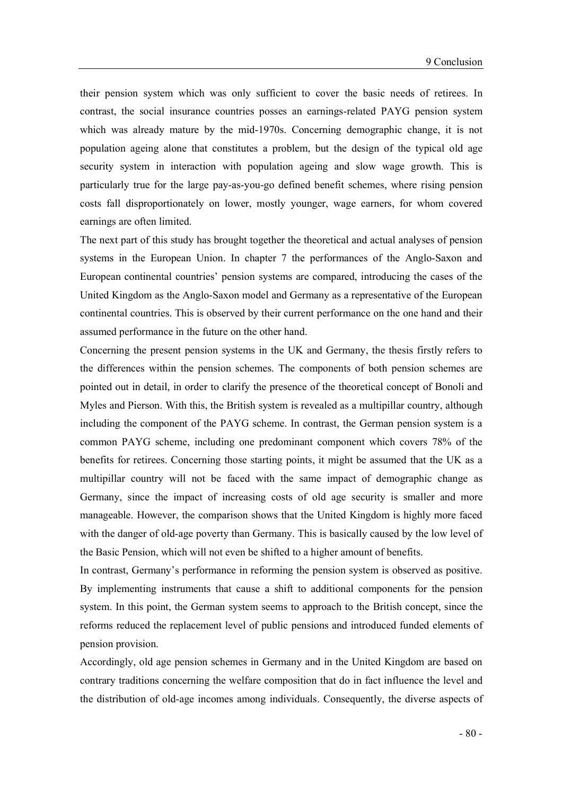their pension system which was only sufficient to cover the basic needs of retirees. In contrast, the social insurance countries posses an earnings-related PAYG pension system which was already mature by the mid-1970s. Concerning demographic change, it is not population ageing alone that constitutes a problem, but the design of the typical old age security system in interaction with population ageing and slow wage growth. This is particularly true for the large pay-as-you-go defined benefit schemes, where rising pension costs fall disproportionately on lower, mostly younger, wage earners, for whom covered earnings are often limited.

The next part of this study has brought together the theoretical and actual analyses of pension systems in the European Union. In chapter 7 the performances of the Anglo-Saxon and European continental countries' pension systems are compared, introducing the cases of the United Kingdom as the Anglo-Saxon model and Germany as a representative of the European continental countries. This is observed by their current performance on the one hand and their assumed performance in the future on the other hand.

Concerning the present pension systems in the UK and Germany, the thesis firstly refers to the differences within the pension schemes. The components of both pension schemes are pointed out in detail, in order to clarify the presence of the theoretical concept of Bonoli and Myles and Pierson. With this, the British system is revealed as a multipillar country, although including the component of the PAYG scheme. In contrast, the German pension system is a common PAYG scheme, including one predominant component which covers 78% of the benefits for retirees. Concerning those starting points, it might be assumed that the UK as a multipillar country will not be faced with the same impact of demographic change as Germany, since the impact of increasing costs of old age security is smaller and more manageable. However, the comparison shows that the United Kingdom is highly more faced with the danger of old-age poverty than Germany. This is basically caused by the low level of the Basic Pension, which will not even be shifted to a higher amount of benefits.

In contrast, Germany's performance in reforming the pension system is observed as positive. By implementing instruments that cause a shift to additional components for the pension system. In this point, the German system seems to approach to the British concept, since the reforms reduced the replacement level of public pensions and introduced funded elements of pension provision.

Accordingly, old age pension schemes in Germany and in the United Kingdom are based on contrary traditions concerning the welfare composition that do in fact influence the level and the distribution of old-age incomes among individuals. Consequently, the diverse aspects of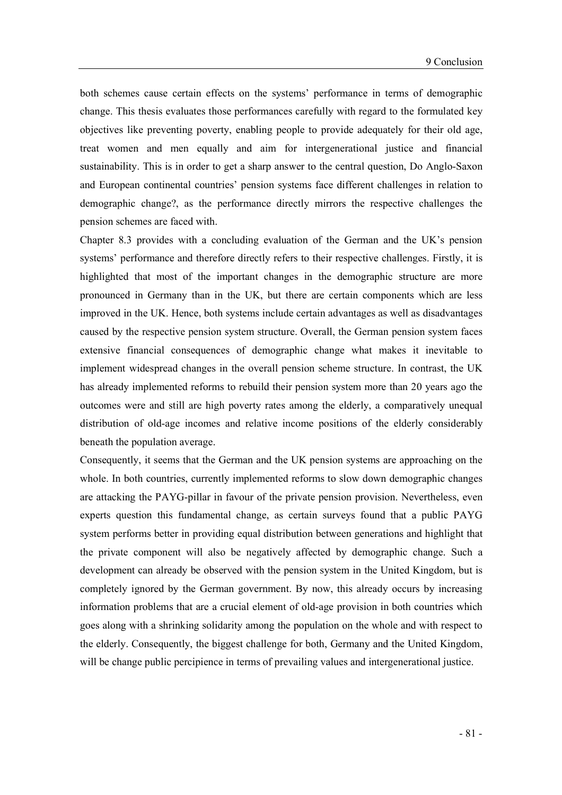both schemes cause certain effects on the systems' performance in terms of demographic change. This thesis evaluates those performances carefully with regard to the formulated key objectives like preventing poverty, enabling people to provide adequately for their old age, treat women and men equally and aim for intergenerational justice and financial sustainability. This is in order to get a sharp answer to the central question, Do Anglo-Saxon and European continental countries' pension systems face different challenges in relation to demographic change?, as the performance directly mirrors the respective challenges the pension schemes are faced with.

Chapter 8.3 provides with a concluding evaluation of the German and the UK's pension systems' performance and therefore directly refers to their respective challenges. Firstly, it is highlighted that most of the important changes in the demographic structure are more pronounced in Germany than in the UK, but there are certain components which are less improved in the UK. Hence, both systems include certain advantages as well as disadvantages caused by the respective pension system structure. Overall, the German pension system faces extensive financial consequences of demographic change what makes it inevitable to implement widespread changes in the overall pension scheme structure. In contrast, the UK has already implemented reforms to rebuild their pension system more than 20 years ago the outcomes were and still are high poverty rates among the elderly, a comparatively unequal distribution of old-age incomes and relative income positions of the elderly considerably beneath the population average.

Consequently, it seems that the German and the UK pension systems are approaching on the whole. In both countries, currently implemented reforms to slow down demographic changes are attacking the PAYG-pillar in favour of the private pension provision. Nevertheless, even experts question this fundamental change, as certain surveys found that a public PAYG system performs better in providing equal distribution between generations and highlight that the private component will also be negatively affected by demographic change. Such a development can already be observed with the pension system in the United Kingdom, but is completely ignored by the German government. By now, this already occurs by increasing information problems that are a crucial element of old-age provision in both countries which goes along with a shrinking solidarity among the population on the whole and with respect to the elderly. Consequently, the biggest challenge for both, Germany and the United Kingdom, will be change public percipience in terms of prevailing values and intergenerational justice.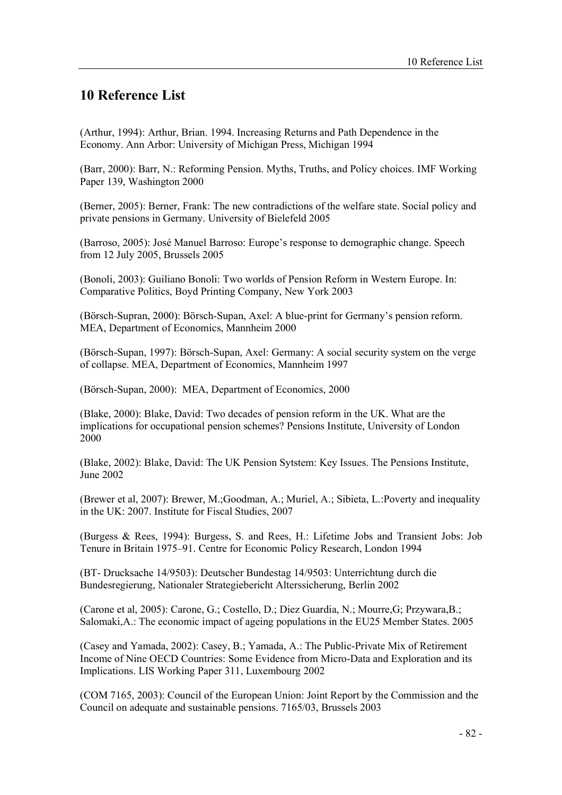### 10 Reference List

(Arthur, 1994): Arthur, Brian. 1994. Increasing Returns and Path Dependence in the Economy. Ann Arbor: University of Michigan Press, Michigan 1994

(Barr, 2000): Barr, N.: Reforming Pension. Myths, Truths, and Policy choices. IMF Working Paper 139, Washington 2000

(Berner, 2005): Berner, Frank: The new contradictions of the welfare state. Social policy and private pensions in Germany. University of Bielefeld 2005

(Barroso, 2005): José Manuel Barroso: Europe's response to demographic change. Speech from 12 July 2005, Brussels 2005

(Bonoli, 2003): Guiliano Bonoli: Two worlds of Pension Reform in Western Europe. In: Comparative Politics, Boyd Printing Company, New York 2003

(Börsch-Supran, 2000): Börsch-Supan, Axel: A blue-print for Germanys pension reform. MEA, Department of Economics, Mannheim 2000

(Börsch-Supan, 1997): Börsch-Supan, Axel: Germany: A social security system on the verge of collapse. MEA, Department of Economics, Mannheim 1997

(Börsch-Supan, 2000): MEA, Department of Economics, 2000

(Blake, 2000): Blake, David: Two decades of pension reform in the UK. What are the implications for occupational pension schemes? Pensions Institute, University of London 2000

(Blake, 2002): Blake, David: The UK Pension Sytstem: Key Issues. The Pensions Institute, June 2002

(Brewer et al, 2007): Brewer, M.;Goodman, A.; Muriel, A.; Sibieta, L.:Poverty and inequality in the UK: 2007. Institute for Fiscal Studies, 2007

(Burgess & Rees, 1994): Burgess, S. and Rees, H.: Lifetime Jobs and Transient Jobs: Job Tenure in Britain 1975–91. Centre for Economic Policy Research, London 1994

(BT- Drucksache 14/9503): Deutscher Bundestag 14/9503: Unterrichtung durch die Bundesregierung, Nationaler Strategiebericht Alterssicherung, Berlin 2002

(Carone et al, 2005): Carone, G.; Costello, D.; Diez Guardia, N.; Mourre,G; Przywara,B.; Salomaki,A.: The economic impact of ageing populations in the EU25 Member States. 2005

(Casey and Yamada, 2002): Casey, B.; Yamada, A.: The Public-Private Mix of Retirement Income of Nine OECD Countries: Some Evidence from Micro-Data and Exploration and its Implications. LIS Working Paper 311, Luxembourg 2002

(COM 7165, 2003): Council of the European Union: Joint Report by the Commission and the Council on adequate and sustainable pensions. 7165/03, Brussels 2003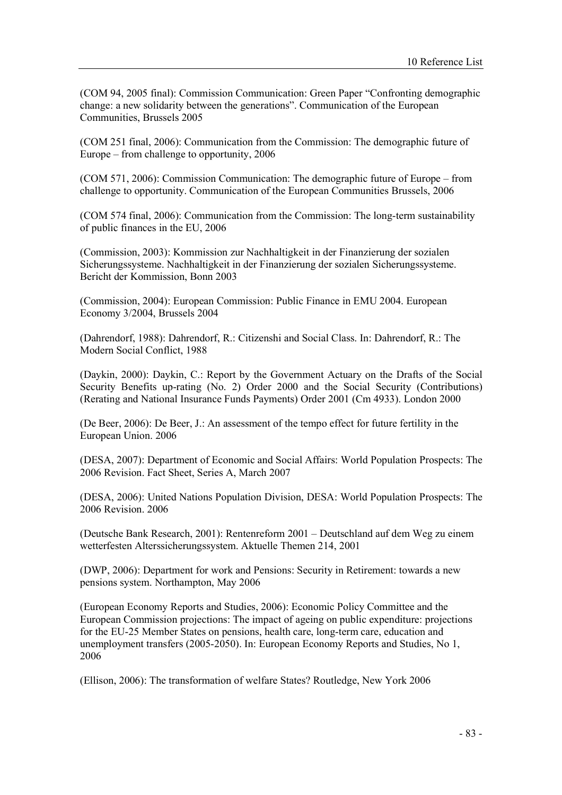(COM 94, 2005 final): Commission Communication: Green Paper Confronting demographic change: a new solidarity between the generations". Communication of the European Communities, Brussels 2005

(COM 251 final, 2006): Communication from the Commission: The demographic future of Europe  $-$  from challenge to opportunity, 2006

(COM 571, 2006): Commission Communication: The demographic future of Europe – from challenge to opportunity. Communication of the European Communities Brussels, 2006

(COM 574 final, 2006): Communication from the Commission: The long-term sustainability of public finances in the EU, 2006

(Commission, 2003): Kommission zur Nachhaltigkeit in der Finanzierung der sozialen Sicherungssysteme. Nachhaltigkeit in der Finanzierung der sozialen Sicherungssysteme. Bericht der Kommission, Bonn 2003

(Commission, 2004): European Commission: Public Finance in EMU 2004. European Economy 3/2004, Brussels 2004

(Dahrendorf, 1988): Dahrendorf, R.: Citizenshi and Social Class. In: Dahrendorf, R.: The Modern Social Conflict, 1988

(Daykin, 2000): Daykin, C.: Report by the Government Actuary on the Drafts of the Social Security Benefits up-rating (No. 2) Order 2000 and the Social Security (Contributions) (Rerating and National Insurance Funds Payments) Order 2001 (Cm 4933). London 2000

(De Beer, 2006): De Beer, J.: An assessment of the tempo effect for future fertility in the European Union. 2006

(DESA, 2007): Department of Economic and Social Affairs: World Population Prospects: The 2006 Revision. Fact Sheet, Series A, March 2007

(DESA, 2006): United Nations Population Division, DESA: World Population Prospects: The 2006 Revision. 2006

(Deutsche Bank Research, 2001): Rentenreform 2001 Deutschland auf dem Weg zu einem wetterfesten Alterssicherungssystem. Aktuelle Themen 214, 2001

(DWP, 2006): Department for work and Pensions: Security in Retirement: towards a new pensions system. Northampton, May 2006

(European Economy Reports and Studies, 2006): Economic Policy Committee and the European Commission projections: The impact of ageing on public expenditure: projections for the EU-25 Member States on pensions, health care, long-term care, education and unemployment transfers (2005-2050). In: European Economy Reports and Studies, No 1, 2006

(Ellison, 2006): The transformation of welfare States? Routledge, New York 2006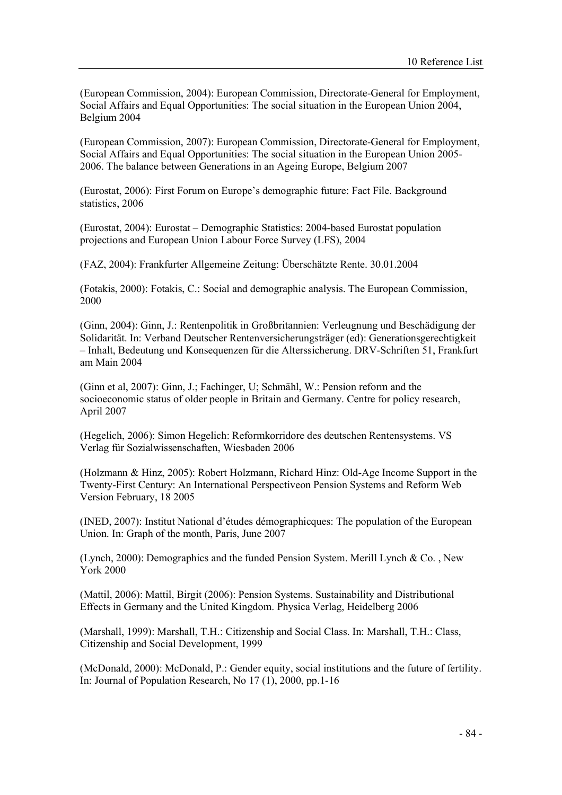(European Commission, 2004): European Commission, Directorate-General for Employment, Social Affairs and Equal Opportunities: The social situation in the European Union 2004, Belgium 2004

(European Commission, 2007): European Commission, Directorate-General for Employment, Social Affairs and Equal Opportunities: The social situation in the European Union 2005- 2006. The balance between Generations in an Ageing Europe, Belgium 2007

(Eurostat, 2006): First Forum on Europe's demographic future: Fact File. Background statistics, 2006

(Eurostat, 2004): Eurostat Demographic Statistics: 2004-based Eurostat population projections and European Union Labour Force Survey (LFS), 2004

(FAZ, 2004): Frankfurter Allgemeine Zeitung: Überschätzte Rente. 30.01.2004

(Fotakis, 2000): Fotakis, C.: Social and demographic analysis. The European Commission, 2000

(Ginn, 2004): Ginn, J.: Rentenpolitik in Großbritannien: Verleugnung und Beschädigung der Solidarität. In: Verband Deutscher Rentenversicherungsträger (ed): Generationsgerechtigkeit Inhalt, Bedeutung und Konsequenzen für die Alterssicherung. DRV-Schriften 51, Frankfurt am Main 2004

(Ginn et al, 2007): Ginn, J.; Fachinger, U; Schmähl, W.: Pension reform and the socioeconomic status of older people in Britain and Germany. Centre for policy research, April 2007

(Hegelich, 2006): Simon Hegelich: Reformkorridore des deutschen Rentensystems. VS Verlag für Sozialwissenschaften, Wiesbaden 2006

(Holzmann & Hinz, 2005): Robert Holzmann, Richard Hinz: Old-Age Income Support in the Twenty-First Century: An International Perspectiveon Pension Systems and Reform Web Version February, 18 2005

(INED, 2007): Institut National d'études démographicques: The population of the European Union. In: Graph of the month, Paris, June 2007

(Lynch, 2000): Demographics and the funded Pension System. Merill Lynch & Co. , New York 2000

(Mattil, 2006): Mattil, Birgit (2006): Pension Systems. Sustainability and Distributional Effects in Germany and the United Kingdom. Physica Verlag, Heidelberg 2006

(Marshall, 1999): Marshall, T.H.: Citizenship and Social Class. In: Marshall, T.H.: Class, Citizenship and Social Development, 1999

(McDonald, 2000): McDonald, P.: Gender equity, social institutions and the future of fertility. In: Journal of Population Research, No  $17(1)$ , 2000, pp. 1-16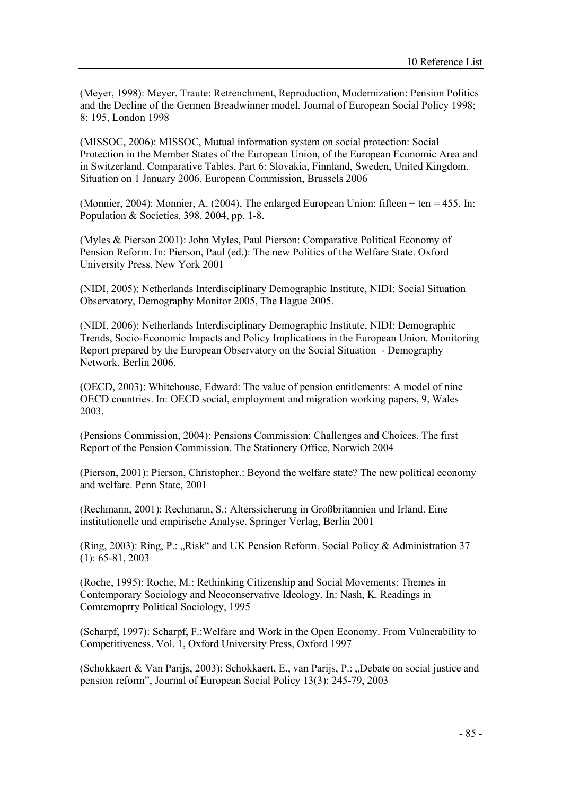(Meyer, 1998): Meyer, Traute: Retrenchment, Reproduction, Modernization: Pension Politics and the Decline of the Germen Breadwinner model. Journal of European Social Policy 1998; 8; 195, London 1998

(MISSOC, 2006): MISSOC, Mutual information system on social protection: Social Protection in the Member States of the European Union, of the European Economic Area and in Switzerland. Comparative Tables. Part 6: Slovakia, Finnland, Sweden, United Kingdom. Situation on 1 January 2006. European Commission, Brussels 2006

(Monnier, 2004): Monnier, A. (2004), The enlarged European Union: fifteen  $+$  ten  $=$  455. In: Population & Societies, 398, 2004, pp. 1-8.

(Myles & Pierson 2001): John Myles, Paul Pierson: Comparative Political Economy of Pension Reform. In: Pierson, Paul (ed.): The new Politics of the Welfare State. Oxford University Press, New York 2001

(NIDI, 2005): Netherlands Interdisciplinary Demographic Institute, NIDI: Social Situation Observatory, Demography Monitor 2005, The Hague 2005.

(NIDI, 2006): Netherlands Interdisciplinary Demographic Institute, NIDI: Demographic Trends, Socio-Economic Impacts and Policy Implications in the European Union. Monitoring Report prepared by the European Observatory on the Social Situation - Demography Network, Berlin 2006.

(OECD, 2003): Whitehouse, Edward: The value of pension entitlements: A model of nine OECD countries. In: OECD social, employment and migration working papers, 9, Wales 2003.

(Pensions Commission, 2004): Pensions Commission: Challenges and Choices. The first Report of the Pension Commission. The Stationery Office, Norwich 2004

(Pierson, 2001): Pierson, Christopher.: Beyond the welfare state? The new political economy and welfare. Penn State, 2001

(Rechmann, 2001): Rechmann, S.: Alterssicherung in Großbritannien und Irland. Eine institutionelle und empirische Analyse. Springer Verlag, Berlin 2001

(Ring, 2003): Ring, P.: "Risk" and UK Pension Reform. Social Policy & Administration 37 (1): 65-81, 2003

(Roche, 1995): Roche, M.: Rethinking Citizenship and Social Movements: Themes in Contemporary Sociology and Neoconservative Ideology. In: Nash, K. Readings in Comtemoprry Political Sociology, 1995

(Scharpf, 1997): Scharpf, F.:Welfare and Work in the Open Economy. From Vulnerability to Competitiveness. Vol. 1, Oxford University Press, Oxford 1997

(Schokkaert & Van Parijs, 2003): Schokkaert, E., van Parijs, P.: Debate on social justice and pension reform", Journal of European Social Policy 13(3): 245-79, 2003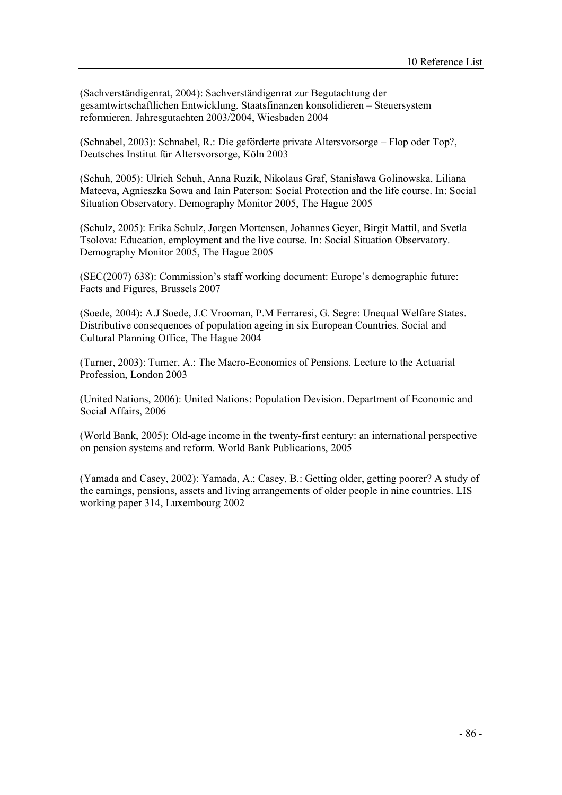(Sachverständigenrat, 2004): Sachverständigenrat zur Begutachtung der gesamtwirtschaftlichen Entwicklung. Staatsfinanzen konsolidieren - Steuersystem reformieren. Jahresgutachten 2003/2004, Wiesbaden 2004

(Schnabel, 2003): Schnabel, R.: Die geförderte private Altersvorsorge Flop oder Top?, Deutsches Institut für Altersvorsorge, Köln 2003

(Schuh, 2005): Ulrich Schuh, Anna Ruzik, Nikolaus Graf, Stanislawa Golinowska, Liliana Mateeva, Agnieszka Sowa and Iain Paterson: Social Protection and the life course. In: Social Situation Observatory. Demography Monitor 2005, The Hague 2005

(Schulz, 2005): Erika Schulz, Jørgen Mortensen, Johannes Geyer, Birgit Mattil, and Svetla Tsolova: Education, employment and the live course. In: Social Situation Observatory. Demography Monitor 2005, The Hague 2005

 $(SEC(2007) 638)$ : Commission's staff working document: Europe's demographic future: Facts and Figures, Brussels 2007

(Soede, 2004): A.J Soede, J.C Vrooman, P.M Ferraresi, G. Segre: Unequal Welfare States. Distributive consequences of population ageing in six European Countries. Social and Cultural Planning Office, The Hague 2004

(Turner, 2003): Turner, A.: The Macro-Economics of Pensions. Lecture to the Actuarial Profession, London 2003

(United Nations, 2006): United Nations: Population Devision. Department of Economic and Social Affairs, 2006

(World Bank, 2005): Old-age income in the twenty-first century: an international perspective on pension systems and reform. World Bank Publications, 2005

(Yamada and Casey, 2002): Yamada, A.; Casey, B.: Getting older, getting poorer? A study of the earnings, pensions, assets and living arrangements of older people in nine countries. LIS working paper 314, Luxembourg 2002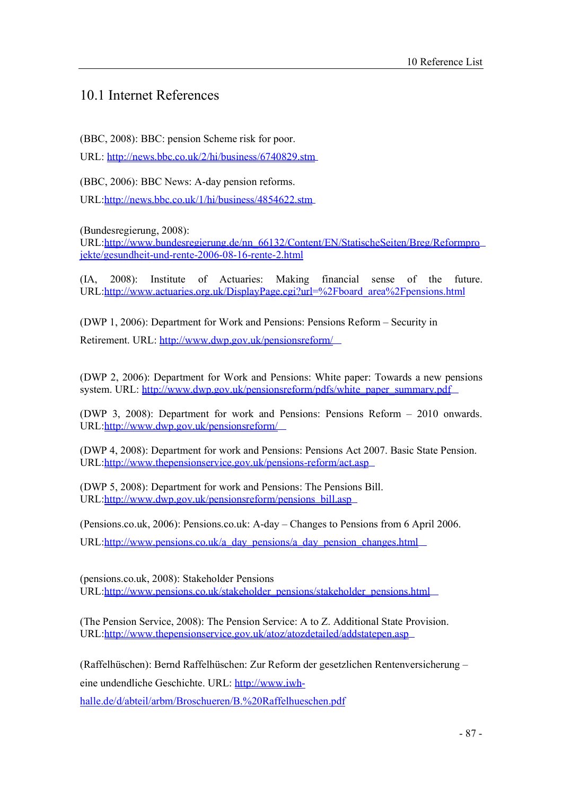#### 10.1 Internet References

(BBC, 2008): BBC: pension Scheme risk for poor.

URL: <http://news.bbc.co.uk/2/hi/business/6740829.stm>

(BBC, 2006): BBC News: A-day pension reforms.

URL[:http://news.bbc.co.uk/1/hi/business/4854622.stm](http://news.bbc.co.uk/1/hi/business/4854622.stm)

(Bundesregierung, 2008):

URL[:http://www.bundesregierung.de/nn\\_66132/Content/EN/StatischeSeiten/Breg/Reformpro](http://www.bundesregierung.de/nn_66132/Content/EN/StatischeSeiten/Breg/Reformpro) jekte/gesundheit-und-rente-2006-08-16-rente-2.html

(IA, 2008): Institute of Actuaries: Making financial sense of the future. URL[:http://www.actuaries.org.uk/DisplayPage.cgi?url=](http://www.actuaries.org.uk/DisplayPage.cgi?url)%2Fboard\_area%2Fpensions.html

(DWP 1, 2006): Department for Work and Pensions: Pensions Reform – Security in

Retirement. URL: <http://www.dwp.gov.uk/pensionsreform/>

(DWP 2, 2006): Department for Work and Pensions: White paper: Towards a new pensions system. URL: [http://www.dwp.gov.uk/pensionsreform/pdfs/white\\_paper\\_summary.pdf](http://www.dwp.gov.uk/pensionsreform/pdfs/white_paper_summary.pdf)

(DWP 3, 2008): Department for work and Pensions: Pensions Reform 2010 onwards. URL[:http://www.dwp.gov.uk/pensionsreform/](http://www.dwp.gov.uk/pensionsreform/)

(DWP 4, 2008): Department for work and Pensions: Pensions Act 2007. Basic State Pension. URL[:http://www.thepensionservice.gov.uk/pensions-reform/act.asp](http://www.thepensionservice.gov.uk/pensions-reform/act.asp)

(DWP 5, 2008): Department for work and Pensions: The Pensions Bill. URL[:http://www.dwp.gov.uk/pensionsreform/pensions\\_bill.asp](http://www.dwp.gov.uk/pensionsreform/pensions_bill.asp)

(Pensions.co.uk, 2006): Pensions.co.uk: A-day Changes to Pensions from 6 April 2006.

URL[:http://www.pensions.co.uk/a\\_day\\_pensions/a\\_day\\_pension\\_changes.html](http://www.pensions.co.uk/a_day_pensions/a_day_pension_changes.html)

(pensions.co.uk, 2008): Stakeholder Pensions URL[:http://www.pensions.co.uk/stakeholder\\_pensions/stakeholder\\_pensions.html](http://www.pensions.co.uk/stakeholder_pensions/stakeholder_pensions.html)

(The Pension Service, 2008): The Pension Service: A to Z. Additional State Provision. URL[:http://www.thepensionservice.gov.uk/atoz/atozdetailed/addstatepen.asp](http://www.thepensionservice.gov.uk/atoz/atozdetailed/addstatepen.asp)

(Raffelhüschen): Bernd Raffelhüschen: Zur Reform der gesetzlichen Rentenversicherung

eine undendliche Geschichte. URL:<http://www.iwh>-

halle.de/d/abteil/arbm/Broschueren/B.%20Raffelhueschen.pdf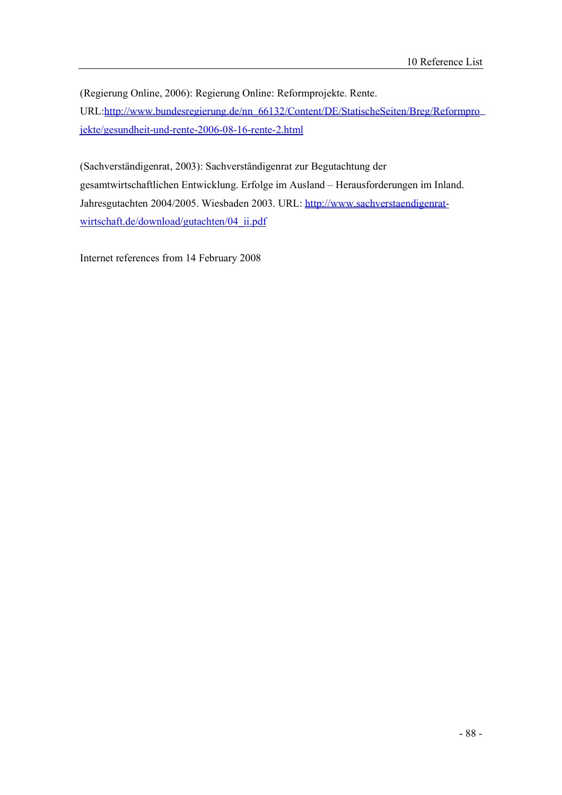(Regierung Online, 2006): Regierung Online: Reformprojekte. Rente. URL[:http://www.bundesregierung.de/nn\\_66132/Content/DE/StatischeSeiten/Breg/Reformpro](http://www.bundesregierung.de/nn_66132/Content/DE/StatischeSeiten/Breg/Reformpro) jekte/gesundheit-und-rente-2006-08-16-rente-2.html

(Sachverständigenrat, 2003): Sachverständigenrat zur Begutachtung der gesamtwirtschaftlichen Entwicklung. Erfolge im Ausland - Herausforderungen im Inland. Jahresgutachten 2004/2005. Wiesbaden 2003. URL:<http://www.sachverstaendigenrat>wirtschaft.de/download/gutachten/04\_ii.pdf

Internet references from 14 February 2008